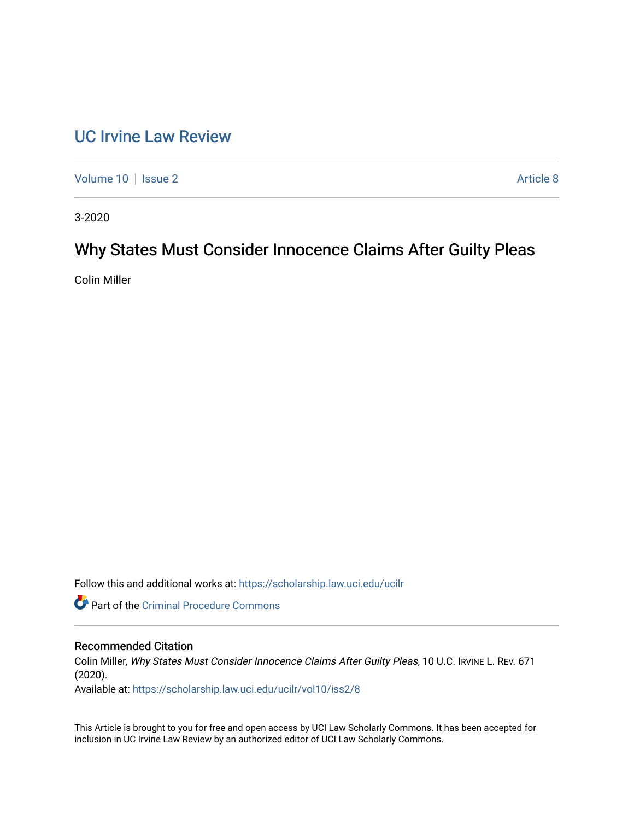# [UC Irvine Law Review](https://scholarship.law.uci.edu/ucilr)

[Volume 10](https://scholarship.law.uci.edu/ucilr/vol10) | [Issue 2](https://scholarship.law.uci.edu/ucilr/vol10/iss2) Article 8

3-2020

# Why States Must Consider Innocence Claims After Guilty Pleas

Colin Miller

Follow this and additional works at: [https://scholarship.law.uci.edu/ucilr](https://scholarship.law.uci.edu/ucilr?utm_source=scholarship.law.uci.edu%2Fucilr%2Fvol10%2Fiss2%2F8&utm_medium=PDF&utm_campaign=PDFCoverPages)

Part of the [Criminal Procedure Commons](http://network.bepress.com/hgg/discipline/1073?utm_source=scholarship.law.uci.edu%2Fucilr%2Fvol10%2Fiss2%2F8&utm_medium=PDF&utm_campaign=PDFCoverPages) 

# Recommended Citation

Colin Miller, Why States Must Consider Innocence Claims After Guilty Pleas, 10 U.C. IRVINE L. REV. 671 (2020).

Available at: [https://scholarship.law.uci.edu/ucilr/vol10/iss2/8](https://scholarship.law.uci.edu/ucilr/vol10/iss2/8?utm_source=scholarship.law.uci.edu%2Fucilr%2Fvol10%2Fiss2%2F8&utm_medium=PDF&utm_campaign=PDFCoverPages) 

This Article is brought to you for free and open access by UCI Law Scholarly Commons. It has been accepted for inclusion in UC Irvine Law Review by an authorized editor of UCI Law Scholarly Commons.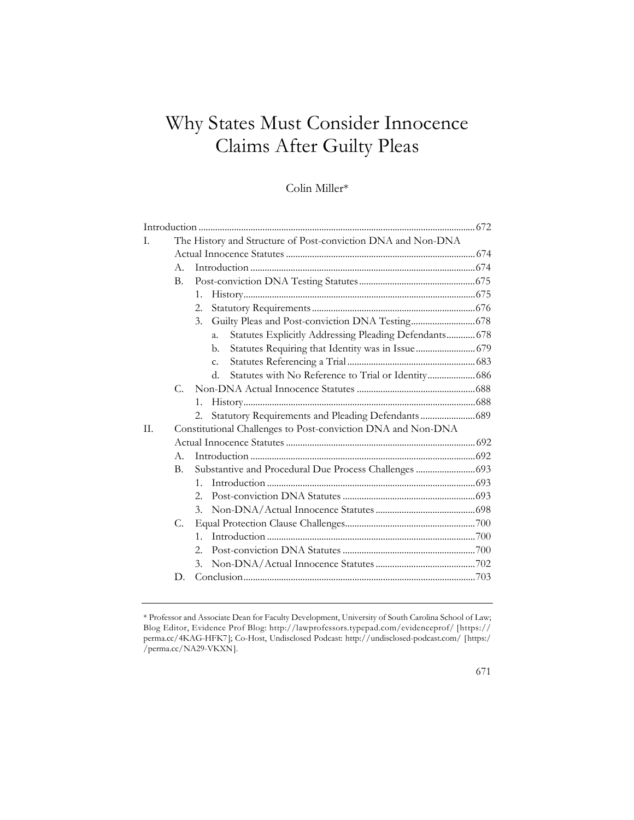# Why States Must Consider Innocence Claims After Guilty Pleas

# Colin Miller\*

| I.  |                | The History and Structure of Post-conviction DNA and Non-DNA               |  |  |  |
|-----|----------------|----------------------------------------------------------------------------|--|--|--|
|     |                |                                                                            |  |  |  |
|     | $A_{\cdot}$    |                                                                            |  |  |  |
|     | B.             |                                                                            |  |  |  |
|     |                | $1_{-}$                                                                    |  |  |  |
|     |                | 2.                                                                         |  |  |  |
|     |                | 3.                                                                         |  |  |  |
|     |                | Statutes Explicitly Addressing Pleading Defendants 678<br>$\overline{a}$ . |  |  |  |
|     |                | Statutes Requiring that Identity was in Issue  679<br>b.                   |  |  |  |
|     |                | $C_{\cdot}$                                                                |  |  |  |
|     |                | Statutes with No Reference to Trial or Identity 686<br>d.                  |  |  |  |
|     | C.             |                                                                            |  |  |  |
|     |                | 1.                                                                         |  |  |  |
|     |                | Statutory Requirements and Pleading Defendants 689<br>2.                   |  |  |  |
| II. |                | Constitutional Challenges to Post-conviction DNA and Non-DNA               |  |  |  |
|     |                |                                                                            |  |  |  |
|     | $A_{\cdot}$    |                                                                            |  |  |  |
|     | $\mathbf{B}$ . | Substantive and Procedural Due Process Challenges  693                     |  |  |  |
|     |                | $1_{-}$                                                                    |  |  |  |
|     |                | 2.                                                                         |  |  |  |
|     |                | 3.                                                                         |  |  |  |
|     | C.             |                                                                            |  |  |  |
|     |                | $1_{-}$                                                                    |  |  |  |
|     |                | 2.                                                                         |  |  |  |
|     |                | 3.                                                                         |  |  |  |
|     | D.             |                                                                            |  |  |  |
|     |                |                                                                            |  |  |  |

<sup>\*</sup> Professor and Associate Dean for Faculty Development, University of South Carolina School of Law; Blog Editor, Evidence Prof Blog: http://lawprofessors.typepad.com/evidenceprof/ [https:// perma.cc/4KAG-HFK7]; Co-Host, Undisclosed Podcast: http://undisclosed-podcast.com/ [https:/ /perma.cc/NA29-VKXN].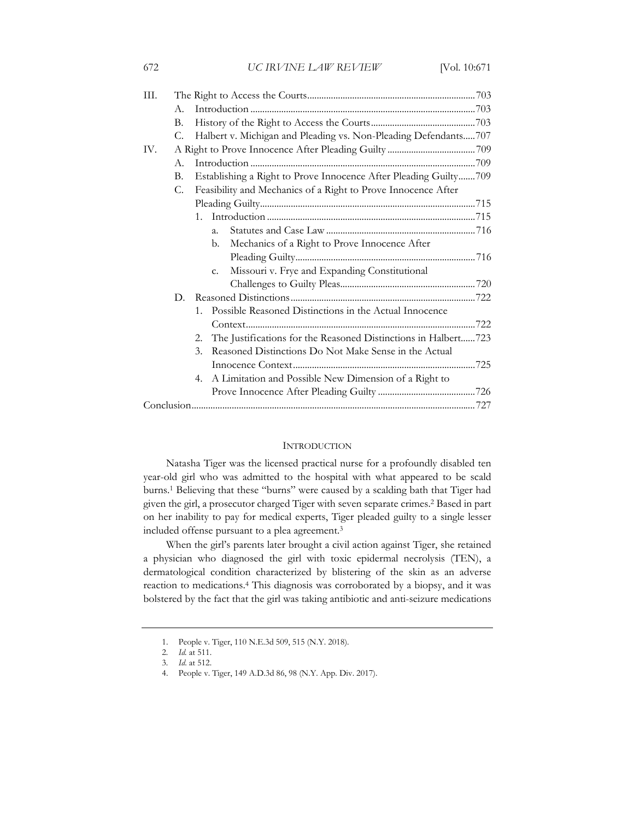| III. |    |                                                                      |  |  |  |
|------|----|----------------------------------------------------------------------|--|--|--|
|      | A. |                                                                      |  |  |  |
|      | В. |                                                                      |  |  |  |
|      | С. | Halbert v. Michigan and Pleading vs. Non-Pleading Defendants707      |  |  |  |
| IV.  |    |                                                                      |  |  |  |
|      | A. |                                                                      |  |  |  |
|      | В. | Establishing a Right to Prove Innocence After Pleading Guilty709     |  |  |  |
|      | C. | Feasibility and Mechanics of a Right to Prove Innocence After        |  |  |  |
|      |    |                                                                      |  |  |  |
|      |    | 1.                                                                   |  |  |  |
|      |    | $\overline{a}$ .                                                     |  |  |  |
|      |    | Mechanics of a Right to Prove Innocence After<br>b.                  |  |  |  |
|      |    |                                                                      |  |  |  |
|      |    | Missouri v. Frye and Expanding Constitutional<br>c.                  |  |  |  |
|      |    |                                                                      |  |  |  |
|      | D. |                                                                      |  |  |  |
|      |    | Possible Reasoned Distinctions in the Actual Innocence<br>1.         |  |  |  |
|      |    |                                                                      |  |  |  |
|      |    | The Justifications for the Reasoned Distinctions in Halbert723<br>2. |  |  |  |
|      |    | Reasoned Distinctions Do Not Make Sense in the Actual<br>3.          |  |  |  |
|      |    |                                                                      |  |  |  |
|      |    | A Limitation and Possible New Dimension of a Right to<br>4.          |  |  |  |
|      |    |                                                                      |  |  |  |
|      |    |                                                                      |  |  |  |
|      |    |                                                                      |  |  |  |

#### **INTRODUCTION**

Natasha Tiger was the licensed practical nurse for a profoundly disabled ten year-old girl who was admitted to the hospital with what appeared to be scald burns.1 Believing that these "burns" were caused by a scalding bath that Tiger had given the girl, a prosecutor charged Tiger with seven separate crimes.2 Based in part on her inability to pay for medical experts, Tiger pleaded guilty to a single lesser included offense pursuant to a plea agreement.3

When the girl's parents later brought a civil action against Tiger, she retained a physician who diagnosed the girl with toxic epidermal necrolysis (TEN), a dermatological condition characterized by blistering of the skin as an adverse reaction to medications.4 This diagnosis was corroborated by a biopsy, and it was bolstered by the fact that the girl was taking antibiotic and anti-seizure medications

<sup>1.</sup> People v. Tiger, 110 N.E.3d 509, 515 (N.Y. 2018).

<sup>2</sup>*. Id.* at 511.

<sup>3</sup>*. Id*. at 512.

<sup>4.</sup> People v. Tiger, 149 A.D.3d 86, 98 (N.Y. App. Div. 2017).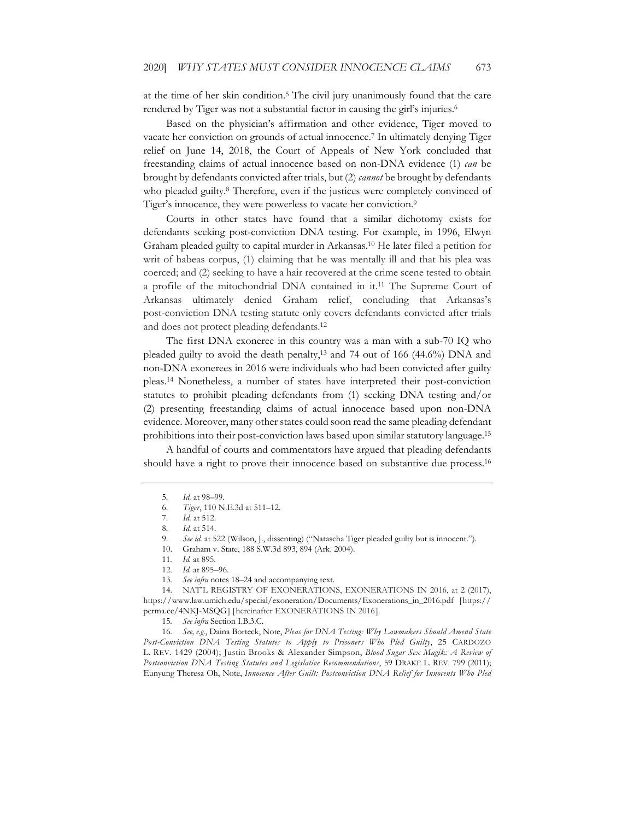at the time of her skin condition.5 The civil jury unanimously found that the care rendered by Tiger was not a substantial factor in causing the girl's injuries.6

Based on the physician's affirmation and other evidence, Tiger moved to vacate her conviction on grounds of actual innocence.7 In ultimately denying Tiger relief on June 14, 2018, the Court of Appeals of New York concluded that freestanding claims of actual innocence based on non-DNA evidence (1) *can* be brought by defendants convicted after trials, but (2) *cannot* be brought by defendants who pleaded guilty.8 Therefore, even if the justices were completely convinced of Tiger's innocence, they were powerless to vacate her conviction.<sup>9</sup>

Courts in other states have found that a similar dichotomy exists for defendants seeking post-conviction DNA testing. For example, in 1996, Elwyn Graham pleaded guilty to capital murder in Arkansas.10 He later filed a petition for writ of habeas corpus, (1) claiming that he was mentally ill and that his plea was coerced; and (2) seeking to have a hair recovered at the crime scene tested to obtain a profile of the mitochondrial DNA contained in it.11 The Supreme Court of Arkansas ultimately denied Graham relief, concluding that Arkansas's post-conviction DNA testing statute only covers defendants convicted after trials and does not protect pleading defendants.12

The first DNA exoneree in this country was a man with a sub-70 IQ who pleaded guilty to avoid the death penalty,13 and 74 out of 166 (44.6%) DNA and non-DNA exonerees in 2016 were individuals who had been convicted after guilty pleas.14 Nonetheless, a number of states have interpreted their post-conviction statutes to prohibit pleading defendants from (1) seeking DNA testing and/or (2) presenting freestanding claims of actual innocence based upon non-DNA evidence. Moreover, many other states could soon read the same pleading defendant prohibitions into their post-conviction laws based upon similar statutory language.15

A handful of courts and commentators have argued that pleading defendants should have a right to prove their innocence based on substantive due process.<sup>16</sup>

<sup>5</sup>*. Id.* at 98–99.

<sup>6</sup>*. Tiger*, 110 N.E.3d at 511–12.

<sup>7</sup>*. Id.* at 512.

<sup>8</sup>*. Id.* at 514.

<sup>9</sup>*. See id.* at 522 (Wilson, J., dissenting) ("Natascha Tiger pleaded guilty but is innocent.").

<sup>10.</sup> Graham v. State, 188 S.W.3d 893, 894 (Ark. 2004).

<sup>11</sup>*. Id.* at 895.

<sup>12</sup>*. Id.* at 895–96.

<sup>13</sup>*. See infra* notes 18–24 and accompanying text.

<sup>14.</sup> NAT'L REGISTRY OF EXONERATIONS, EXONERATIONS IN 2016, at 2 (2017), https://www.law.umich.edu/special/exoneration/Documents/Exonerations\_in\_2016.pdf [https:// perma.cc/4NKJ-MSQG] [hereinafter EXONERATIONS IN 2016].

<sup>15</sup>*. See infra* Section I.B.3.C.

<sup>16</sup>*. See, e.g.*, Daina Borteck, Note, *Pleas for DNA Testing: Why Lawmakers Should Amend State Post-Conviction DNA Testing Statutes to Apply to Prisoners Who Pled Guilty*, 25 CARDOZO L. REV. 1429 (2004); Justin Brooks & Alexander Simpson, *Blood Sugar Sex Magik: A Review of Postconviction DNA Testing Statutes and Legislative Recommendations*, 59 DRAKE L. REV. 799 (2011); Eunyung Theresa Oh, Note, *Innocence After Guilt: Postconviction DNA Relief for Innocents Who Pled*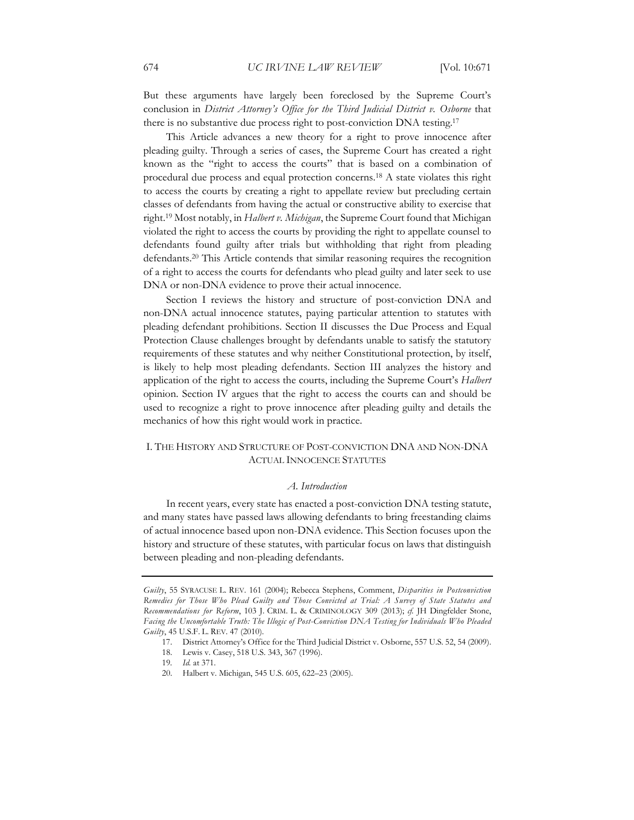But these arguments have largely been foreclosed by the Supreme Court's conclusion in *District Attorney's Office for the Third Judicial District v. Osborne* that there is no substantive due process right to post-conviction DNA testing.17

This Article advances a new theory for a right to prove innocence after pleading guilty. Through a series of cases, the Supreme Court has created a right known as the "right to access the courts" that is based on a combination of procedural due process and equal protection concerns.18 A state violates this right to access the courts by creating a right to appellate review but precluding certain classes of defendants from having the actual or constructive ability to exercise that right.19 Most notably, in *Halbert v. Michigan*, the Supreme Court found that Michigan violated the right to access the courts by providing the right to appellate counsel to defendants found guilty after trials but withholding that right from pleading defendants.20 This Article contends that similar reasoning requires the recognition of a right to access the courts for defendants who plead guilty and later seek to use DNA or non-DNA evidence to prove their actual innocence.

Section I reviews the history and structure of post-conviction DNA and non-DNA actual innocence statutes, paying particular attention to statutes with pleading defendant prohibitions. Section II discusses the Due Process and Equal Protection Clause challenges brought by defendants unable to satisfy the statutory requirements of these statutes and why neither Constitutional protection, by itself, is likely to help most pleading defendants. Section III analyzes the history and application of the right to access the courts, including the Supreme Court's *Halbert*  opinion. Section IV argues that the right to access the courts can and should be used to recognize a right to prove innocence after pleading guilty and details the mechanics of how this right would work in practice.

## I. THE HISTORY AND STRUCTURE OF POST-CONVICTION DNA AND NON-DNA ACTUAL INNOCENCE STATUTES

#### *A. Introduction*

In recent years, every state has enacted a post-conviction DNA testing statute, and many states have passed laws allowing defendants to bring freestanding claims of actual innocence based upon non-DNA evidence. This Section focuses upon the history and structure of these statutes, with particular focus on laws that distinguish between pleading and non-pleading defendants.

*Guilty*, 55 SYRACUSE L. REV. 161 (2004); Rebecca Stephens, Comment, *Disparities in Postconviction Remedies for Those Who Plead Guilty and Those Convicted at Trial: A Survey of State Statutes and Recommendations for Reform*, 103 J. CRIM. L. & CRIMINOLOGY 309 (2013); *cf.* JH Dingfelder Stone, *Facing the Uncomfortable Truth: The Illogic of Post-Conviction DNA Testing for Individuals Who Pleaded Guilty*, 45 U.S.F. L. REV. 47 (2010).

<sup>17.</sup> District Attorney's Office for the Third Judicial District v. Osborne, 557 U.S. 52, 54 (2009).

<sup>18.</sup> Lewis v. Casey, 518 U.S. 343, 367 (1996).

<sup>19</sup>*. Id.* at 371.

<sup>20.</sup> Halbert v. Michigan, 545 U.S. 605, 622–23 (2005).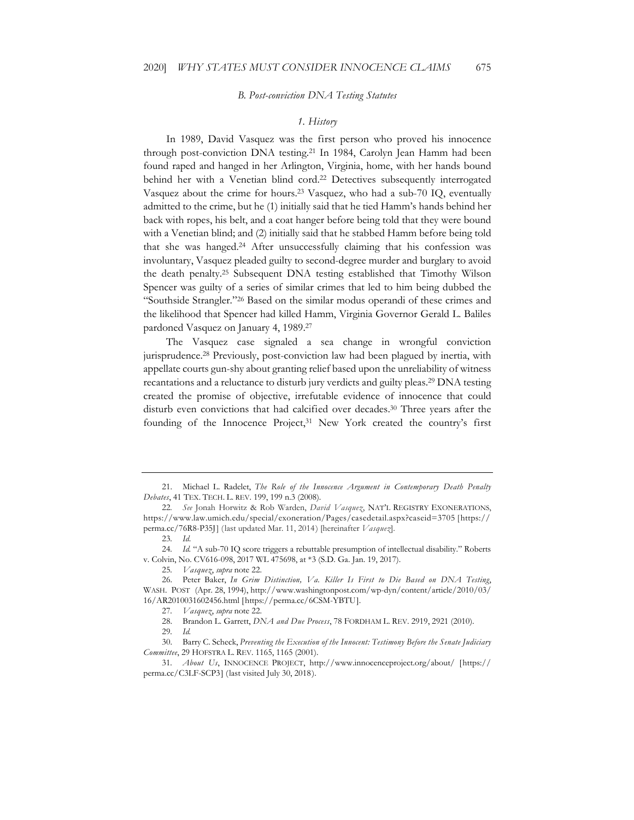#### *B. Post-conviction DNA Testing Statutes*

#### *1. History*

In 1989, David Vasquez was the first person who proved his innocence through post-conviction DNA testing.21 In 1984, Carolyn Jean Hamm had been found raped and hanged in her Arlington, Virginia, home, with her hands bound behind her with a Venetian blind cord.<sup>22</sup> Detectives subsequently interrogated Vasquez about the crime for hours.23 Vasquez, who had a sub-70 IQ, eventually admitted to the crime, but he (1) initially said that he tied Hamm's hands behind her back with ropes, his belt, and a coat hanger before being told that they were bound with a Venetian blind; and (2) initially said that he stabbed Hamm before being told that she was hanged.24 After unsuccessfully claiming that his confession was involuntary, Vasquez pleaded guilty to second-degree murder and burglary to avoid the death penalty.25 Subsequent DNA testing established that Timothy Wilson Spencer was guilty of a series of similar crimes that led to him being dubbed the "Southside Strangler."26 Based on the similar modus operandi of these crimes and the likelihood that Spencer had killed Hamm, Virginia Governor Gerald L. Baliles pardoned Vasquez on January 4, 1989.27

The Vasquez case signaled a sea change in wrongful conviction jurisprudence.28 Previously, post-conviction law had been plagued by inertia, with appellate courts gun-shy about granting relief based upon the unreliability of witness recantations and a reluctance to disturb jury verdicts and guilty pleas.29 DNA testing created the promise of objective, irrefutable evidence of innocence that could disturb even convictions that had calcified over decades.30 Three years after the founding of the Innocence Project,<sup>31</sup> New York created the country's first

25*. Vasquez*, *supra* note 22.

27*. Vasquez*, *supra* note 22.

28. Brandon L. Garrett, *DNA and Due Process*, 78 FORDHAM L. REV. 2919, 2921 (2010).

30. Barry C. Scheck, *Preventing the Execution of the Innocent: Testimony Before the Senate Judiciary Committee*, 29 HOFSTRA L. REV. 1165, 1165 (2001).

<sup>21.</sup> Michael L. Radelet, *The Role of the Innocence Argument in Contemporary Death Penalty Debates*, 41 TEX. TECH. L. REV. 199, 199 n.3 (2008).

<sup>22</sup>*. See* Jonah Horwitz & Rob Warden, *David Vasquez*, NAT'L REGISTRY EXONERATIONS, https://www.law.umich.edu/special/exoneration/Pages/casedetail.aspx?caseid=3705 [https:// perma.cc/76R8-P35J] (last updated Mar. 11, 2014) [hereinafter *Vasquez*].

<sup>23</sup>*. Id*.

<sup>24</sup>*. Id.* "A sub-70 IQ score triggers a rebuttable presumption of intellectual disability." Roberts v. Colvin, No. CV616-098, 2017 WL 475698, at \*3 (S.D. Ga. Jan. 19, 2017).

<sup>26.</sup> Peter Baker, *In Grim Distinction, Va. Killer Is First to Die Based on DNA Testing*, WASH. POST (Apr. 28, 1994), http://www.washingtonpost.com/wp-dyn/content/article/2010/03/ 16/AR2010031602456.html [https://perma.cc/6CSM-YBTU].

<sup>29</sup>*. Id.*

<sup>31</sup>*. About Us*, INNOCENCE PROJECT, http://www.innocenceproject.org/about/ [https:// perma.cc/C3LF-SCP3] (last visited July 30, 2018).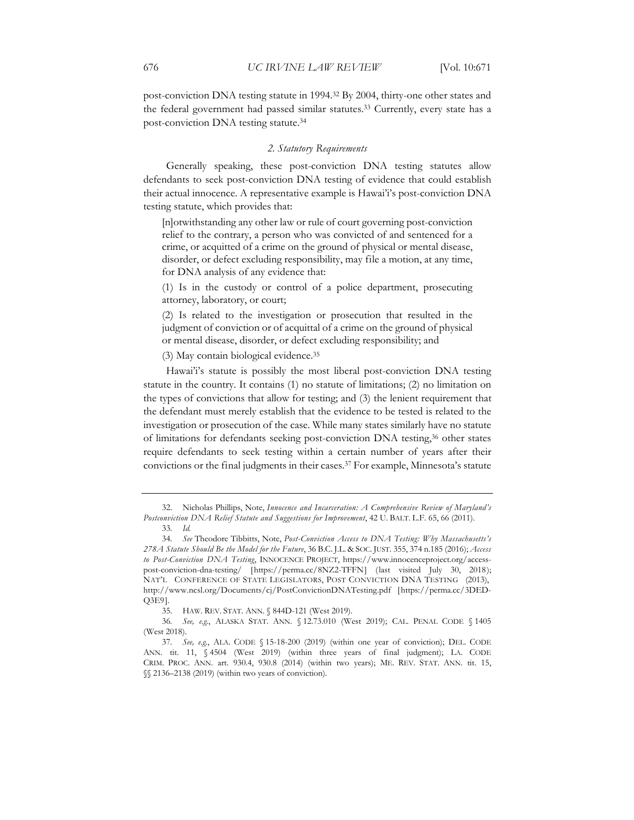post-conviction DNA testing statute in 1994.32 By 2004, thirty-one other states and the federal government had passed similar statutes.<sup>33</sup> Currently, every state has a post-conviction DNA testing statute.34

#### *2. Statutory Requirements*

Generally speaking, these post-conviction DNA testing statutes allow defendants to seek post-conviction DNA testing of evidence that could establish their actual innocence. A representative example is Hawai'i's post-conviction DNA testing statute, which provides that:

[n]otwithstanding any other law or rule of court governing post-conviction relief to the contrary, a person who was convicted of and sentenced for a crime, or acquitted of a crime on the ground of physical or mental disease, disorder, or defect excluding responsibility, may file a motion, at any time, for DNA analysis of any evidence that:

(1) Is in the custody or control of a police department, prosecuting attorney, laboratory, or court;

(2) Is related to the investigation or prosecution that resulted in the judgment of conviction or of acquittal of a crime on the ground of physical or mental disease, disorder, or defect excluding responsibility; and

(3) May contain biological evidence.35

Hawai'i's statute is possibly the most liberal post-conviction DNA testing statute in the country. It contains (1) no statute of limitations; (2) no limitation on the types of convictions that allow for testing; and (3) the lenient requirement that the defendant must merely establish that the evidence to be tested is related to the investigation or prosecution of the case. While many states similarly have no statute of limitations for defendants seeking post-conviction DNA testing,36 other states require defendants to seek testing within a certain number of years after their convictions or the final judgments in their cases.37 For example, Minnesota's statute

<sup>32.</sup> Nicholas Phillips, Note, *Innocence and Incarceration: A Comprehensive Review of Maryland's Postconviction DNA Relief Statute and Suggestions for Improvement*, 42 U. BALT. L.F. 65, 66 (2011).

<sup>33</sup>*. Id.*

<sup>34</sup>*. See* Theodore Tibbitts, Note, *Post-Conviction Access to DNA Testing: Why Massachusetts's 278A Statute Should Be the Model for the Future*, 36 B.C. J.L. & SOC. JUST. 355, 374 n.185 (2016); *Access to Post-Conviction DNA Testing*, INNOCENCE PROJECT, https://www.innocenceproject.org/accesspost-conviction-dna-testing/ [https://perma.cc/8NZ2-TFFN] (last visited July 30, 2018); NAT'L CONFERENCE OF STATE LEGISLATORS, POST CONVICTION DNA TESTING (2013), http://www.ncsl.org/Documents/cj/PostConvictionDNATesting.pdf [https://perma.cc/3DED-Q3E9].

<sup>35.</sup> HAW. REV. STAT. ANN. § 844D-121 (West 2019).

<sup>36</sup>*. See, e.g.*, ALASKA STAT. ANN. § 12.73.010 (West 2019); CAL. PENAL CODE § 1405 (West 2018).

<sup>37</sup>*. See, e.g.*, ALA. CODE § 15-18-200 (2019) (within one year of conviction); DEL. CODE ANN. tit. 11, § 4504 (West 2019) (within three years of final judgment); LA. CODE CRIM. PROC. ANN. art. 930.4, 930.8 (2014) (within two years); ME. REV. STAT. ANN. tit. 15, §§ 2136–2138 (2019) (within two years of conviction).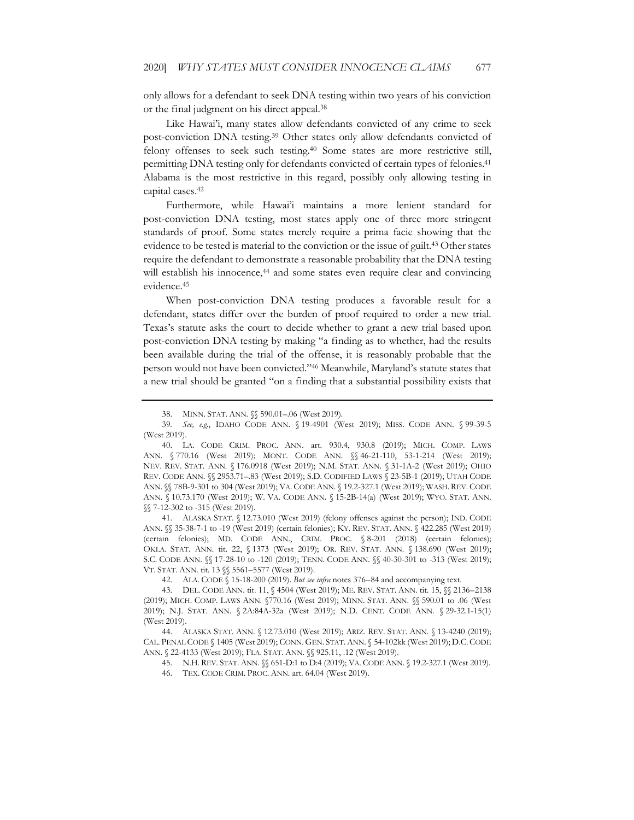only allows for a defendant to seek DNA testing within two years of his conviction or the final judgment on his direct appeal.38

Like Hawai'i, many states allow defendants convicted of any crime to seek post-conviction DNA testing.39 Other states only allow defendants convicted of felony offenses to seek such testing.40 Some states are more restrictive still, permitting DNA testing only for defendants convicted of certain types of felonies.<sup>41</sup> Alabama is the most restrictive in this regard, possibly only allowing testing in capital cases.42

Furthermore, while Hawai'i maintains a more lenient standard for post-conviction DNA testing, most states apply one of three more stringent standards of proof. Some states merely require a prima facie showing that the evidence to be tested is material to the conviction or the issue of guilt.43 Other states require the defendant to demonstrate a reasonable probability that the DNA testing will establish his innocence,<sup>44</sup> and some states even require clear and convincing evidence.45

When post-conviction DNA testing produces a favorable result for a defendant, states differ over the burden of proof required to order a new trial. Texas's statute asks the court to decide whether to grant a new trial based upon post-conviction DNA testing by making "a finding as to whether, had the results been available during the trial of the offense, it is reasonably probable that the person would not have been convicted."46 Meanwhile, Maryland's statute states that a new trial should be granted "on a finding that a substantial possibility exists that

41. ALASKA STAT. § 12.73.010 (West 2019) (felony offenses against the person); IND. CODE ANN. §§ 35-38-7-1 to -19 (West 2019) (certain felonies); KY. REV. STAT. ANN. § 422.285 (West 2019) (certain felonies); MD. CODE ANN., CRIM. PROC. § 8-201 (2018) (certain felonies); OKLA. STAT. ANN. tit. 22, § 1373 (West 2019); OR. REV. STAT. ANN. § 138.690 (West 2019); S.C. CODE ANN. §§ 17-28-10 to -120 (2019); TENN. CODE ANN. §§ 40-30-301 to -313 (West 2019); VT. STAT. ANN. tit. 13 §§ 5561–5577 (West 2019).

42. ALA. CODE § 15-18-200 (2019). *But see infra* notes 376–84 and accompanying text.

43. DEL. CODE ANN. tit. 11,  $\sqrt{4504}$  (West 2019); ME. REV. STAT. ANN. tit. 15,  $\sqrt{2136-2138}$ (2019); MICH. COMP. LAWS ANN. §770.16 (West 2019); MINN. STAT. ANN. §§ 590.01 to .06 (West 2019); N.J. STAT. ANN. § 2A:84A-32a (West 2019); N.D. CENT. CODE ANN. § 29-32.1-15(1) (West 2019).

44. ALASKA STAT. ANN. § 12.73.010 (West 2019); ARIZ. REV. STAT. ANN. § 13-4240 (2019); CAL. PENAL CODE § 1405 (West 2019); CONN. GEN. STAT.ANN. § 54-102kk (West 2019); D.C.CODE ANN. § 22-4133 (West 2019); FLA. STAT. ANN. §§ 925.11, .12 (West 2019).

45. N.H. REV. STAT. ANN. §§ 651-D:1 to D:4 (2019); VA. CODE ANN. § 19.2-327.1 (West 2019).

46. TEX. CODE CRIM. PROC. ANN. art. 64.04 (West 2019).

<sup>38.</sup> MINN. STAT. ANN. §§ 590.01–.06 (West 2019).

<sup>39</sup>*. See, e.g.*, IDAHO CODE ANN. § 19-4901 (West 2019); MISS. CODE ANN. § 99-39-5 (West 2019).

<sup>40.</sup> LA. CODE CRIM. PROC. ANN. art. 930.4, 930.8 (2019); MICH. COMP. LAWS ANN. § 770.16 (West 2019); MONT. CODE ANN. §§ 46-21-110, 53-1-214 (West 2019); NEV. REV. STAT. ANN. § 176.0918 (West 2019); N.M. STAT. ANN. § 31-1A-2 (West 2019); OHIO REV. CODE ANN. §§ 2953.71–.83 (West 2019); S.D. CODIFIED LAWS § 23-5B-1 (2019); UTAH CODE ANN. §§ 78B-9-301 to 304 (West 2019); VA. CODE ANN. § 19.2-327.1 (West 2019); WASH. REV. CODE ANN. § 10.73.170 (West 2019); W. VA. CODE ANN. § 15-2B-14(a) (West 2019); WYO. STAT. ANN. §§ 7-12-302 to -315 (West 2019).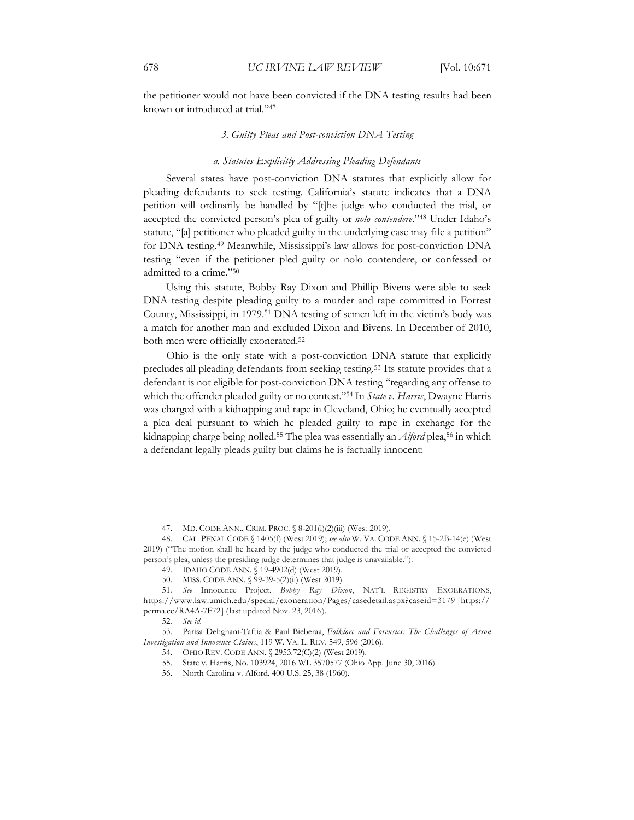the petitioner would not have been convicted if the DNA testing results had been known or introduced at trial."47

#### *3. Guilty Pleas and Post-conviction DNA Testing*

#### *a. Statutes Explicitly Addressing Pleading Defendants*

Several states have post-conviction DNA statutes that explicitly allow for pleading defendants to seek testing. California's statute indicates that a DNA petition will ordinarily be handled by "[t]he judge who conducted the trial, or accepted the convicted person's plea of guilty or *nolo contendere*."48 Under Idaho's statute, "[a] petitioner who pleaded guilty in the underlying case may file a petition" for DNA testing.49 Meanwhile, Mississippi's law allows for post-conviction DNA testing "even if the petitioner pled guilty or nolo contendere, or confessed or admitted to a crime."50

Using this statute, Bobby Ray Dixon and Phillip Bivens were able to seek DNA testing despite pleading guilty to a murder and rape committed in Forrest County, Mississippi, in 1979.51 DNA testing of semen left in the victim's body was a match for another man and excluded Dixon and Bivens. In December of 2010, both men were officially exonerated.52

Ohio is the only state with a post-conviction DNA statute that explicitly precludes all pleading defendants from seeking testing.53 Its statute provides that a defendant is not eligible for post-conviction DNA testing "regarding any offense to which the offender pleaded guilty or no contest."54 In *State v. Harris*, Dwayne Harris was charged with a kidnapping and rape in Cleveland, Ohio; he eventually accepted a plea deal pursuant to which he pleaded guilty to rape in exchange for the kidnapping charge being nolled.<sup>55</sup> The plea was essentially an *Alford* plea,<sup>56</sup> in which a defendant legally pleads guilty but claims he is factually innocent:

<sup>47.</sup> MD. CODE ANN., CRIM. PROC. § 8-201(i)(2)(iii) (West 2019).

<sup>48.</sup> CAL. PENAL CODE § 1405(f) (West 2019); *see also* W. VA. CODE ANN. § 15-2B-14(e) (West 2019) ("The motion shall be heard by the judge who conducted the trial or accepted the convicted person's plea, unless the presiding judge determines that judge is unavailable.").

<sup>49.</sup> IDAHO CODE ANN. § 19-4902(d) (West 2019).

<sup>50.</sup> MISS. CODE ANN. § 99-39-5(2)(ii) (West 2019).

<sup>51</sup>*. See* Innocence Project, *Bobby Ray Dixon*, NAT'L REGISTRY EXOERATIONS, https://www.law.umich.edu/special/exoneration/Pages/casedetail.aspx?caseid=3179 [https:// perma.cc/RA4A-7F72] (last updated Nov. 23, 2016).

<sup>52</sup>*. See id.*

<sup>53.</sup> Parisa Dehghani-Taftia & Paul Bieberaa, *Folklore and Forensics: The Challenges of Arson Investigation and Innocence Claims*, 119 W. VA. L. REV. 549, 596 (2016).

<sup>54.</sup> OHIO REV. CODE ANN. § 2953.72(C)(2) (West 2019).

<sup>55.</sup> State v. Harris, No. 103924, 2016 WL 3570577 (Ohio App. June 30, 2016).

<sup>56.</sup> North Carolina v. Alford, 400 U.S. 25, 38 (1960).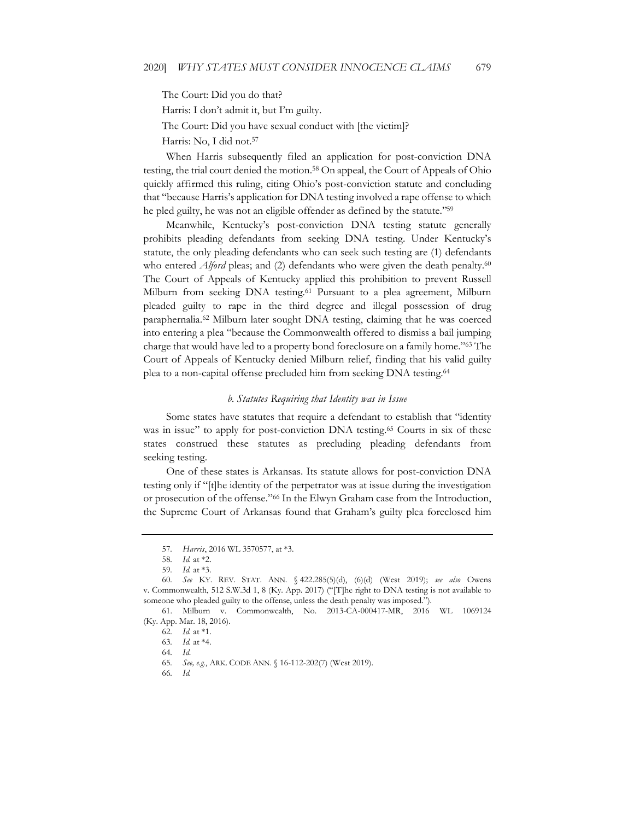The Court: Did you do that?

Harris: I don't admit it, but I'm guilty.

The Court: Did you have sexual conduct with [the victim]?

Harris: No, I did not.57

When Harris subsequently filed an application for post-conviction DNA testing, the trial court denied the motion.58 On appeal, the Court of Appeals of Ohio quickly affirmed this ruling, citing Ohio's post-conviction statute and concluding that "because Harris's application for DNA testing involved a rape offense to which he pled guilty, he was not an eligible offender as defined by the statute."<sup>59</sup>

Meanwhile, Kentucky's post-conviction DNA testing statute generally prohibits pleading defendants from seeking DNA testing. Under Kentucky's statute, the only pleading defendants who can seek such testing are (1) defendants who entered *Alford* pleas; and (2) defendants who were given the death penalty.<sup>60</sup> The Court of Appeals of Kentucky applied this prohibition to prevent Russell Milburn from seeking DNA testing.<sup>61</sup> Pursuant to a plea agreement, Milburn pleaded guilty to rape in the third degree and illegal possession of drug paraphernalia.62 Milburn later sought DNA testing, claiming that he was coerced into entering a plea "because the Commonwealth offered to dismiss a bail jumping charge that would have led to a property bond foreclosure on a family home."63 The Court of Appeals of Kentucky denied Milburn relief, finding that his valid guilty plea to a non-capital offense precluded him from seeking DNA testing.64

#### *b. Statutes Requiring that Identity was in Issue*

Some states have statutes that require a defendant to establish that "identity was in issue" to apply for post-conviction DNA testing.<sup>65</sup> Courts in six of these states construed these statutes as precluding pleading defendants from seeking testing.

One of these states is Arkansas. Its statute allows for post-conviction DNA testing only if "[t]he identity of the perpetrator was at issue during the investigation or prosecution of the offense."66 In the Elwyn Graham case from the Introduction, the Supreme Court of Arkansas found that Graham's guilty plea foreclosed him

66*. Id.*

<sup>57</sup>*. Harris*, 2016 WL 3570577, at \*3.

<sup>58</sup>*. Id.* at \*2.

<sup>59</sup>*. Id.* at \*3.

<sup>60</sup>*. See* KY. REV. STAT. ANN. § 422.285(5)(d), (6)(d) (West 2019); *see also* Owens v. Commonwealth, 512 S.W.3d 1, 8 (Ky. App. 2017) ("[T]he right to DNA testing is not available to someone who pleaded guilty to the offense, unless the death penalty was imposed.").

<sup>61.</sup> Milburn v. Commonwealth, No. 2013-CA-000417-MR, 2016 WL 1069124 (Ky. App. Mar. 18, 2016).

<sup>62</sup>*. Id.* at \*1.

<sup>63</sup>*. Id.* at \*4.

<sup>64</sup>*. Id*.

<sup>65</sup>*. See, e.g.*, ARK. CODE ANN. § 16-112-202(7) (West 2019).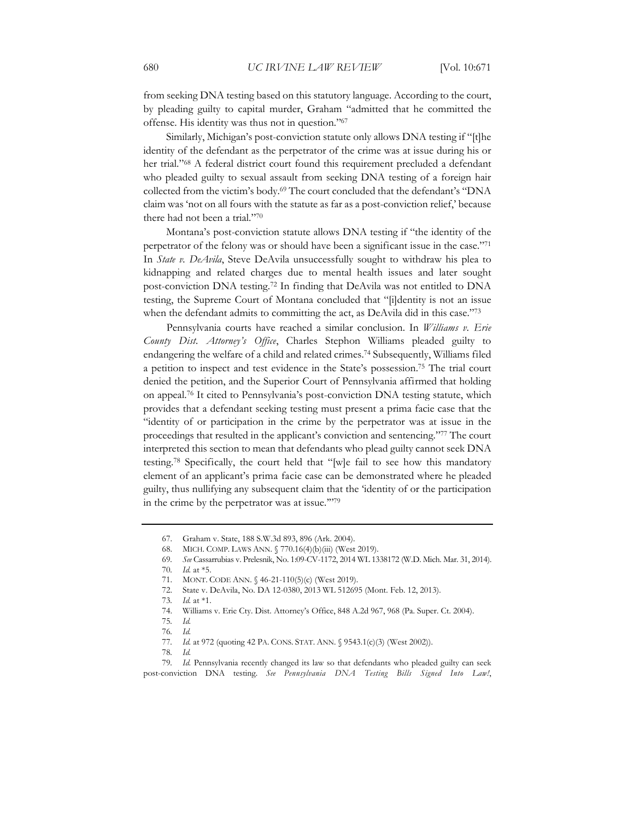from seeking DNA testing based on this statutory language. According to the court, by pleading guilty to capital murder, Graham "admitted that he committed the offense. His identity was thus not in question."67

Similarly, Michigan's post-conviction statute only allows DNA testing if "[t]he identity of the defendant as the perpetrator of the crime was at issue during his or her trial."68 A federal district court found this requirement precluded a defendant who pleaded guilty to sexual assault from seeking DNA testing of a foreign hair collected from the victim's body.69 The court concluded that the defendant's "DNA claim was 'not on all fours with the statute as far as a post-conviction relief,' because there had not been a trial."70

Montana's post-conviction statute allows DNA testing if "the identity of the perpetrator of the felony was or should have been a significant issue in the case."71 In *State v. DeAvila*, Steve DeAvila unsuccessfully sought to withdraw his plea to kidnapping and related charges due to mental health issues and later sought post-conviction DNA testing.72 In finding that DeAvila was not entitled to DNA testing, the Supreme Court of Montana concluded that "[i]dentity is not an issue when the defendant admits to committing the act, as DeAvila did in this case."73

Pennsylvania courts have reached a similar conclusion. In *Williams v. Erie County Dist. Attorney's Office*, Charles Stephon Williams pleaded guilty to endangering the welfare of a child and related crimes.74 Subsequently, Williams filed a petition to inspect and test evidence in the State's possession.75 The trial court denied the petition, and the Superior Court of Pennsylvania affirmed that holding on appeal.76 It cited to Pennsylvania's post-conviction DNA testing statute, which provides that a defendant seeking testing must present a prima facie case that the "identity of or participation in the crime by the perpetrator was at issue in the proceedings that resulted in the applicant's conviction and sentencing."77 The court interpreted this section to mean that defendants who plead guilty cannot seek DNA testing.78 Specifically, the court held that "[w]e fail to see how this mandatory element of an applicant's prima facie case can be demonstrated where he pleaded guilty, thus nullifying any subsequent claim that the 'identity of or the participation in the crime by the perpetrator was at issue.'"79

72. State v. DeAvila, No. DA 12-0380, 2013 WL 512695 (Mont. Feb. 12, 2013).

74. Williams v. Erie Cty. Dist. Attorney's Office, 848 A.2d 967, 968 (Pa. Super. Ct. 2004).

<sup>67.</sup> Graham v. State, 188 S.W.3d 893, 896 (Ark. 2004).

<sup>68.</sup> MICH. COMP. LAWS ANN. § 770.16(4)(b)(iii) (West 2019).

<sup>69</sup>*. See* Cassarrubias v. Prelesnik, No. 1:09-CV-1172, 2014 WL 1338172 (W.D. Mich. Mar. 31, 2014).

<sup>70</sup>*. Id.* at \*5.

<sup>71.</sup> MONT. CODE ANN. § 46-21-110(5)(c) (West 2019).

<sup>73</sup>*. Id.* at \*1.

<sup>75</sup>*. Id.*

<sup>76</sup>*. Id.*

<sup>77.</sup> *Id.* at 972 (quoting 42 PA. CONS. STAT. ANN. § 9543.1(c)(3) (West 2002)).

<sup>78</sup>*. Id.*

<sup>79</sup>*. Id.* Pennsylvania recently changed its law so that defendants who pleaded guilty can seek post-conviction DNA testing. *See Pennsylvania DNA Testing Bills Signed Into Law!*,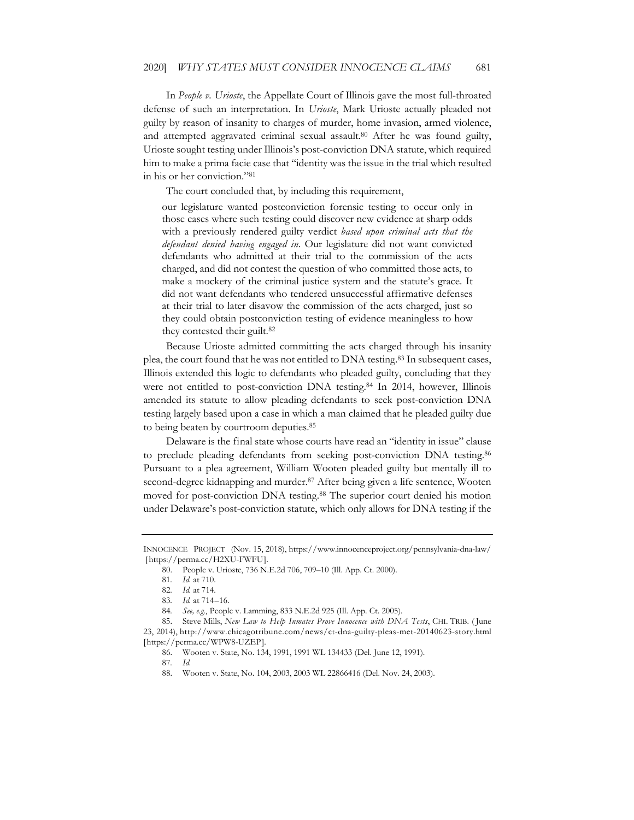In *People v. Urioste*, the Appellate Court of Illinois gave the most full-throated defense of such an interpretation. In *Urioste*, Mark Urioste actually pleaded not guilty by reason of insanity to charges of murder, home invasion, armed violence, and attempted aggravated criminal sexual assault.<sup>80</sup> After he was found guilty, Urioste sought testing under Illinois's post-conviction DNA statute, which required him to make a prima facie case that "identity was the issue in the trial which resulted in his or her conviction."81

The court concluded that, by including this requirement,

our legislature wanted postconviction forensic testing to occur only in those cases where such testing could discover new evidence at sharp odds with a previously rendered guilty verdict *based upon criminal acts that the defendant denied having engaged in.* Our legislature did not want convicted defendants who admitted at their trial to the commission of the acts charged, and did not contest the question of who committed those acts, to make a mockery of the criminal justice system and the statute's grace. It did not want defendants who tendered unsuccessful affirmative defenses at their trial to later disavow the commission of the acts charged, just so they could obtain postconviction testing of evidence meaningless to how they contested their guilt.82

Because Urioste admitted committing the acts charged through his insanity plea, the court found that he was not entitled to DNA testing.<sup>83</sup> In subsequent cases, Illinois extended this logic to defendants who pleaded guilty, concluding that they were not entitled to post-conviction DNA testing.<sup>84</sup> In 2014, however, Illinois amended its statute to allow pleading defendants to seek post-conviction DNA testing largely based upon a case in which a man claimed that he pleaded guilty due to being beaten by courtroom deputies.85

Delaware is the final state whose courts have read an "identity in issue" clause to preclude pleading defendants from seeking post-conviction DNA testing.86 Pursuant to a plea agreement, William Wooten pleaded guilty but mentally ill to second-degree kidnapping and murder.<sup>87</sup> After being given a life sentence, Wooten moved for post-conviction DNA testing.88 The superior court denied his motion under Delaware's post-conviction statute, which only allows for DNA testing if the

INNOCENCE PROJECT (Nov. 15, 2018), https://www.innocenceproject.org/pennsylvania-dna-law/ [https://perma.cc/H2XU-FWFU].

<sup>80.</sup> People v. Urioste, 736 N.E.2d 706, 709–10 (Ill. App. Ct. 2000).

<sup>81</sup>*. Id.* at 710.

<sup>82</sup>*. Id.* at 714.

<sup>83</sup>*. Id.* at 714–16.

<sup>84</sup>*. See, e.g.*, People v. Lamming, 833 N.E.2d 925 (Ill. App. Ct. 2005).

<sup>85.</sup> Steve Mills, *New Law to Help Inmates Prove Innocence with DNA Tests*, CHI. TRIB. ( June 23, 2014), http://www.chicagotribune.com/news/ct-dna-guilty-pleas-met-20140623-story.html [https://perma.cc/WPW8-UZEP].

<sup>86.</sup> Wooten v. State, No. 134, 1991, 1991 WL 134433 (Del. June 12, 1991).

<sup>87</sup>*. Id.*

<sup>88.</sup> Wooten v. State, No. 104, 2003, 2003 WL 22866416 (Del. Nov. 24, 2003).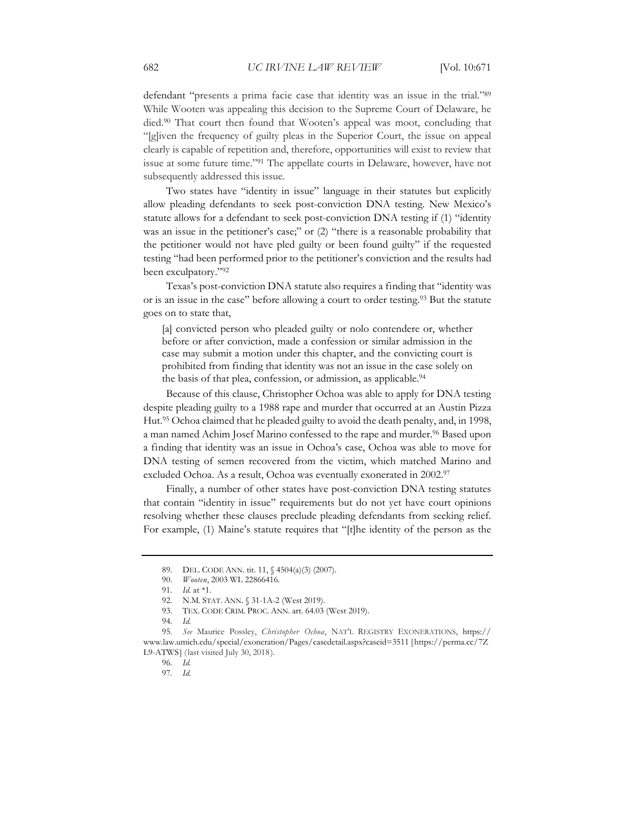defendant "presents a prima facie case that identity was an issue in the trial."89 While Wooten was appealing this decision to the Supreme Court of Delaware, he died.90 That court then found that Wooten's appeal was moot, concluding that "[g]iven the frequency of guilty pleas in the Superior Court, the issue on appeal clearly is capable of repetition and, therefore, opportunities will exist to review that issue at some future time."91 The appellate courts in Delaware, however, have not subsequently addressed this issue.

Two states have "identity in issue" language in their statutes but explicitly allow pleading defendants to seek post-conviction DNA testing. New Mexico's statute allows for a defendant to seek post-conviction DNA testing if (1) "identity was an issue in the petitioner's case;" or (2) "there is a reasonable probability that the petitioner would not have pled guilty or been found guilty" if the requested testing "had been performed prior to the petitioner's conviction and the results had been exculpatory."92

Texas's post-conviction DNA statute also requires a finding that "identity was or is an issue in the case" before allowing a court to order testing.93 But the statute goes on to state that,

[a] convicted person who pleaded guilty or nolo contendere or, whether before or after conviction, made a confession or similar admission in the case may submit a motion under this chapter, and the convicting court is prohibited from finding that identity was not an issue in the case solely on the basis of that plea, confession, or admission, as applicable.94

Because of this clause, Christopher Ochoa was able to apply for DNA testing despite pleading guilty to a 1988 rape and murder that occurred at an Austin Pizza Hut.95 Ochoa claimed that he pleaded guilty to avoid the death penalty, and, in 1998, a man named Achim Josef Marino confessed to the rape and murder.<sup>96</sup> Based upon a finding that identity was an issue in Ochoa's case, Ochoa was able to move for DNA testing of semen recovered from the victim, which matched Marino and excluded Ochoa. As a result, Ochoa was eventually exonerated in 2002.97

Finally, a number of other states have post-conviction DNA testing statutes that contain "identity in issue" requirements but do not yet have court opinions resolving whether these clauses preclude pleading defendants from seeking relief. For example, (1) Maine's statute requires that "[t]he identity of the person as the

<sup>89.</sup> DEL. CODE ANN. tit. 11, § 4504(a)(3) (2007).

<sup>90.</sup> *Wooten*, 2003 WL 22866416.

<sup>91</sup>*. Id.* at \*1.

<sup>92.</sup> N.M. STAT. ANN. § 31-1A-2 (West 2019).

<sup>93.</sup> TEX. CODE CRIM. PROC. ANN. art. 64.03 (West 2019).

<sup>94</sup>*. Id*.

<sup>95</sup>*. See* Maurice Possley, *Christopher Ochoa*, NAT'L REGISTRY EXONERATIONS, https:// www.law.umich.edu/special/exoneration/Pages/casedetail.aspx?caseid=3511 [https://perma.cc/7Z L9-ATWS] (last visited July 30, 2018).

<sup>96</sup>*. Id.*

<sup>97</sup>*. Id.*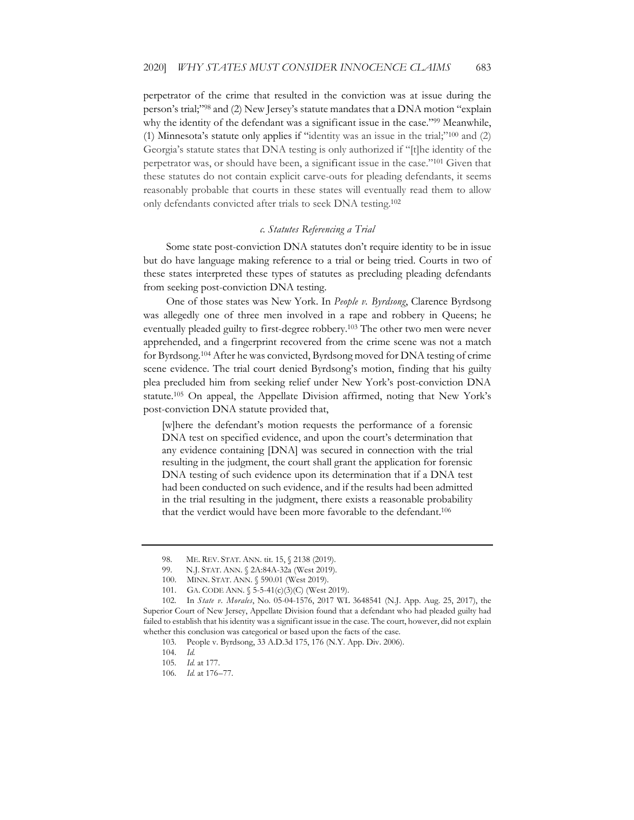perpetrator of the crime that resulted in the conviction was at issue during the person's trial;"98 and (2) New Jersey's statute mandates that a DNA motion "explain why the identity of the defendant was a significant issue in the case."<sup>99</sup> Meanwhile, (1) Minnesota's statute only applies if "identity was an issue in the trial;"100 and (2) Georgia's statute states that DNA testing is only authorized if "[t]he identity of the perpetrator was, or should have been, a significant issue in the case."101 Given that these statutes do not contain explicit carve-outs for pleading defendants, it seems reasonably probable that courts in these states will eventually read them to allow only defendants convicted after trials to seek DNA testing.102

#### *c. Statutes Referencing a Trial*

Some state post-conviction DNA statutes don't require identity to be in issue but do have language making reference to a trial or being tried. Courts in two of these states interpreted these types of statutes as precluding pleading defendants from seeking post-conviction DNA testing.

One of those states was New York. In *People v. Byrdsong*, Clarence Byrdsong was allegedly one of three men involved in a rape and robbery in Queens; he eventually pleaded guilty to first-degree robbery.<sup>103</sup> The other two men were never apprehended, and a fingerprint recovered from the crime scene was not a match for Byrdsong.104 After he was convicted, Byrdsong moved for DNA testing of crime scene evidence. The trial court denied Byrdsong's motion, finding that his guilty plea precluded him from seeking relief under New York's post-conviction DNA statute.105 On appeal, the Appellate Division affirmed, noting that New York's post-conviction DNA statute provided that,

[w]here the defendant's motion requests the performance of a forensic DNA test on specified evidence, and upon the court's determination that any evidence containing [DNA] was secured in connection with the trial resulting in the judgment, the court shall grant the application for forensic DNA testing of such evidence upon its determination that if a DNA test had been conducted on such evidence, and if the results had been admitted in the trial resulting in the judgment, there exists a reasonable probability that the verdict would have been more favorable to the defendant.106

<sup>98.</sup> ME. REV. STAT. ANN. tit. 15, § 2138 (2019).

<sup>99.</sup> N.J. STAT. ANN. § 2A:84A-32a (West 2019).

<sup>100.</sup> MINN. STAT. ANN. § 590.01 (West 2019).

<sup>101.</sup> GA. CODE ANN. § 5-5-41(c)(3)(C) (West 2019).

<sup>102.</sup> In *State v. Morales*, No. 05-04-1576, 2017 WL 3648541 (N.J. App. Aug. 25, 2017), the Superior Court of New Jersey, Appellate Division found that a defendant who had pleaded guilty had failed to establish that his identity was a significant issue in the case. The court, however, did not explain whether this conclusion was categorical or based upon the facts of the case.

<sup>103.</sup> People v. Byrdsong, 33 A.D.3d 175, 176 (N.Y. App. Div. 2006).

<sup>104</sup>*. Id.*

<sup>105</sup>*. Id.* at 177.

<sup>106</sup>*. Id.* at 176–77.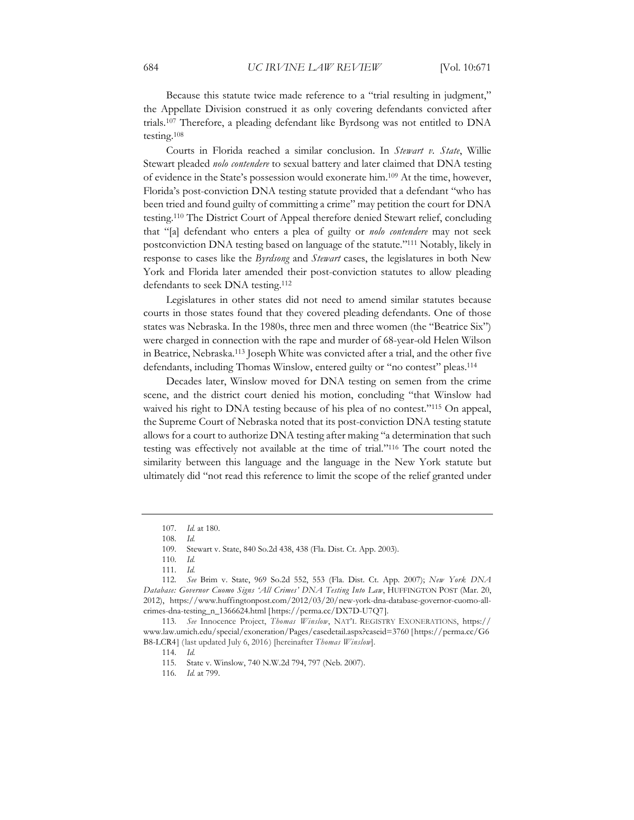Because this statute twice made reference to a "trial resulting in judgment," the Appellate Division construed it as only covering defendants convicted after trials.107 Therefore, a pleading defendant like Byrdsong was not entitled to DNA testing.108

Courts in Florida reached a similar conclusion. In *Stewart v. State*, Willie Stewart pleaded *nolo contendere* to sexual battery and later claimed that DNA testing of evidence in the State's possession would exonerate him.109 At the time, however, Florida's post-conviction DNA testing statute provided that a defendant "who has been tried and found guilty of committing a crime" may petition the court for DNA testing.110 The District Court of Appeal therefore denied Stewart relief, concluding that "[a] defendant who enters a plea of guilty or *nolo contendere* may not seek postconviction DNA testing based on language of the statute."111 Notably, likely in response to cases like the *Byrdsong* and *Stewart* cases, the legislatures in both New York and Florida later amended their post-conviction statutes to allow pleading defendants to seek DNA testing.<sup>112</sup>

Legislatures in other states did not need to amend similar statutes because courts in those states found that they covered pleading defendants. One of those states was Nebraska. In the 1980s, three men and three women (the "Beatrice Six") were charged in connection with the rape and murder of 68-year-old Helen Wilson in Beatrice, Nebraska.113 Joseph White was convicted after a trial, and the other five defendants, including Thomas Winslow, entered guilty or "no contest" pleas.<sup>114</sup>

Decades later, Winslow moved for DNA testing on semen from the crime scene, and the district court denied his motion, concluding "that Winslow had waived his right to DNA testing because of his plea of no contest."<sup>115</sup> On appeal, the Supreme Court of Nebraska noted that its post-conviction DNA testing statute allows for a court to authorize DNA testing after making "a determination that such testing was effectively not available at the time of trial."116 The court noted the similarity between this language and the language in the New York statute but ultimately did "not read this reference to limit the scope of the relief granted under

110*. Id.*

<sup>107</sup>*. Id.* at 180.

<sup>108</sup>*. Id.*

<sup>109.</sup> Stewart v. State, 840 So.2d 438, 438 (Fla. Dist. Ct. App. 2003).

<sup>111</sup>*. Id.*

<sup>112</sup>*. See* Brim v. State, 969 So.2d 552, 553 (Fla. Dist. Ct. App. 2007); *New York DNA Database: Governor Cuomo Signs 'All Crimes' DNA Testing Into Law*, HUFFINGTON POST (Mar. 20, 2012), https://www.huffingtonpost.com/2012/03/20/new-york-dna-database-governor-cuomo-allcrimes-dna-testing\_n\_1366624.html [https://perma.cc/DX7D-U7Q7].

<sup>113</sup>*. See* Innocence Project, *Thomas Winslow*, NAT'L REGISTRY EXONERATIONS, https:// www.law.umich.edu/special/exoneration/Pages/casedetail.aspx?caseid=3760 [https://perma.cc/G6 B8-LCR4] (last updated July 6, 2016) [hereinafter *Thomas Winslow*].

<sup>114</sup>*. Id.*

<sup>115.</sup> State v. Winslow, 740 N.W.2d 794, 797 (Neb. 2007).

<sup>116</sup>*. Id.* at 799.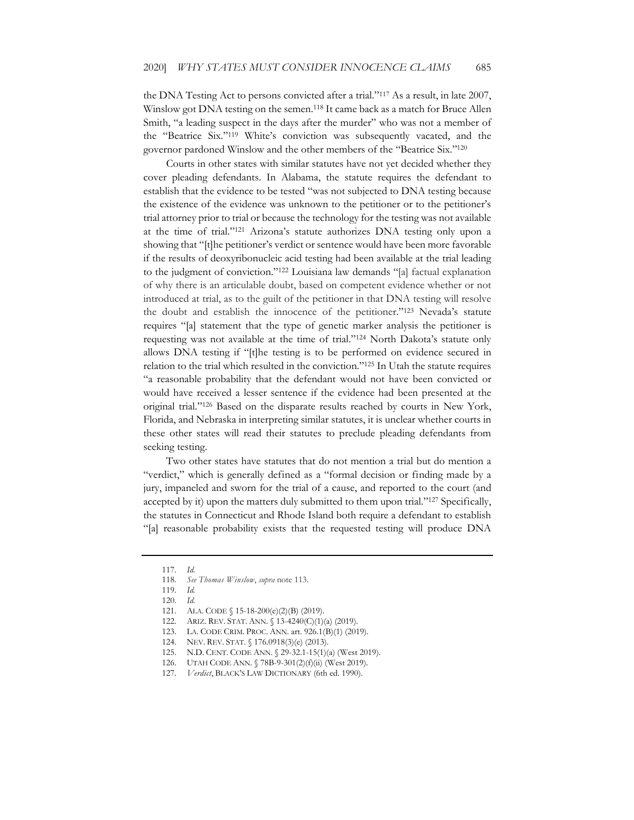the DNA Testing Act to persons convicted after a trial."117 As a result, in late 2007, Winslow got DNA testing on the semen.<sup>118</sup> It came back as a match for Bruce Allen Smith, "a leading suspect in the days after the murder" who was not a member of the "Beatrice Six."119 White's conviction was subsequently vacated, and the governor pardoned Winslow and the other members of the "Beatrice Six."120

Courts in other states with similar statutes have not yet decided whether they cover pleading defendants. In Alabama, the statute requires the defendant to establish that the evidence to be tested "was not subjected to DNA testing because the existence of the evidence was unknown to the petitioner or to the petitioner's trial attorney prior to trial or because the technology for the testing was not available at the time of trial."121 Arizona's statute authorizes DNA testing only upon a showing that "[t]he petitioner's verdict or sentence would have been more favorable if the results of deoxyribonucleic acid testing had been available at the trial leading to the judgment of conviction."122 Louisiana law demands "[a] factual explanation of why there is an articulable doubt, based on competent evidence whether or not introduced at trial, as to the guilt of the petitioner in that DNA testing will resolve the doubt and establish the innocence of the petitioner."123 Nevada's statute requires "[a] statement that the type of genetic marker analysis the petitioner is requesting was not available at the time of trial."124 North Dakota's statute only allows DNA testing if "[t]he testing is to be performed on evidence secured in relation to the trial which resulted in the conviction."125 In Utah the statute requires "a reasonable probability that the defendant would not have been convicted or would have received a lesser sentence if the evidence had been presented at the original trial."126 Based on the disparate results reached by courts in New York, Florida, and Nebraska in interpreting similar statutes, it is unclear whether courts in these other states will read their statutes to preclude pleading defendants from seeking testing.

Two other states have statutes that do not mention a trial but do mention a "verdict," which is generally defined as a "formal decision or finding made by a jury, impaneled and sworn for the trial of a cause, and reported to the court (and accepted by it) upon the matters duly submitted to them upon trial."<sup>127</sup> Specifically, the statutes in Connecticut and Rhode Island both require a defendant to establish "[a] reasonable probability exists that the requested testing will produce DNA

- 122. ARIZ. REV. STAT. ANN. § 13-4240(C)(1)(a) (2019).
- 123. LA. CODE CRIM. PROC. ANN. art. 926.1(B)(1) (2019).

<sup>117</sup>*. Id*.

<sup>118</sup>*. See Thomas Winslow*, *supra* note 113.

<sup>119</sup>*. Id.*

<sup>120</sup>*. Id.*

<sup>121.</sup> ALA. CODE § 15-18-200(e)(2)(B) (2019).

<sup>124.</sup> NEV. REV. STAT. § 176.0918(3)(e) (2013).

<sup>125.</sup> N.D. CENT. CODE ANN. § 29-32.1-15(1)(a) (West 2019).

<sup>126.</sup> UTAH CODE ANN. § 78В-9-301(2)(f)(ii) (West 2019).

<sup>127</sup>*. Verdict*, BLACK'S LAW DICTIONARY (6th ed. 1990).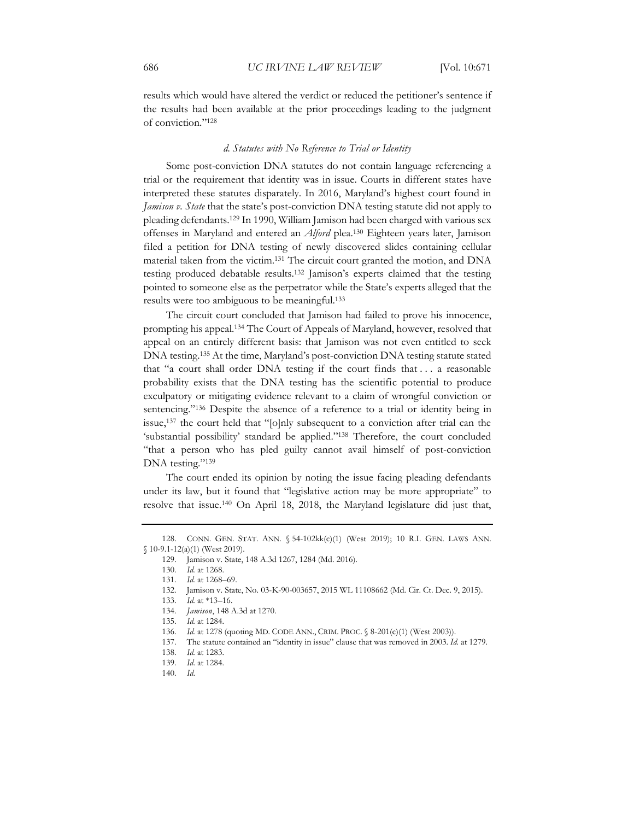results which would have altered the verdict or reduced the petitioner's sentence if the results had been available at the prior proceedings leading to the judgment of conviction."128

#### *d. Statutes with No Reference to Trial or Identity*

Some post-conviction DNA statutes do not contain language referencing a trial or the requirement that identity was in issue. Courts in different states have interpreted these statutes disparately. In 2016, Maryland's highest court found in *Jamison v. State* that the state's post-conviction DNA testing statute did not apply to pleading defendants.129 In 1990, William Jamison had been charged with various sex offenses in Maryland and entered an *Alford* plea.130 Eighteen years later, Jamison filed a petition for DNA testing of newly discovered slides containing cellular material taken from the victim.131 The circuit court granted the motion, and DNA testing produced debatable results.132 Jamison's experts claimed that the testing pointed to someone else as the perpetrator while the State's experts alleged that the results were too ambiguous to be meaningful.133

The circuit court concluded that Jamison had failed to prove his innocence, prompting his appeal.134 The Court of Appeals of Maryland, however, resolved that appeal on an entirely different basis: that Jamison was not even entitled to seek DNA testing.135 At the time, Maryland's post-conviction DNA testing statute stated that "a court shall order DNA testing if the court finds that . . . a reasonable probability exists that the DNA testing has the scientific potential to produce exculpatory or mitigating evidence relevant to a claim of wrongful conviction or sentencing."<sup>136</sup> Despite the absence of a reference to a trial or identity being in issue,137 the court held that "[o]nly subsequent to a conviction after trial can the 'substantial possibility' standard be applied."138 Therefore, the court concluded "that a person who has pled guilty cannot avail himself of post-conviction DNA testing."139

The court ended its opinion by noting the issue facing pleading defendants under its law, but it found that "legislative action may be more appropriate" to resolve that issue.140 On April 18, 2018, the Maryland legislature did just that,

<sup>128.</sup> CONN. GEN. STAT. ANN. § 54-102kk(c)(1) (West 2019); 10 R.I. GEN. LAWS ANN. § 10-9.1-12(a)(1) (West 2019).

<sup>129.</sup> Jamison v. State, 148 A.3d 1267, 1284 (Md. 2016).

<sup>130</sup>*. Id.* at 1268.

<sup>131</sup>*. Id.* at 1268–69.

<sup>132.</sup> Jamison v. State, No. 03-K-90-003657, 2015 WL 11108662 (Md. Cir. Ct. Dec. 9, 2015).

<sup>133</sup>*. Id.* at \*13–16.

<sup>134</sup>*. Jamison*, 148 A.3d at 1270.

<sup>135</sup>*. Id.* at 1284.

<sup>136</sup>*. Id.* at 1278 (quoting MD. CODE ANN., CRIM. PROC. § 8-201(c)(1) (West 2003)).

<sup>137.</sup> The statute contained an "identity in issue" clause that was removed in 2003. *Id.* at 1279.

<sup>138</sup>*. Id.* at 1283.

<sup>139</sup>*. Id*. at 1284.

<sup>140</sup>*. Id*.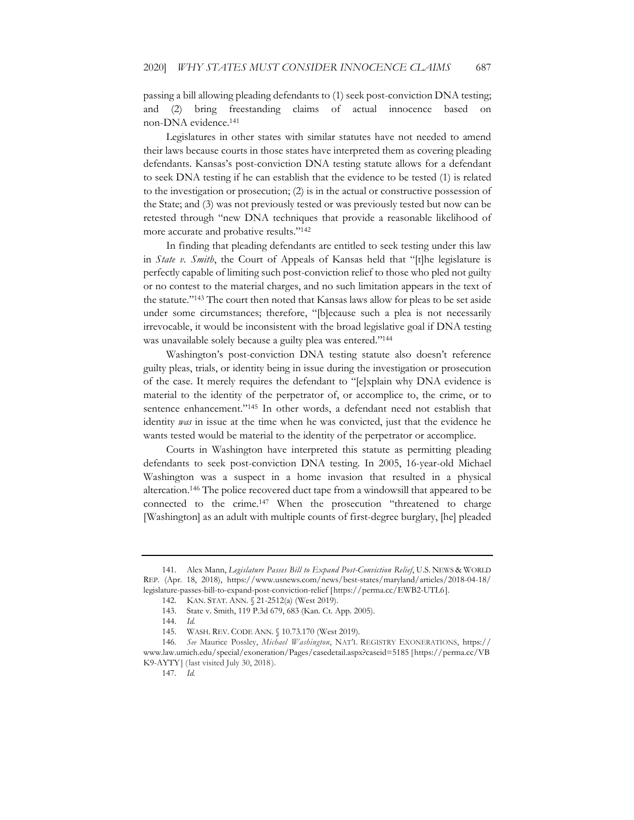passing a bill allowing pleading defendants to (1) seek post-conviction DNA testing; and (2) bring freestanding claims of actual innocence based on non-DNA evidence.141

Legislatures in other states with similar statutes have not needed to amend their laws because courts in those states have interpreted them as covering pleading defendants. Kansas's post-conviction DNA testing statute allows for a defendant to seek DNA testing if he can establish that the evidence to be tested (1) is related to the investigation or prosecution; (2) is in the actual or constructive possession of the State; and (3) was not previously tested or was previously tested but now can be retested through "new DNA techniques that provide a reasonable likelihood of more accurate and probative results."142

In finding that pleading defendants are entitled to seek testing under this law in *State v. Smith*, the Court of Appeals of Kansas held that "[t]he legislature is perfectly capable of limiting such post-conviction relief to those who pled not guilty or no contest to the material charges, and no such limitation appears in the text of the statute."143 The court then noted that Kansas laws allow for pleas to be set aside under some circumstances; therefore, "[b]ecause such a plea is not necessarily irrevocable, it would be inconsistent with the broad legislative goal if DNA testing was unavailable solely because a guilty plea was entered."<sup>144</sup>

Washington's post-conviction DNA testing statute also doesn't reference guilty pleas, trials, or identity being in issue during the investigation or prosecution of the case. It merely requires the defendant to "[e]xplain why DNA evidence is material to the identity of the perpetrator of, or accomplice to, the crime, or to sentence enhancement."<sup>145</sup> In other words, a defendant need not establish that identity *was* in issue at the time when he was convicted, just that the evidence he wants tested would be material to the identity of the perpetrator or accomplice.

Courts in Washington have interpreted this statute as permitting pleading defendants to seek post-conviction DNA testing. In 2005, 16-year-old Michael Washington was a suspect in a home invasion that resulted in a physical altercation.146 The police recovered duct tape from a windowsill that appeared to be connected to the crime.147 When the prosecution "threatened to charge [Washington] as an adult with multiple counts of first-degree burglary, [he] pleaded

<sup>141.</sup> Alex Mann, *Legislature Passes Bill to Expand Post-Conviction Relief*, U.S. NEWS & WORLD REP. (Apr. 18, 2018), https://www.usnews.com/news/best-states/maryland/articles/2018-04-18/ legislature-passes-bill-to-expand-post-conviction-relief [https://perma.cc/EWB2-UTL6].

<sup>142.</sup> KAN. STAT. ANN. § 21-2512(a) (West 2019).

<sup>143.</sup> State v. Smith, 119 P.3d 679, 683 (Kan. Ct. App. 2005).

<sup>144</sup>*. Id.*

<sup>145.</sup> WASH. REV. CODE ANN. § 10.73.170 (West 2019).

<sup>146</sup>*. See* Maurice Possley, *Michael Washington*, NAT'L REGISTRY EXONERATIONS, https:// www.law.umich.edu/special/exoneration/Pages/casedetail.aspx?caseid=5185 [https://perma.cc/VB K9-AYTY] (last visited July 30, 2018).

<sup>147</sup>*. Id.*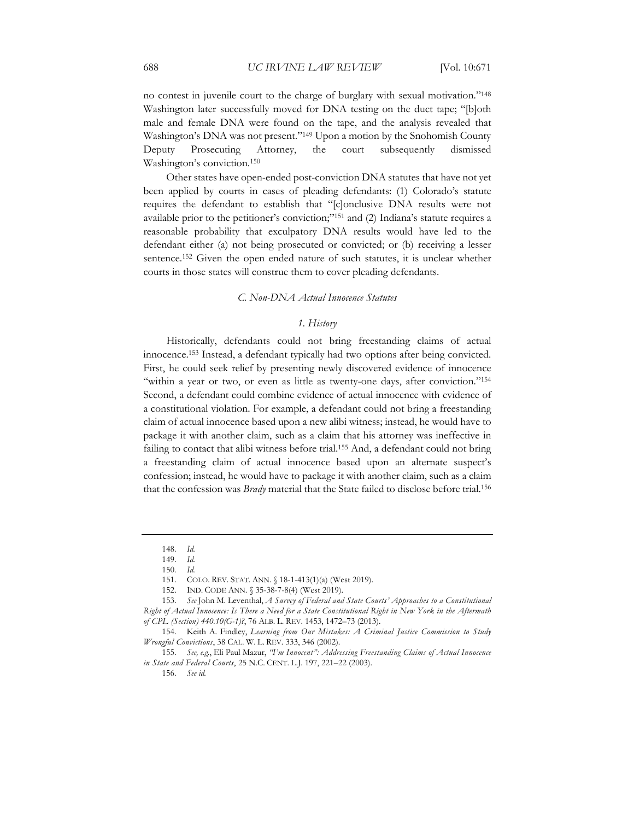no contest in juvenile court to the charge of burglary with sexual motivation."148 Washington later successfully moved for DNA testing on the duct tape; "[b]oth male and female DNA were found on the tape, and the analysis revealed that Washington's DNA was not present."149 Upon a motion by the Snohomish County Deputy Prosecuting Attorney, the court subsequently dismissed Washington's conviction.150

Other states have open-ended post-conviction DNA statutes that have not yet been applied by courts in cases of pleading defendants: (1) Colorado's statute requires the defendant to establish that "[c]onclusive DNA results were not available prior to the petitioner's conviction;"151 and (2) Indiana's statute requires a reasonable probability that exculpatory DNA results would have led to the defendant either (a) not being prosecuted or convicted; or (b) receiving a lesser sentence.152 Given the open ended nature of such statutes, it is unclear whether courts in those states will construe them to cover pleading defendants.

#### *C. Non-DNA Actual Innocence Statutes*

#### *1. History*

Historically, defendants could not bring freestanding claims of actual innocence.153 Instead, a defendant typically had two options after being convicted. First, he could seek relief by presenting newly discovered evidence of innocence "within a year or two, or even as little as twenty-one days, after conviction."<sup>154</sup> Second, a defendant could combine evidence of actual innocence with evidence of a constitutional violation. For example, a defendant could not bring a freestanding claim of actual innocence based upon a new alibi witness; instead, he would have to package it with another claim, such as a claim that his attorney was ineffective in failing to contact that alibi witness before trial.<sup>155</sup> And, a defendant could not bring a freestanding claim of actual innocence based upon an alternate suspect's confession; instead, he would have to package it with another claim, such as a claim that the confession was *Brady* material that the State failed to disclose before trial.156

156*. See id.*

<sup>148</sup>*. Id.*

<sup>149</sup>*. Id.*

<sup>150</sup>*. Id.*

<sup>151.</sup> COLO. REV. STAT. ANN. § 18-1-413(1)(a) (West 2019).

<sup>152.</sup> IND. CODE ANN. § 35-38-7-8(4) (West 2019).

<sup>153</sup>*. See* John M. Leventhal, *A Survey of Federal and State Courts' Approaches to a Constitutional Right of Actual Innocence: Is There a Need for a State Constitutional Right in New York in the Aftermath of CPL (Section) 440.10(G-1)?*, 76 ALB. L. REV. 1453, 1472–73 (2013).

<sup>154.</sup> Keith A. Findley, *Learning from Our Mistakes: A Criminal Justice Commission to Study Wrongful Convictions*, 38 CAL. W. L. REV. 333, 346 (2002).

<sup>155</sup>*. See, e.g.*, Eli Paul Mazur, *"I'm Innocent": Addressing Freestanding Claims of Actual Innocence in State and Federal Courts*, 25 N.C. CENT. L.J. 197, 221–22 (2003).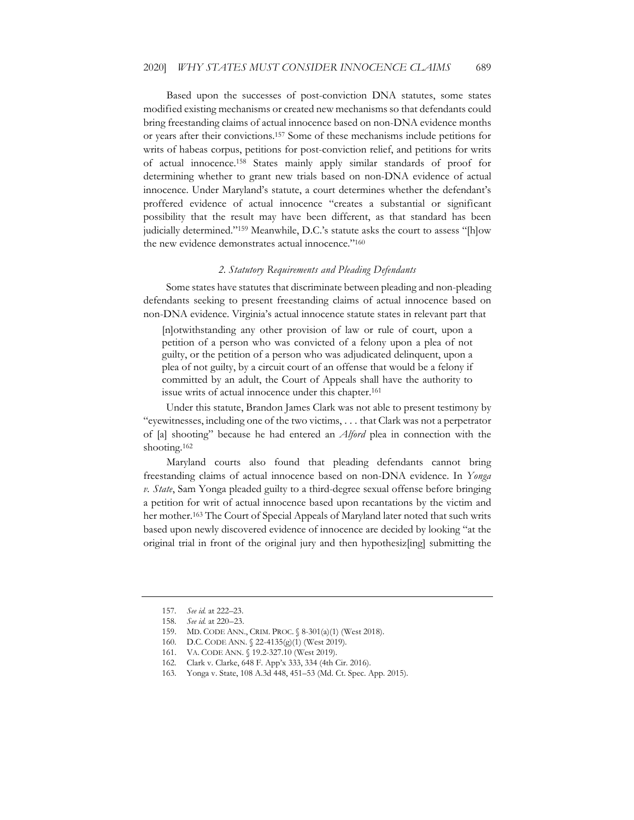Based upon the successes of post-conviction DNA statutes, some states modified existing mechanisms or created new mechanisms so that defendants could bring freestanding claims of actual innocence based on non-DNA evidence months or years after their convictions.157 Some of these mechanisms include petitions for writs of habeas corpus, petitions for post-conviction relief, and petitions for writs of actual innocence.158 States mainly apply similar standards of proof for determining whether to grant new trials based on non-DNA evidence of actual innocence. Under Maryland's statute, a court determines whether the defendant's proffered evidence of actual innocence "creates a substantial or significant possibility that the result may have been different, as that standard has been judicially determined."<sup>159</sup> Meanwhile, D.C.'s statute asks the court to assess "[h]ow the new evidence demonstrates actual innocence."160

#### *2. Statutory Requirements and Pleading Defendants*

Some states have statutes that discriminate between pleading and non-pleading defendants seeking to present freestanding claims of actual innocence based on non-DNA evidence. Virginia's actual innocence statute states in relevant part that

[n]otwithstanding any other provision of law or rule of court, upon a petition of a person who was convicted of a felony upon a plea of not guilty, or the petition of a person who was adjudicated delinquent, upon a plea of not guilty, by a circuit court of an offense that would be a felony if committed by an adult, the Court of Appeals shall have the authority to issue writs of actual innocence under this chapter.<sup>161</sup>

Under this statute, Brandon James Clark was not able to present testimony by "eyewitnesses, including one of the two victims, . . . that Clark was not a perpetrator of [a] shooting" because he had entered an *Alford* plea in connection with the shooting.162

Maryland courts also found that pleading defendants cannot bring freestanding claims of actual innocence based on non-DNA evidence. In *Yonga v. State*, Sam Yonga pleaded guilty to a third-degree sexual offense before bringing a petition for writ of actual innocence based upon recantations by the victim and her mother.<sup>163</sup> The Court of Special Appeals of Maryland later noted that such writs based upon newly discovered evidence of innocence are decided by looking "at the original trial in front of the original jury and then hypothesiz[ing] submitting the

<sup>157</sup>*. See id.* at 222–23.

<sup>158</sup>*. See id.* at 220–23.

<sup>159.</sup> MD. CODE ANN., CRIM. PROC. § 8-301(a)(1) (West 2018).

<sup>160.</sup> D.C. CODE ANN. § 22-4135(g)(1) (West 2019).

<sup>161.</sup> VA. CODE ANN. § 19.2-327.10 (West 2019).

<sup>162.</sup> Clark v. Clarke, 648 F. App'x 333, 334 (4th Cir. 2016).

<sup>163.</sup> Yonga v. State, 108 A.3d 448, 451–53 (Md. Ct. Spec. App. 2015).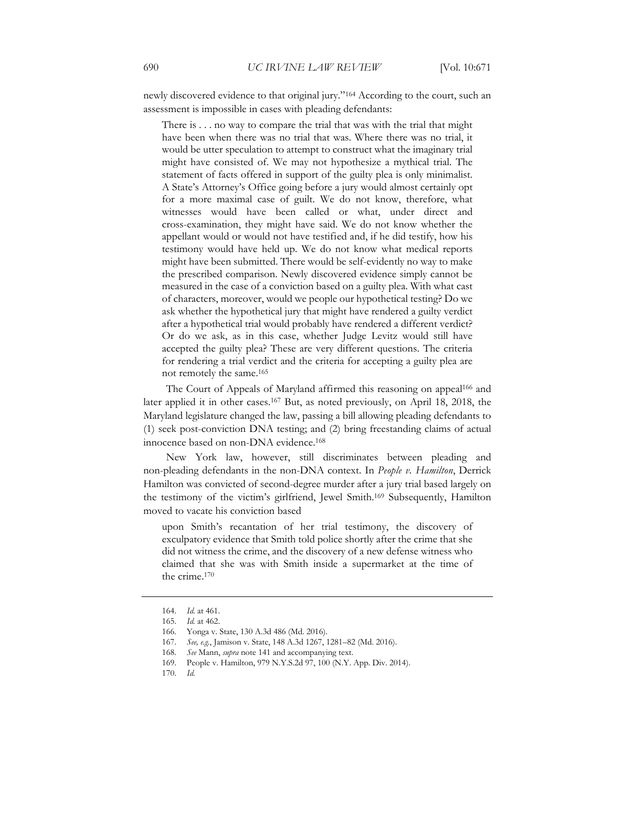newly discovered evidence to that original jury."164 According to the court, such an assessment is impossible in cases with pleading defendants:

There is . . . no way to compare the trial that was with the trial that might have been when there was no trial that was. Where there was no trial, it would be utter speculation to attempt to construct what the imaginary trial might have consisted of. We may not hypothesize a mythical trial. The statement of facts offered in support of the guilty plea is only minimalist. A State's Attorney's Office going before a jury would almost certainly opt for a more maximal case of guilt. We do not know, therefore, what witnesses would have been called or what, under direct and cross-examination, they might have said. We do not know whether the appellant would or would not have testified and, if he did testify, how his testimony would have held up. We do not know what medical reports might have been submitted. There would be self-evidently no way to make the prescribed comparison. Newly discovered evidence simply cannot be measured in the case of a conviction based on a guilty plea. With what cast of characters, moreover, would we people our hypothetical testing? Do we ask whether the hypothetical jury that might have rendered a guilty verdict after a hypothetical trial would probably have rendered a different verdict? Or do we ask, as in this case, whether Judge Levitz would still have accepted the guilty plea? These are very different questions. The criteria for rendering a trial verdict and the criteria for accepting a guilty plea are not remotely the same.165

The Court of Appeals of Maryland affirmed this reasoning on appeal<sup>166</sup> and later applied it in other cases.167 But, as noted previously, on April 18, 2018, the Maryland legislature changed the law, passing a bill allowing pleading defendants to (1) seek post-conviction DNA testing; and (2) bring freestanding claims of actual innocence based on non-DNA evidence.168

New York law, however, still discriminates between pleading and non-pleading defendants in the non-DNA context. In *People v. Hamilton*, Derrick Hamilton was convicted of second-degree murder after a jury trial based largely on the testimony of the victim's girlfriend, Jewel Smith.169 Subsequently, Hamilton moved to vacate his conviction based

upon Smith's recantation of her trial testimony, the discovery of exculpatory evidence that Smith told police shortly after the crime that she did not witness the crime, and the discovery of a new defense witness who claimed that she was with Smith inside a supermarket at the time of the crime.170

<sup>164</sup>*. Id.* at 461.

<sup>165</sup>*. Id.* at 462.

<sup>166.</sup> Yonga v. State, 130 A.3d 486 (Md. 2016).

<sup>167</sup>*. See, e.g.*, Jamison v. State, 148 A.3d 1267, 1281–82 (Md. 2016).

<sup>168</sup>*. See* Mann, *supra* note 141 and accompanying text.

<sup>169.</sup> People v. Hamilton, 979 N.Y.S.2d 97, 100 (N.Y. App. Div. 2014).

<sup>170</sup>*. Id.*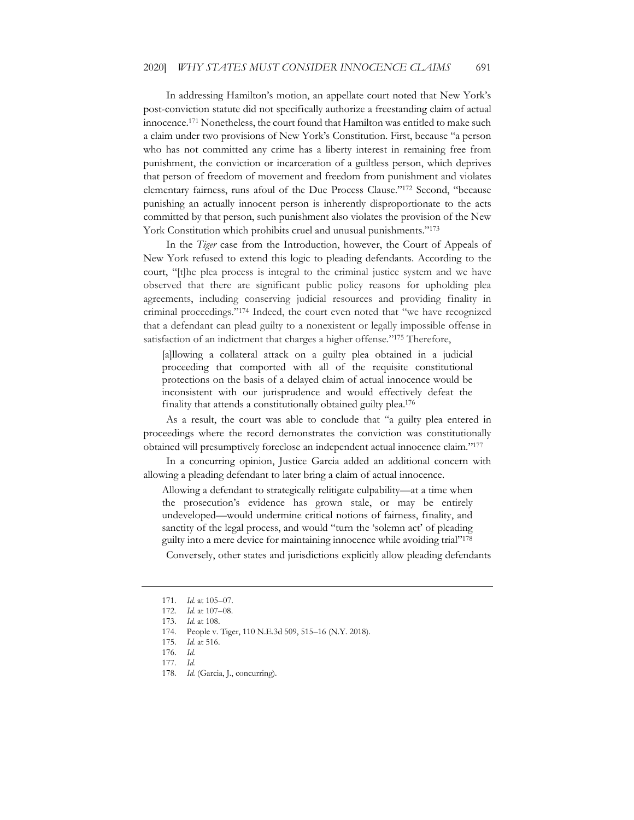In addressing Hamilton's motion, an appellate court noted that New York's post-conviction statute did not specifically authorize a freestanding claim of actual innocence.171 Nonetheless, the court found that Hamilton was entitled to make such a claim under two provisions of New York's Constitution. First, because "a person who has not committed any crime has a liberty interest in remaining free from punishment, the conviction or incarceration of a guiltless person, which deprives that person of freedom of movement and freedom from punishment and violates elementary fairness, runs afoul of the Due Process Clause."172 Second, "because punishing an actually innocent person is inherently disproportionate to the acts committed by that person, such punishment also violates the provision of the New York Constitution which prohibits cruel and unusual punishments."<sup>173</sup>

In the *Tiger* case from the Introduction, however, the Court of Appeals of New York refused to extend this logic to pleading defendants. According to the court, "[t]he plea process is integral to the criminal justice system and we have observed that there are significant public policy reasons for upholding plea agreements, including conserving judicial resources and providing finality in criminal proceedings."174 Indeed, the court even noted that "we have recognized that a defendant can plead guilty to a nonexistent or legally impossible offense in satisfaction of an indictment that charges a higher offense."175 Therefore,

[a]llowing a collateral attack on a guilty plea obtained in a judicial proceeding that comported with all of the requisite constitutional protections on the basis of a delayed claim of actual innocence would be inconsistent with our jurisprudence and would effectively defeat the finality that attends a constitutionally obtained guilty plea.176

As a result, the court was able to conclude that "a guilty plea entered in proceedings where the record demonstrates the conviction was constitutionally obtained will presumptively foreclose an independent actual innocence claim."177

In a concurring opinion, Justice Garcia added an additional concern with allowing a pleading defendant to later bring a claim of actual innocence.

Allowing a defendant to strategically relitigate culpability—at a time when the prosecution's evidence has grown stale, or may be entirely undeveloped—would undermine critical notions of fairness, finality, and sanctity of the legal process, and would "turn the 'solemn act' of pleading guilty into a mere device for maintaining innocence while avoiding trial"178

Conversely, other states and jurisdictions explicitly allow pleading defendants

<sup>171</sup>*. Id.* at 105–07.

<sup>172</sup>*. Id.* at 107–08.

<sup>173</sup>*. Id.* at 108.

<sup>174.</sup> People v. Tiger, 110 N.E.3d 509, 515–16 (N.Y. 2018).

<sup>175</sup>*. Id.* at 516.

<sup>176</sup>*. Id.*

<sup>177</sup>*. Id.*

<sup>178</sup>*. Id.* (Garcia, J., concurring).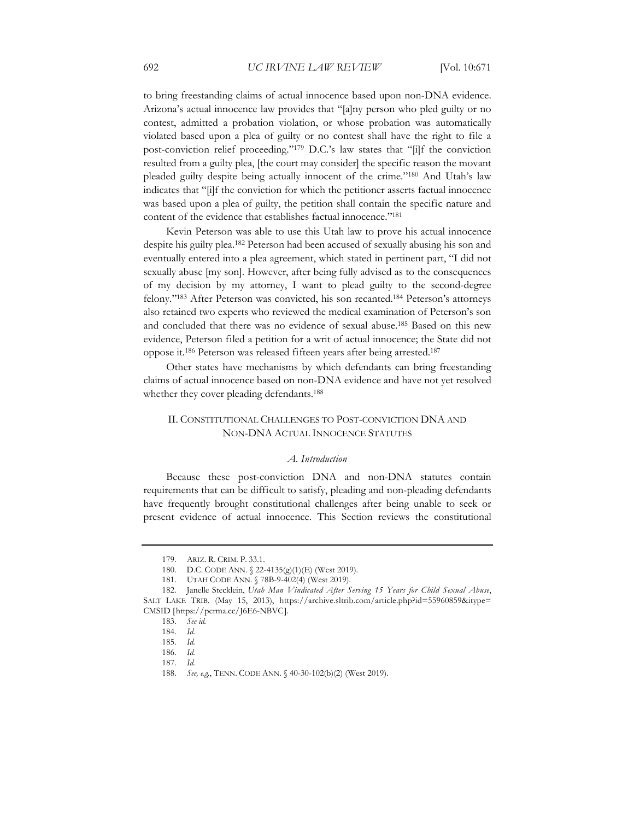to bring freestanding claims of actual innocence based upon non-DNA evidence. Arizona's actual innocence law provides that "[a]ny person who pled guilty or no contest, admitted a probation violation, or whose probation was automatically violated based upon a plea of guilty or no contest shall have the right to file a post-conviction relief proceeding."179 D.C.'s law states that "[i]f the conviction resulted from a guilty plea, [the court may consider] the specific reason the movant pleaded guilty despite being actually innocent of the crime."180 And Utah's law indicates that "[i]f the conviction for which the petitioner asserts factual innocence was based upon a plea of guilty, the petition shall contain the specific nature and content of the evidence that establishes factual innocence."181

Kevin Peterson was able to use this Utah law to prove his actual innocence despite his guilty plea.182 Peterson had been accused of sexually abusing his son and eventually entered into a plea agreement, which stated in pertinent part, "I did not sexually abuse [my son]. However, after being fully advised as to the consequences of my decision by my attorney, I want to plead guilty to the second-degree felony."183 After Peterson was convicted, his son recanted.184 Peterson's attorneys also retained two experts who reviewed the medical examination of Peterson's son and concluded that there was no evidence of sexual abuse.<sup>185</sup> Based on this new evidence, Peterson filed a petition for a writ of actual innocence; the State did not oppose it.186 Peterson was released fifteen years after being arrested.187

Other states have mechanisms by which defendants can bring freestanding claims of actual innocence based on non-DNA evidence and have not yet resolved whether they cover pleading defendants.<sup>188</sup>

## II. CONSTITUTIONAL CHALLENGES TO POST-CONVICTION DNA AND NON-DNA ACTUAL INNOCENCE STATUTES

#### *A. Introduction*

Because these post-conviction DNA and non-DNA statutes contain requirements that can be difficult to satisfy, pleading and non-pleading defendants have frequently brought constitutional challenges after being unable to seek or present evidence of actual innocence. This Section reviews the constitutional

<sup>179.</sup> ARIZ. R. CRIM. P. 33.1.

<sup>180.</sup> D.C. CODE ANN. § 22-4135(g)(1)(E) (West 2019).

<sup>181.</sup> UTAH CODE ANN. § 78B-9-402(4) (West 2019).

<sup>182.</sup> Janelle Stecklein, *Utah Man Vindicated After Serving 15 Years for Child Sexual Abuse*, SALT LAKE TRIB. (May 15, 2013), https://archive.sltrib.com/article.php?id=55960859&itype= CMSID [https://perma.cc/J6E6-NBVC].

<sup>183</sup>*. See id.*

<sup>184</sup>*. Id.*

<sup>185</sup>*. Id.*

<sup>186</sup>*. Id.*

<sup>187</sup>*. Id.*

<sup>188</sup>*. See, e.g.*, TENN. CODE ANN. § 40-30-102(b)(2) (West 2019).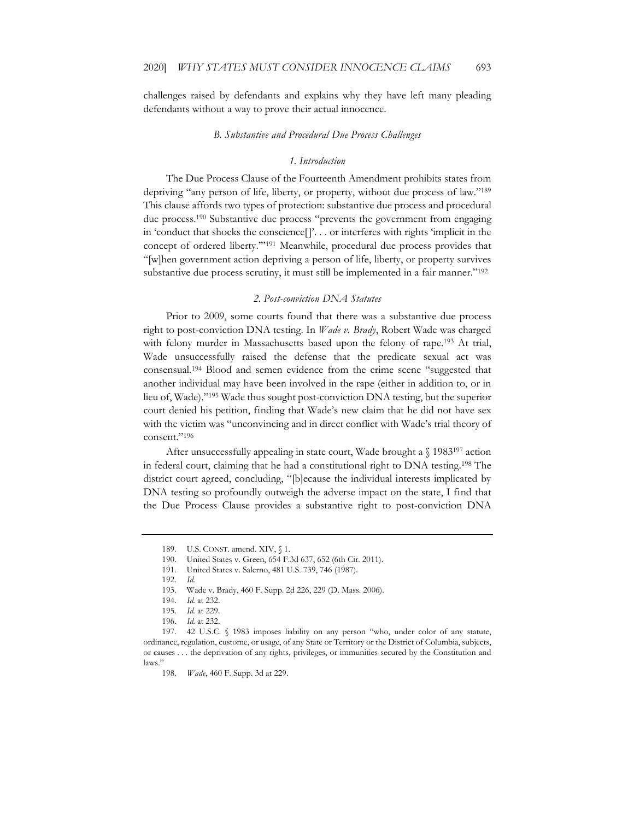challenges raised by defendants and explains why they have left many pleading defendants without a way to prove their actual innocence.

#### *B. Substantive and Procedural Due Process Challenges*

#### *1. Introduction*

The Due Process Clause of the Fourteenth Amendment prohibits states from depriving "any person of life, liberty, or property, without due process of law."189 This clause affords two types of protection: substantive due process and procedural due process.190 Substantive due process "prevents the government from engaging in 'conduct that shocks the conscience[]'. . . or interferes with rights 'implicit in the concept of ordered liberty.'"191 Meanwhile, procedural due process provides that "[w]hen government action depriving a person of life, liberty, or property survives substantive due process scrutiny, it must still be implemented in a fair manner."<sup>192</sup>

#### *2. Post-conviction DNA Statutes*

Prior to 2009, some courts found that there was a substantive due process right to post-conviction DNA testing. In *Wade v. Brady*, Robert Wade was charged with felony murder in Massachusetts based upon the felony of rape.<sup>193</sup> At trial, Wade unsuccessfully raised the defense that the predicate sexual act was consensual.194 Blood and semen evidence from the crime scene "suggested that another individual may have been involved in the rape (either in addition to, or in lieu of, Wade)."195 Wade thus sought post-conviction DNA testing, but the superior court denied his petition, finding that Wade's new claim that he did not have sex with the victim was "unconvincing and in direct conflict with Wade's trial theory of consent."196

After unsuccessfully appealing in state court, Wade brought a § 1983<sup>197</sup> action in federal court, claiming that he had a constitutional right to DNA testing.198 The district court agreed, concluding, "[b]ecause the individual interests implicated by DNA testing so profoundly outweigh the adverse impact on the state, I find that the Due Process Clause provides a substantive right to post-conviction DNA

<sup>189.</sup> U.S. CONST. amend. XIV, § 1.

<sup>190.</sup> United States v. Green, 654 F.3d 637, 652 (6th Cir. 2011).

<sup>191.</sup> United States v. Salerno, 481 U.S. 739, 746 (1987).

<sup>192</sup>*. Id.*

<sup>193.</sup> Wade v. Brady, 460 F. Supp. 2d 226, 229 (D. Mass. 2006).

<sup>194</sup>*. Id.* at 232.

<sup>195</sup>*. Id.* at 229.

<sup>196</sup>*. Id.* at 232.

<sup>197. 42</sup> U.S.C. § 1983 imposes liability on any person "who, under color of any statute, ordinance, regulation, custome, or usage, of any State or Territory or the District of Columbia, subjects, or causes . . . the deprivation of any rights, privileges, or immunities secured by the Constitution and laws."

<sup>198</sup>*. Wade*, 460 F. Supp. 3d at 229.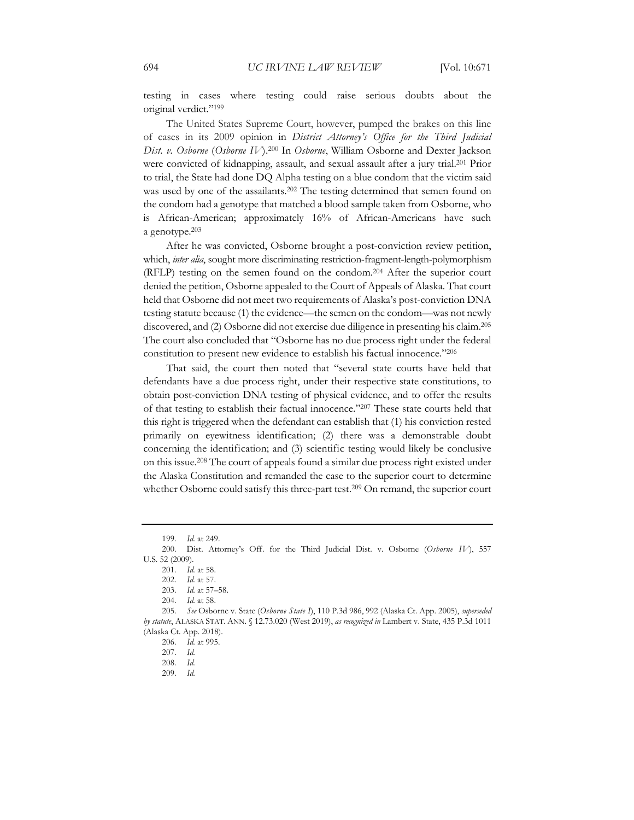testing in cases where testing could raise serious doubts about the original verdict."199

The United States Supreme Court, however, pumped the brakes on this line of cases in its 2009 opinion in *District Attorney's Office for the Third Judicial Dist. v. Osborne* (*Osborne IV*).200 In *Osborne*, William Osborne and Dexter Jackson were convicted of kidnapping, assault, and sexual assault after a jury trial.201 Prior to trial, the State had done DQ Alpha testing on a blue condom that the victim said was used by one of the assailants.<sup>202</sup> The testing determined that semen found on the condom had a genotype that matched a blood sample taken from Osborne, who is African-American; approximately 16% of African-Americans have such a genotype.203

After he was convicted, Osborne brought a post-conviction review petition, which, *inter alia*, sought more discriminating restriction-fragment-length-polymorphism (RFLP) testing on the semen found on the condom.204 After the superior court denied the petition, Osborne appealed to the Court of Appeals of Alaska. That court held that Osborne did not meet two requirements of Alaska's post-conviction DNA testing statute because (1) the evidence—the semen on the condom—was not newly discovered, and (2) Osborne did not exercise due diligence in presenting his claim.205 The court also concluded that "Osborne has no due process right under the federal constitution to present new evidence to establish his factual innocence."206

That said, the court then noted that "several state courts have held that defendants have a due process right, under their respective state constitutions, to obtain post-conviction DNA testing of physical evidence, and to offer the results of that testing to establish their factual innocence."207 These state courts held that this right is triggered when the defendant can establish that (1) his conviction rested primarily on eyewitness identification; (2) there was a demonstrable doubt concerning the identification; and (3) scientific testing would likely be conclusive on this issue.208 The court of appeals found a similar due process right existed under the Alaska Constitution and remanded the case to the superior court to determine whether Osborne could satisfy this three-part test.<sup>209</sup> On remand, the superior court

199*. Id.* at 249.

<sup>200.</sup> Dist. Attorney's Off. for the Third Judicial Dist. v. Osborne (*Osborne IV*), 557 U.S. 52 (2009).

<sup>201</sup>*. Id.* at 58.

<sup>202</sup>*. Id.* at 57.

<sup>203</sup>*. Id.* at 57–58.

<sup>204</sup>*. Id.* at 58.

<sup>205</sup>*. See* Osborne v. State (*Osborne State I*), 110 P.3d 986, 992 (Alaska Ct. App. 2005), *superseded by statute*, ALASKA STAT. ANN. § 12.73.020 (West 2019), *as recognized in* Lambert v. State, 435 P.3d 1011 (Alaska Ct. App. 2018).

<sup>206</sup>*. Id.* at 995.

<sup>207</sup>*. Id.*

<sup>208</sup>*. Id.*

<sup>209</sup>*. Id.*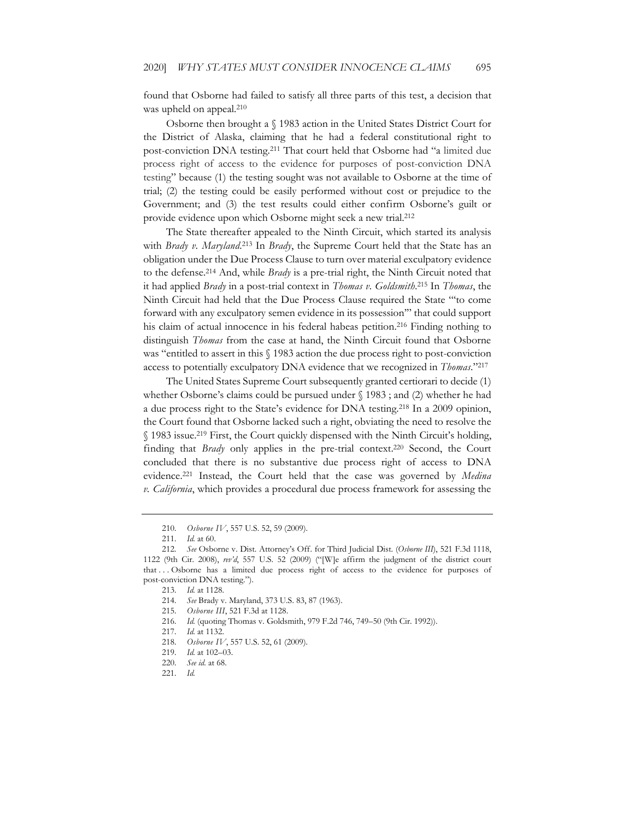found that Osborne had failed to satisfy all three parts of this test, a decision that was upheld on appeal.<sup>210</sup>

Osborne then brought a § 1983 action in the United States District Court for the District of Alaska, claiming that he had a federal constitutional right to post-conviction DNA testing.211 That court held that Osborne had "a limited due process right of access to the evidence for purposes of post-conviction DNA testing" because (1) the testing sought was not available to Osborne at the time of trial; (2) the testing could be easily performed without cost or prejudice to the Government; and (3) the test results could either confirm Osborne's guilt or provide evidence upon which Osborne might seek a new trial.212

The State thereafter appealed to the Ninth Circuit, which started its analysis with *Brady v. Maryland*. 213 In *Brady*, the Supreme Court held that the State has an obligation under the Due Process Clause to turn over material exculpatory evidence to the defense.214 And, while *Brady* is a pre-trial right, the Ninth Circuit noted that it had applied *Brady* in a post-trial context in *Thomas v. Goldsmith*. 215 In *Thomas*, the Ninth Circuit had held that the Due Process Clause required the State "'to come forward with any exculpatory semen evidence in its possession'" that could support his claim of actual innocence in his federal habeas petition.216 Finding nothing to distinguish *Thomas* from the case at hand, the Ninth Circuit found that Osborne was "entitled to assert in this § 1983 action the due process right to post-conviction access to potentially exculpatory DNA evidence that we recognized in *Thomas*."217

The United States Supreme Court subsequently granted certiorari to decide (1) whether Osborne's claims could be pursued under § 1983 ; and (2) whether he had a due process right to the State's evidence for DNA testing.218 In a 2009 opinion, the Court found that Osborne lacked such a right, obviating the need to resolve the § 1983 issue.219 First, the Court quickly dispensed with the Ninth Circuit's holding, finding that *Brady* only applies in the pre-trial context.220 Second, the Court concluded that there is no substantive due process right of access to DNA evidence.221 Instead, the Court held that the case was governed by *Medina v. California*, which provides a procedural due process framework for assessing the

<sup>210</sup>*. Osborne IV*, 557 U.S. 52, 59 (2009).

<sup>211</sup>*. Id.* at 60.

<sup>212</sup>*. See* Osborne v. Dist. Attorney's Off. for Third Judicial Dist. (*Osborne III*), 521 F.3d 1118, 1122 (9th Cir. 2008), *rev'd*, 557 U.S. 52 (2009) ("[W]e affirm the judgment of the district court that . . . Osborne has a limited due process right of access to the evidence for purposes of post-conviction DNA testing.").

<sup>213</sup>*. Id.* at 1128.

<sup>214</sup>*. See* Brady v. Maryland, 373 U.S. 83, 87 (1963).

<sup>215</sup>*. Osborne III*, 521 F.3d at 1128.

<sup>216</sup>*. Id.* (quoting Thomas v. Goldsmith, 979 F.2d 746, 749–50 (9th Cir. 1992)).

<sup>217</sup>*. Id.* at 1132.

<sup>218</sup>*. Osborne IV*, 557 U.S. 52, 61 (2009).

<sup>219</sup>*. Id.* at 102–03.

<sup>220</sup>*. See id.* at 68.

<sup>221</sup>*. Id.*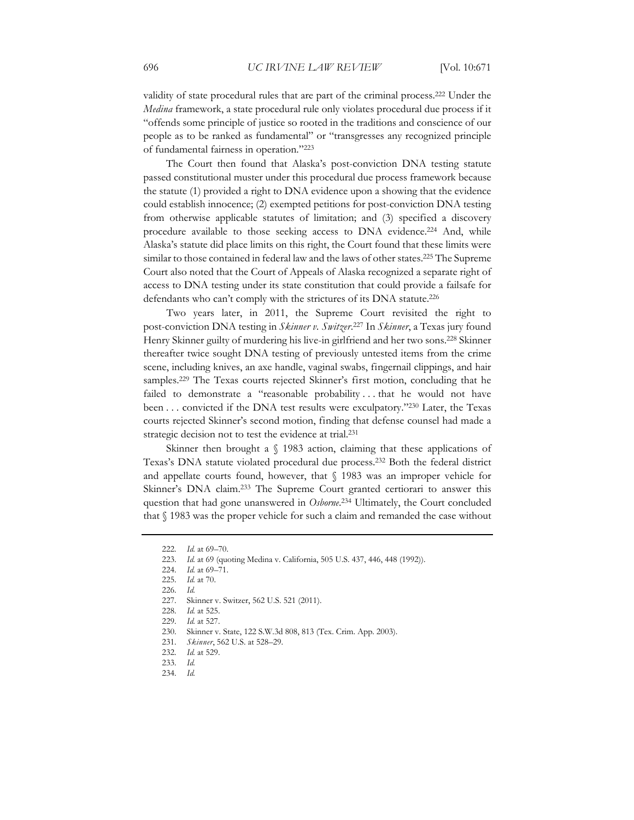validity of state procedural rules that are part of the criminal process.222 Under the *Medina* framework, a state procedural rule only violates procedural due process if it "offends some principle of justice so rooted in the traditions and conscience of our people as to be ranked as fundamental" or "transgresses any recognized principle of fundamental fairness in operation."223

The Court then found that Alaska's post-conviction DNA testing statute passed constitutional muster under this procedural due process framework because the statute (1) provided a right to DNA evidence upon a showing that the evidence could establish innocence; (2) exempted petitions for post-conviction DNA testing from otherwise applicable statutes of limitation; and (3) specified a discovery procedure available to those seeking access to DNA evidence.<sup>224</sup> And, while Alaska's statute did place limits on this right, the Court found that these limits were similar to those contained in federal law and the laws of other states.225 The Supreme Court also noted that the Court of Appeals of Alaska recognized a separate right of access to DNA testing under its state constitution that could provide a failsafe for defendants who can't comply with the strictures of its DNA statute.226

Two years later, in 2011, the Supreme Court revisited the right to post-conviction DNA testing in *Skinner v. Switzer*. 227 In *Skinner*, a Texas jury found Henry Skinner guilty of murdering his live-in girlfriend and her two sons.228 Skinner thereafter twice sought DNA testing of previously untested items from the crime scene, including knives, an axe handle, vaginal swabs, fingernail clippings, and hair samples.<sup>229</sup> The Texas courts rejected Skinner's first motion, concluding that he failed to demonstrate a "reasonable probability... that he would not have been . . . convicted if the DNA test results were exculpatory."230 Later, the Texas courts rejected Skinner's second motion, finding that defense counsel had made a strategic decision not to test the evidence at trial.<sup>231</sup>

Skinner then brought a § 1983 action, claiming that these applications of Texas's DNA statute violated procedural due process.232 Both the federal district and appellate courts found, however, that § 1983 was an improper vehicle for Skinner's DNA claim.233 The Supreme Court granted certiorari to answer this question that had gone unanswered in *Osborne*. 234 Ultimately, the Court concluded that § 1983 was the proper vehicle for such a claim and remanded the case without

<sup>222</sup>*. Id.* at 69–70.

<sup>223</sup>*. Id.* at 69 (quoting Medina v. California, 505 U.S. 437, 446, 448 (1992)).

<sup>224</sup>*. Id.* at 69–71.

<sup>225</sup>*. Id.* at 70.

<sup>226</sup>*. Id.*

<sup>227.</sup> Skinner v. Switzer, 562 U.S. 521 (2011).

<sup>228</sup>*. Id.* at 525.

<sup>229</sup>*. Id.* at 527.

<sup>230.</sup> Skinner v. State, 122 S.W.3d 808, 813 (Tex. Crim. App. 2003).

<sup>231</sup>*. Skinner*, 562 U.S. at 528–29.

<sup>232</sup>*. Id.* at 529.

<sup>233</sup>*. Id.*

<sup>234</sup>*. Id.*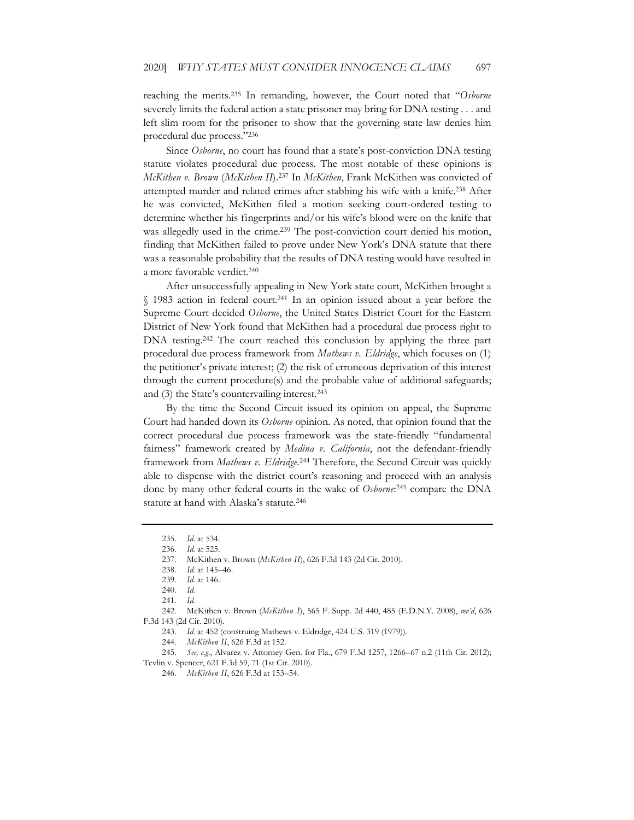reaching the merits.235 In remanding, however, the Court noted that "*Osborne* severely limits the federal action a state prisoner may bring for DNA testing . . . and left slim room for the prisoner to show that the governing state law denies him procedural due process."236

Since *Osborne*, no court has found that a state's post-conviction DNA testing statute violates procedural due process. The most notable of these opinions is *McKithen v. Brown* (*McKithen II*).237 In *McKithen*, Frank McKithen was convicted of attempted murder and related crimes after stabbing his wife with a knife.238 After he was convicted, McKithen filed a motion seeking court-ordered testing to determine whether his fingerprints and/or his wife's blood were on the knife that was allegedly used in the crime.<sup>239</sup> The post-conviction court denied his motion, finding that McKithen failed to prove under New York's DNA statute that there was a reasonable probability that the results of DNA testing would have resulted in a more favorable verdict.240

After unsuccessfully appealing in New York state court, McKithen brought a § 1983 action in federal court.241 In an opinion issued about a year before the Supreme Court decided *Osborne*, the United States District Court for the Eastern District of New York found that McKithen had a procedural due process right to DNA testing.<sup>242</sup> The court reached this conclusion by applying the three part procedural due process framework from *Mathews v. Eldridge*, which focuses on (1) the petitioner's private interest; (2) the risk of erroneous deprivation of this interest through the current procedure(s) and the probable value of additional safeguards; and (3) the State's countervailing interest.<sup>243</sup>

By the time the Second Circuit issued its opinion on appeal, the Supreme Court had handed down its *Osborne* opinion. As noted, that opinion found that the correct procedural due process framework was the state-friendly "fundamental fairness" framework created by *Medina v. California*, not the defendant-friendly framework from *Mathews v. Eldridge*. 244 Therefore, the Second Circuit was quickly able to dispense with the district court's reasoning and proceed with an analysis done by many other federal courts in the wake of *Osborne*: 245 compare the DNA statute at hand with Alaska's statute.<sup>246</sup>

245*. See, e.g.*, Alvarez v. Attorney Gen. for Fla., 679 F.3d 1257, 1266–67 n.2 (11th Cir. 2012); Tevlin v. Spencer, 621 F.3d 59, 71 (1st Cir. 2010).

246*. McKithen II*, 626 F.3d at 153–54.

<sup>235</sup>*. Id.* at 534.

<sup>236</sup>*. Id.* at 525.

<sup>237.</sup> McKithen v. Brown (*McKithen II*), 626 F.3d 143 (2d Cir. 2010).

<sup>238</sup>*. Id.* at 145–46.

<sup>239</sup>*. Id.* at 146.

<sup>240</sup>*. Id.*

<sup>241</sup>*. Id.*

<sup>242.</sup> McKithen v. Brown (*McKithen I*), 565 F. Supp. 2d 440, 485 (E.D.N.Y. 2008), *rev'd*, 626 F.3d 143 (2d Cir. 2010).

<sup>243</sup>*. Id.* at 452 (construing Mathews v. Eldridge, 424 U.S. 319 (1979)).

<sup>244</sup>*. McKithen II*, 626 F.3d at 152.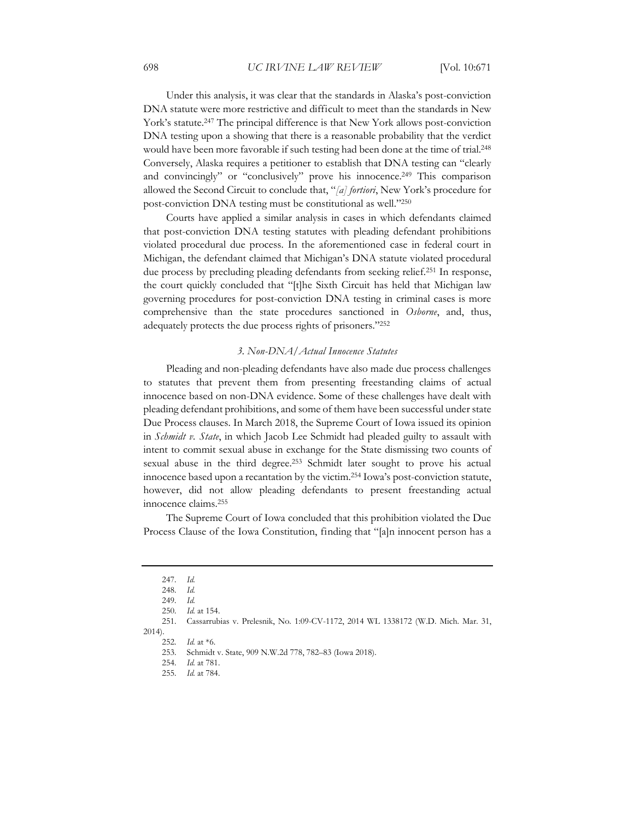Under this analysis, it was clear that the standards in Alaska's post-conviction DNA statute were more restrictive and difficult to meet than the standards in New York's statute.247 The principal difference is that New York allows post-conviction DNA testing upon a showing that there is a reasonable probability that the verdict would have been more favorable if such testing had been done at the time of trial.248 Conversely, Alaska requires a petitioner to establish that DNA testing can "clearly and convincingly" or "conclusively" prove his innocence.<sup>249</sup> This comparison allowed the Second Circuit to conclude that, "*[a] fortiori*, New York's procedure for post-conviction DNA testing must be constitutional as well."250

Courts have applied a similar analysis in cases in which defendants claimed that post-conviction DNA testing statutes with pleading defendant prohibitions violated procedural due process. In the aforementioned case in federal court in Michigan, the defendant claimed that Michigan's DNA statute violated procedural due process by precluding pleading defendants from seeking relief.251 In response, the court quickly concluded that "[t]he Sixth Circuit has held that Michigan law governing procedures for post-conviction DNA testing in criminal cases is more comprehensive than the state procedures sanctioned in *Osborne*, and, thus, adequately protects the due process rights of prisoners."252

#### *3. Non-DNA/Actual Innocence Statutes*

Pleading and non-pleading defendants have also made due process challenges to statutes that prevent them from presenting freestanding claims of actual innocence based on non-DNA evidence. Some of these challenges have dealt with pleading defendant prohibitions, and some of them have been successful under state Due Process clauses. In March 2018, the Supreme Court of Iowa issued its opinion in *Schmidt v. State*, in which Jacob Lee Schmidt had pleaded guilty to assault with intent to commit sexual abuse in exchange for the State dismissing two counts of sexual abuse in the third degree.<sup>253</sup> Schmidt later sought to prove his actual innocence based upon a recantation by the victim.254 Iowa's post-conviction statute, however, did not allow pleading defendants to present freestanding actual innocence claims.255

The Supreme Court of Iowa concluded that this prohibition violated the Due Process Clause of the Iowa Constitution, finding that "[a]n innocent person has a

<sup>247</sup>*. Id.*

<sup>248</sup>*. Id.*

<sup>249</sup>*. Id.*

<sup>250</sup>*. Id.* at 154.

<sup>251.</sup> Cassarrubias v. Prelesnik, No. 1:09-CV-1172, 2014 WL 1338172 (W.D. Mich. Mar. 31, 2014).

<sup>252</sup>*. Id.* at \*6.

<sup>253.</sup> Schmidt v. State, 909 N.W.2d 778, 782–83 (Iowa 2018).

<sup>254</sup>*. Id.* at 781.

<sup>255</sup>*. Id.* at 784.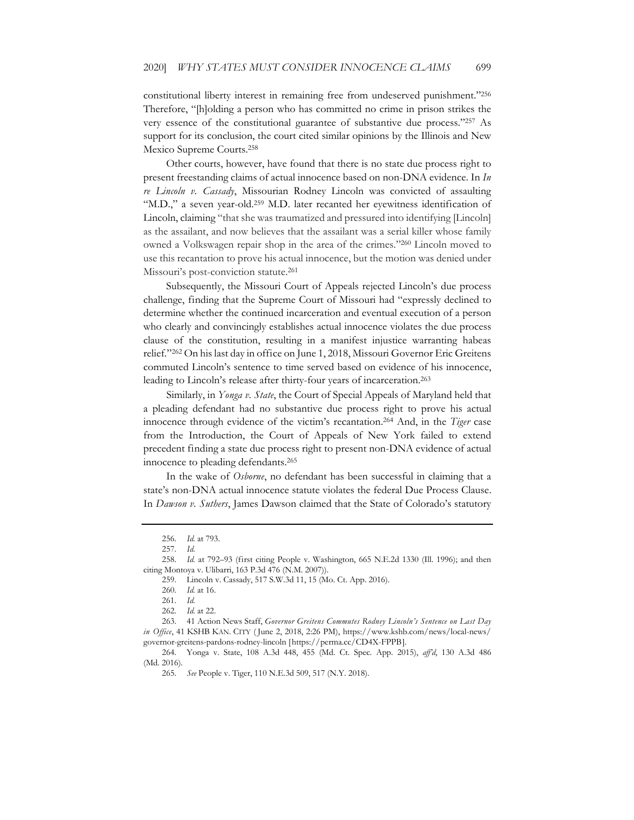constitutional liberty interest in remaining free from undeserved punishment."256 Therefore, "[h]olding a person who has committed no crime in prison strikes the very essence of the constitutional guarantee of substantive due process."257 As support for its conclusion, the court cited similar opinions by the Illinois and New Mexico Supreme Courts.258

Other courts, however, have found that there is no state due process right to present freestanding claims of actual innocence based on non-DNA evidence. In *In re Lincoln v. Cassady*, Missourian Rodney Lincoln was convicted of assaulting "M.D.," a seven year-old.<sup>259</sup> M.D. later recanted her eyewitness identification of Lincoln, claiming "that she was traumatized and pressured into identifying [Lincoln] as the assailant, and now believes that the assailant was a serial killer whose family owned a Volkswagen repair shop in the area of the crimes."260 Lincoln moved to use this recantation to prove his actual innocence, but the motion was denied under Missouri's post-conviction statute.261

Subsequently, the Missouri Court of Appeals rejected Lincoln's due process challenge, finding that the Supreme Court of Missouri had "expressly declined to determine whether the continued incarceration and eventual execution of a person who clearly and convincingly establishes actual innocence violates the due process clause of the constitution, resulting in a manifest injustice warranting habeas relief."262 On his last day in office on June 1, 2018, Missouri Governor Eric Greitens commuted Lincoln's sentence to time served based on evidence of his innocence, leading to Lincoln's release after thirty-four years of incarceration.263

Similarly, in *Yonga v. State*, the Court of Special Appeals of Maryland held that a pleading defendant had no substantive due process right to prove his actual innocence through evidence of the victim's recantation.264 And, in the *Tiger* case from the Introduction, the Court of Appeals of New York failed to extend precedent finding a state due process right to present non-DNA evidence of actual innocence to pleading defendants.265

In the wake of *Osborne*, no defendant has been successful in claiming that a state's non-DNA actual innocence statute violates the federal Due Process Clause. In *Dawson v. Suthers*, James Dawson claimed that the State of Colorado's statutory

<sup>256</sup>*. Id.* at 793.

<sup>257</sup>*. Id.*

<sup>258</sup>*. Id.* at 792–93 (first citing People v. Washington, 665 N.E.2d 1330 (Ill. 1996); and then citing Montoya v. Ulibarri, 163 P.3d 476 (N.M. 2007)).

<sup>259.</sup> Lincoln v. Cassady, 517 S.W.3d 11, 15 (Mo. Ct. App. 2016).

<sup>260</sup>*. Id.* at 16.

<sup>261</sup>*. Id.*

<sup>262</sup>*. Id.* at 22.

<sup>263. 41</sup> Action News Staff, *Governor Greitens Commutes Rodney Lincoln's Sentence on Last Day in Office*, 41 KSHB KAN. CITY ( June 2, 2018, 2:26 PM), https://www.kshb.com/news/local-news/ governor-greitens-pardons-rodney-lincoln [https://perma.cc/CD4X-FPPB].

<sup>264.</sup> Yonga v. State, 108 A.3d 448, 455 (Md. Ct. Spec. App. 2015), *aff'd*, 130 A.3d 486 (Md. 2016).

<sup>265</sup>*. See* People v. Tiger, 110 N.E.3d 509, 517 (N.Y. 2018).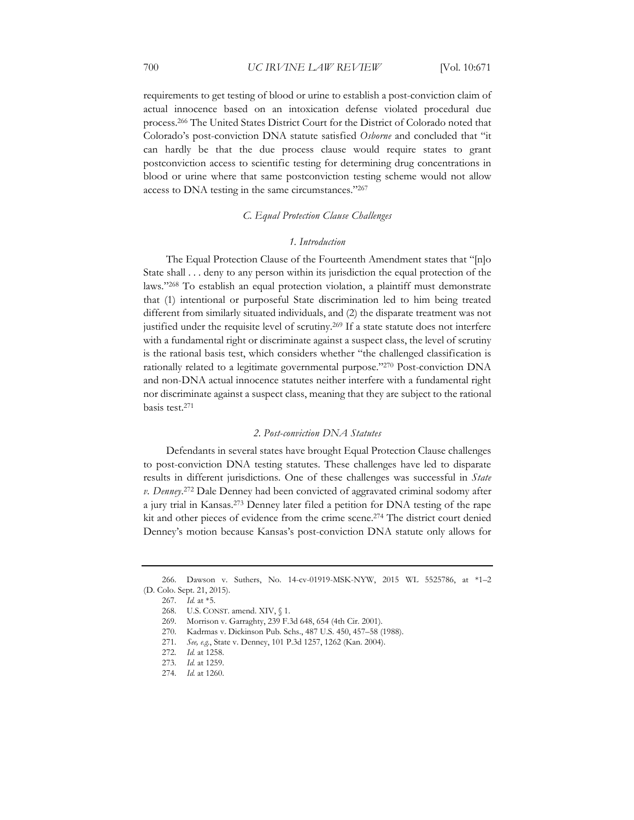requirements to get testing of blood or urine to establish a post-conviction claim of actual innocence based on an intoxication defense violated procedural due process.266 The United States District Court for the District of Colorado noted that Colorado's post-conviction DNA statute satisfied *Osborne* and concluded that "it can hardly be that the due process clause would require states to grant postconviction access to scientific testing for determining drug concentrations in blood or urine where that same postconviction testing scheme would not allow access to DNA testing in the same circumstances."267

#### *C. Equal Protection Clause Challenges*

#### *1. Introduction*

The Equal Protection Clause of the Fourteenth Amendment states that "[n]o State shall . . . deny to any person within its jurisdiction the equal protection of the laws."268 To establish an equal protection violation, a plaintiff must demonstrate that (1) intentional or purposeful State discrimination led to him being treated different from similarly situated individuals, and (2) the disparate treatment was not justified under the requisite level of scrutiny.269 If a state statute does not interfere with a fundamental right or discriminate against a suspect class, the level of scrutiny is the rational basis test, which considers whether "the challenged classification is rationally related to a legitimate governmental purpose."270 Post-conviction DNA and non-DNA actual innocence statutes neither interfere with a fundamental right nor discriminate against a suspect class, meaning that they are subject to the rational basis test.271

#### *2. Post-conviction DNA Statutes*

Defendants in several states have brought Equal Protection Clause challenges to post-conviction DNA testing statutes. These challenges have led to disparate results in different jurisdictions. One of these challenges was successful in *State v. Denney*. 272 Dale Denney had been convicted of aggravated criminal sodomy after a jury trial in Kansas.273 Denney later filed a petition for DNA testing of the rape kit and other pieces of evidence from the crime scene.<sup>274</sup> The district court denied Denney's motion because Kansas's post-conviction DNA statute only allows for

<sup>266.</sup> Dawson v. Suthers, No. 14-cv-01919-MSK-NYW, 2015 WL 5525786, at \*1–2 (D. Colo. Sept. 21, 2015).

<sup>267</sup>*. Id.* at \*5.

<sup>268.</sup> U.S. CONST. amend. XIV, § 1.

<sup>269.</sup> Morrison v. Garraghty, 239 F.3d 648, 654 (4th Cir. 2001).

<sup>270.</sup> Kadrmas v. Dickinson Pub. Schs., 487 U.S. 450, 457–58 (1988).

<sup>271</sup>*. See, e.g.*, State v. Denney, 101 P.3d 1257, 1262 (Kan. 2004).

<sup>272</sup>*. Id.* at 1258.

<sup>273</sup>*. Id.* at 1259.

<sup>274</sup>*. Id.* at 1260.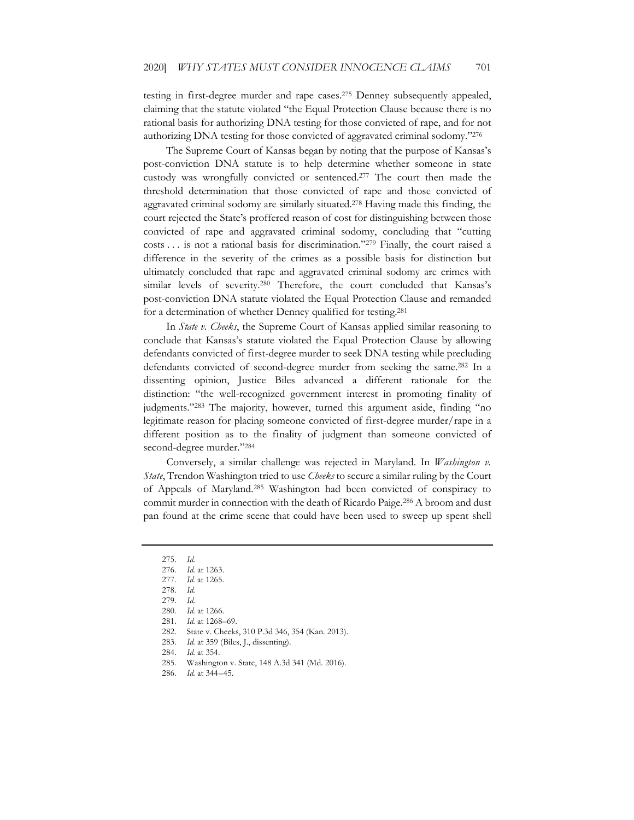testing in first-degree murder and rape cases.275 Denney subsequently appealed, claiming that the statute violated "the Equal Protection Clause because there is no rational basis for authorizing DNA testing for those convicted of rape, and for not authorizing DNA testing for those convicted of aggravated criminal sodomy."276

The Supreme Court of Kansas began by noting that the purpose of Kansas's post-conviction DNA statute is to help determine whether someone in state custody was wrongfully convicted or sentenced.277 The court then made the threshold determination that those convicted of rape and those convicted of aggravated criminal sodomy are similarly situated.278 Having made this finding, the court rejected the State's proffered reason of cost for distinguishing between those convicted of rape and aggravated criminal sodomy, concluding that "cutting costs . . . is not a rational basis for discrimination."279 Finally, the court raised a difference in the severity of the crimes as a possible basis for distinction but ultimately concluded that rape and aggravated criminal sodomy are crimes with similar levels of severity.280 Therefore, the court concluded that Kansas's post-conviction DNA statute violated the Equal Protection Clause and remanded for a determination of whether Denney qualified for testing.281

In *State v. Cheeks*, the Supreme Court of Kansas applied similar reasoning to conclude that Kansas's statute violated the Equal Protection Clause by allowing defendants convicted of first-degree murder to seek DNA testing while precluding defendants convicted of second-degree murder from seeking the same.282 In a dissenting opinion, Justice Biles advanced a different rationale for the distinction: "the well-recognized government interest in promoting finality of judgments."283 The majority, however, turned this argument aside, finding "no legitimate reason for placing someone convicted of first-degree murder/rape in a different position as to the finality of judgment than someone convicted of second-degree murder."284

Conversely, a similar challenge was rejected in Maryland. In *Washington v. State*, Trendon Washington tried to use *Cheeks* to secure a similar ruling by the Court of Appeals of Maryland.285 Washington had been convicted of conspiracy to commit murder in connection with the death of Ricardo Paige.<sup>286</sup> A broom and dust pan found at the crime scene that could have been used to sweep up spent shell

<sup>275</sup>*. Id.*

<sup>276</sup>*. Id.* at 1263.

<sup>277</sup>*. Id.* at 1265.

<sup>278</sup>*. Id.*

<sup>279</sup>*. Id.*

<sup>280</sup>*. Id.* at 1266.

<sup>281</sup>*. Id.* at 1268–69.

<sup>282.</sup> State v. Cheeks, 310 P.3d 346, 354 (Kan. 2013).

<sup>283</sup>*. Id.* at 359 (Biles, J., dissenting).

<sup>284</sup>*. Id.* at 354.

<sup>285.</sup> Washington v. State, 148 A.3d 341 (Md. 2016).

<sup>286</sup>*. Id.* at 344–45.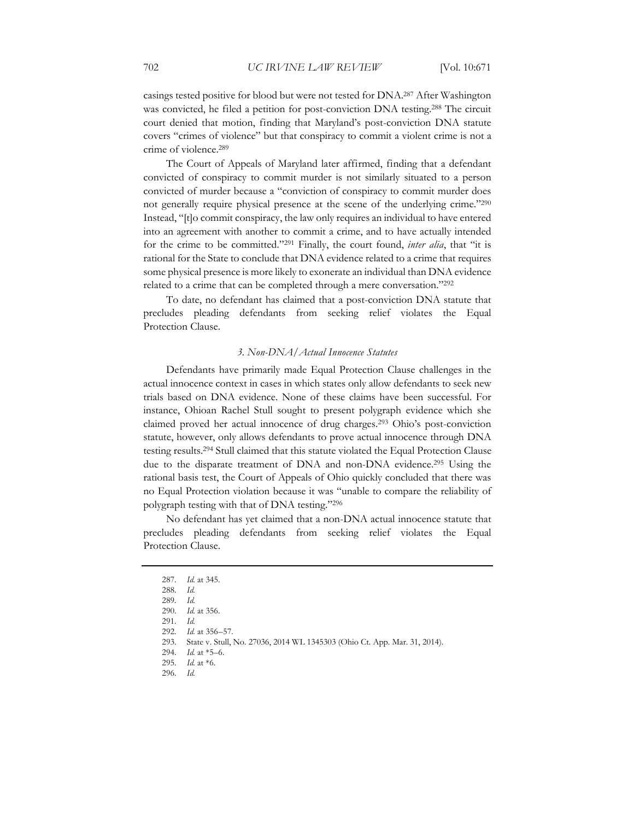casings tested positive for blood but were not tested for DNA.287 After Washington was convicted, he filed a petition for post-conviction DNA testing.<sup>288</sup> The circuit court denied that motion, finding that Maryland's post-conviction DNA statute covers "crimes of violence" but that conspiracy to commit a violent crime is not a crime of violence.289

The Court of Appeals of Maryland later affirmed, finding that a defendant convicted of conspiracy to commit murder is not similarly situated to a person convicted of murder because a "conviction of conspiracy to commit murder does not generally require physical presence at the scene of the underlying crime."290 Instead, "[t]o commit conspiracy, the law only requires an individual to have entered into an agreement with another to commit a crime, and to have actually intended for the crime to be committed."291 Finally, the court found, *inter alia*, that "it is rational for the State to conclude that DNA evidence related to a crime that requires some physical presence is more likely to exonerate an individual than DNA evidence related to a crime that can be completed through a mere conversation."<sup>292</sup>

To date, no defendant has claimed that a post-conviction DNA statute that precludes pleading defendants from seeking relief violates the Equal Protection Clause.

#### *3. Non-DNA/Actual Innocence Statutes*

Defendants have primarily made Equal Protection Clause challenges in the actual innocence context in cases in which states only allow defendants to seek new trials based on DNA evidence. None of these claims have been successful. For instance, Ohioan Rachel Stull sought to present polygraph evidence which she claimed proved her actual innocence of drug charges.293 Ohio's post-conviction statute, however, only allows defendants to prove actual innocence through DNA testing results.294 Stull claimed that this statute violated the Equal Protection Clause due to the disparate treatment of DNA and non-DNA evidence.295 Using the rational basis test, the Court of Appeals of Ohio quickly concluded that there was no Equal Protection violation because it was "unable to compare the reliability of polygraph testing with that of DNA testing."296

No defendant has yet claimed that a non-DNA actual innocence statute that precludes pleading defendants from seeking relief violates the Equal Protection Clause.

<sup>287</sup>*. Id.* at 345.

<sup>288</sup>*. Id.*

<sup>289</sup>*. Id.*

<sup>290</sup>*. Id.* at 356.

<sup>291</sup>*. Id.*

<sup>292</sup>*. Id.* at 356–57.

<sup>293.</sup> State v. Stull, No. 27036, 2014 WL 1345303 (Ohio Ct. App. Mar. 31, 2014).

<sup>294</sup>*. Id.* at \*5–6.

<sup>295</sup>*. Id.* at \*6.

<sup>296</sup>*. Id.*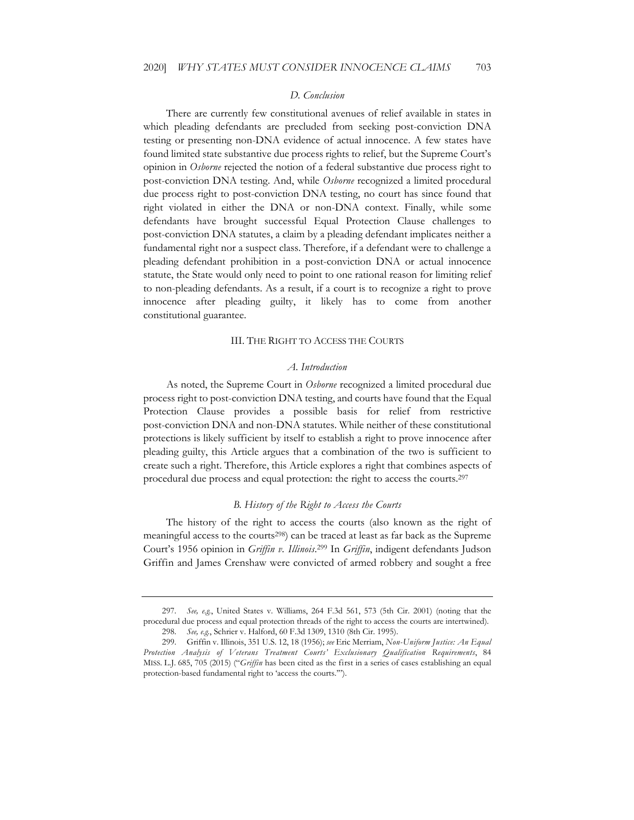#### *D. Conclusion*

There are currently few constitutional avenues of relief available in states in which pleading defendants are precluded from seeking post-conviction DNA testing or presenting non-DNA evidence of actual innocence. A few states have found limited state substantive due process rights to relief, but the Supreme Court's opinion in *Osborne* rejected the notion of a federal substantive due process right to post-conviction DNA testing. And, while *Osborne* recognized a limited procedural due process right to post-conviction DNA testing, no court has since found that right violated in either the DNA or non-DNA context. Finally, while some defendants have brought successful Equal Protection Clause challenges to post-conviction DNA statutes, a claim by a pleading defendant implicates neither a fundamental right nor a suspect class. Therefore, if a defendant were to challenge a pleading defendant prohibition in a post-conviction DNA or actual innocence statute, the State would only need to point to one rational reason for limiting relief to non-pleading defendants. As a result, if a court is to recognize a right to prove innocence after pleading guilty, it likely has to come from another constitutional guarantee.

#### III. THE RIGHT TO ACCESS THE COURTS

#### *A. Introduction*

As noted, the Supreme Court in *Osborne* recognized a limited procedural due process right to post-conviction DNA testing, and courts have found that the Equal Protection Clause provides a possible basis for relief from restrictive post-conviction DNA and non-DNA statutes. While neither of these constitutional protections is likely sufficient by itself to establish a right to prove innocence after pleading guilty, this Article argues that a combination of the two is sufficient to create such a right. Therefore, this Article explores a right that combines aspects of procedural due process and equal protection: the right to access the courts.297

#### *B. History of the Right to Access the Courts*

The history of the right to access the courts (also known as the right of meaningful access to the courts<sup>298</sup>) can be traced at least as far back as the Supreme Court's 1956 opinion in *Griffin v. Illinois*. 299 In *Griffin*, indigent defendants Judson Griffin and James Crenshaw were convicted of armed robbery and sought a free

<sup>297</sup>*. See, e.g.*, United States v. Williams, 264 F.3d 561, 573 (5th Cir. 2001) (noting that the procedural due process and equal protection threads of the right to access the courts are intertwined).

<sup>298</sup>*. See, e.g.*, Schrier v. Halford, 60 F.3d 1309, 1310 (8th Cir. 1995).

<sup>299.</sup> Griffin v. Illinois, 351 U.S. 12, 18 (1956); *see* Eric Merriam, *Non-Uniform Justice: An Equal Protection Analysis of Veterans Treatment Courts' Exclusionary Qualification Requirements*, 84 MISS. L.J. 685, 705 (2015) ("*Griffin* has been cited as the first in a series of cases establishing an equal protection-based fundamental right to 'access the courts.'").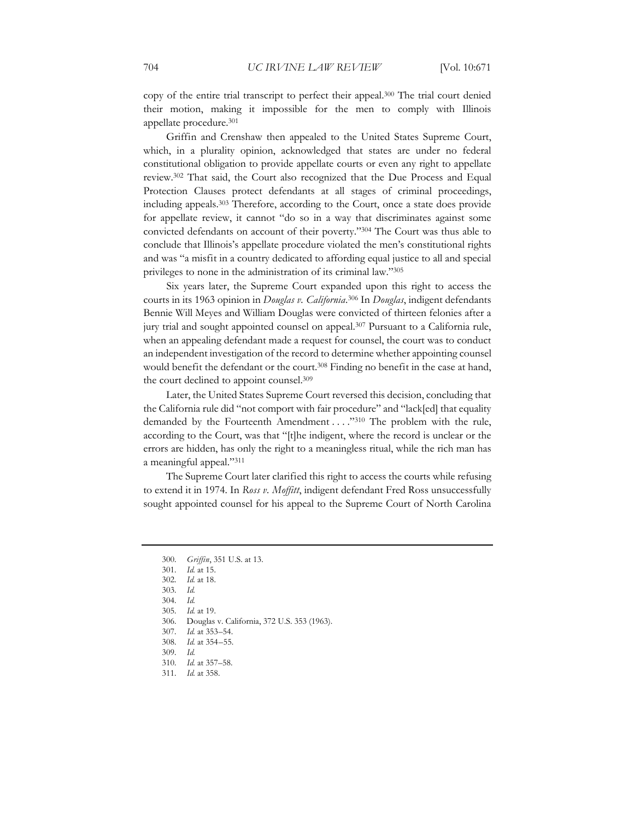copy of the entire trial transcript to perfect their appeal.300 The trial court denied their motion, making it impossible for the men to comply with Illinois appellate procedure.301

Griffin and Crenshaw then appealed to the United States Supreme Court, which, in a plurality opinion, acknowledged that states are under no federal constitutional obligation to provide appellate courts or even any right to appellate review.302 That said, the Court also recognized that the Due Process and Equal Protection Clauses protect defendants at all stages of criminal proceedings, including appeals.303 Therefore, according to the Court, once a state does provide for appellate review, it cannot "do so in a way that discriminates against some convicted defendants on account of their poverty."304 The Court was thus able to conclude that Illinois's appellate procedure violated the men's constitutional rights and was "a misfit in a country dedicated to affording equal justice to all and special privileges to none in the administration of its criminal law."305

Six years later, the Supreme Court expanded upon this right to access the courts in its 1963 opinion in *Douglas v. California*. 306 In *Douglas*, indigent defendants Bennie Will Meyes and William Douglas were convicted of thirteen felonies after a jury trial and sought appointed counsel on appeal.307 Pursuant to a California rule, when an appealing defendant made a request for counsel, the court was to conduct an independent investigation of the record to determine whether appointing counsel would benefit the defendant or the court.<sup>308</sup> Finding no benefit in the case at hand, the court declined to appoint counsel.309

Later, the United States Supreme Court reversed this decision, concluding that the California rule did "not comport with fair procedure" and "lack[ed] that equality demanded by the Fourteenth Amendment . . . . "310 The problem with the rule, according to the Court, was that "[t]he indigent, where the record is unclear or the errors are hidden, has only the right to a meaningless ritual, while the rich man has a meaningful appeal."311

The Supreme Court later clarified this right to access the courts while refusing to extend it in 1974. In *Ross v. Moffitt*, indigent defendant Fred Ross unsuccessfully sought appointed counsel for his appeal to the Supreme Court of North Carolina

<sup>300</sup>*. Griffin*, 351 U.S. at 13.

<sup>301</sup>*. Id.* at 15.

<sup>302</sup>*. Id.* at 18.

<sup>303</sup>*. Id.*

<sup>304</sup>*. Id.*

<sup>305</sup>*. Id.* at 19.

<sup>306.</sup> Douglas v. California, 372 U.S. 353 (1963).

<sup>307</sup>*. Id.* at 353–54.

<sup>308</sup>*. Id.* at 354–55.

<sup>309</sup>*. Id.*

<sup>310</sup>*. Id.* at 357–58.

<sup>311</sup>*. Id.* at 358.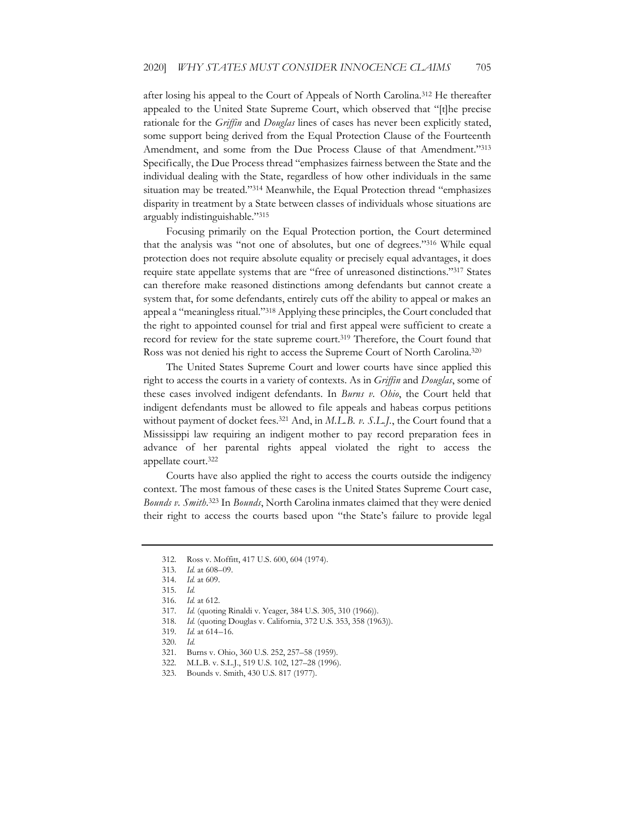after losing his appeal to the Court of Appeals of North Carolina.312 He thereafter appealed to the United State Supreme Court, which observed that "[t]he precise rationale for the *Griffin* and *Douglas* lines of cases has never been explicitly stated, some support being derived from the Equal Protection Clause of the Fourteenth Amendment, and some from the Due Process Clause of that Amendment."313 Specifically, the Due Process thread "emphasizes fairness between the State and the individual dealing with the State, regardless of how other individuals in the same situation may be treated."<sup>314</sup> Meanwhile, the Equal Protection thread "emphasizes disparity in treatment by a State between classes of individuals whose situations are arguably indistinguishable."315

Focusing primarily on the Equal Protection portion, the Court determined that the analysis was "not one of absolutes, but one of degrees."316 While equal protection does not require absolute equality or precisely equal advantages, it does require state appellate systems that are "free of unreasoned distinctions."317 States can therefore make reasoned distinctions among defendants but cannot create a system that, for some defendants, entirely cuts off the ability to appeal or makes an appeal a "meaningless ritual."318 Applying these principles, the Court concluded that the right to appointed counsel for trial and first appeal were sufficient to create a record for review for the state supreme court.<sup>319</sup> Therefore, the Court found that Ross was not denied his right to access the Supreme Court of North Carolina.320

The United States Supreme Court and lower courts have since applied this right to access the courts in a variety of contexts. As in *Griffin* and *Douglas*, some of these cases involved indigent defendants. In *Burns v. Ohio*, the Court held that indigent defendants must be allowed to file appeals and habeas corpus petitions without payment of docket fees.<sup>321</sup> And, in *M.L.B. v. S.L.J.*, the Court found that a Mississippi law requiring an indigent mother to pay record preparation fees in advance of her parental rights appeal violated the right to access the appellate court.322

Courts have also applied the right to access the courts outside the indigency context. The most famous of these cases is the United States Supreme Court case, *Bounds v. Smith*. 323 In *Bounds*, North Carolina inmates claimed that they were denied their right to access the courts based upon "the State's failure to provide legal

<sup>312.</sup> Ross v. Moffitt, 417 U.S. 600, 604 (1974).

<sup>313</sup>*. Id.* at 608–09.

<sup>314</sup>*. Id.* at 609.

<sup>315</sup>*. Id.*

<sup>316</sup>*. Id.* at 612.

<sup>317</sup>*. Id.* (quoting Rinaldi v. Yeager, 384 U.S. 305, 310 (1966)).

<sup>318</sup>*. Id.* (quoting Douglas v. California, 372 U.S. 353, 358 (1963)).

<sup>319</sup>*. Id.* at 614–16.

<sup>320</sup>*. Id.*

<sup>321.</sup> Burns v. Ohio, 360 U.S. 252, 257–58 (1959).

<sup>322.</sup> M.L.B. v. S.L.J., 519 U.S. 102, 127–28 (1996).

<sup>323.</sup> Bounds v. Smith, 430 U.S. 817 (1977).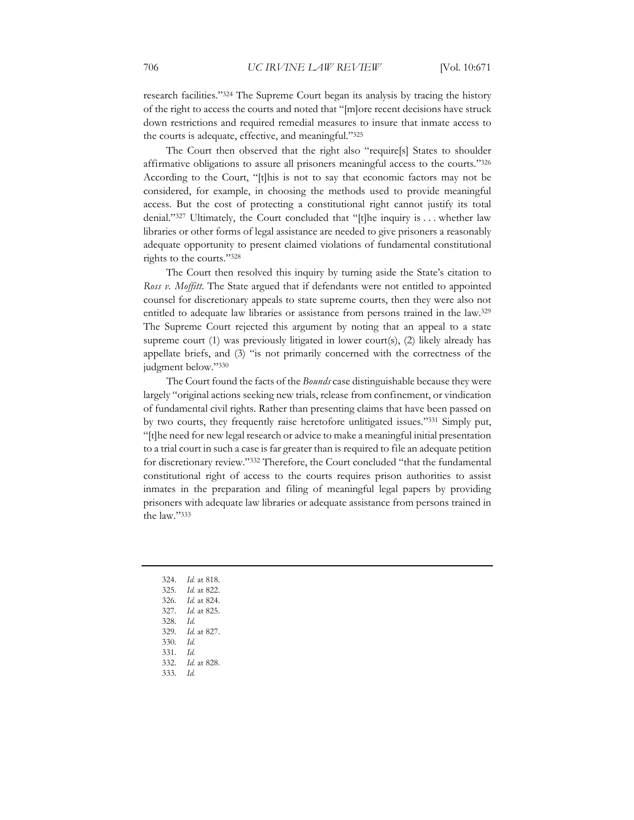research facilities."324 The Supreme Court began its analysis by tracing the history of the right to access the courts and noted that "[m]ore recent decisions have struck down restrictions and required remedial measures to insure that inmate access to the courts is adequate, effective, and meaningful."325

The Court then observed that the right also "require[s] States to shoulder affirmative obligations to assure all prisoners meaningful access to the courts."326 According to the Court, "[t]his is not to say that economic factors may not be considered, for example, in choosing the methods used to provide meaningful access. But the cost of protecting a constitutional right cannot justify its total denial."327 Ultimately, the Court concluded that "[t]he inquiry is . . . whether law libraries or other forms of legal assistance are needed to give prisoners a reasonably adequate opportunity to present claimed violations of fundamental constitutional rights to the courts."328

The Court then resolved this inquiry by turning aside the State's citation to *Ross v. Moffitt*. The State argued that if defendants were not entitled to appointed counsel for discretionary appeals to state supreme courts, then they were also not entitled to adequate law libraries or assistance from persons trained in the law.329 The Supreme Court rejected this argument by noting that an appeal to a state supreme court (1) was previously litigated in lower court(s), (2) likely already has appellate briefs, and (3) "is not primarily concerned with the correctness of the judgment below."330

The Court found the facts of the *Bounds* case distinguishable because they were largely "original actions seeking new trials, release from confinement, or vindication of fundamental civil rights. Rather than presenting claims that have been passed on by two courts, they frequently raise heretofore unlitigated issues."331 Simply put, "[t]he need for new legal research or advice to make a meaningful initial presentation to a trial court in such a case is far greater than is required to file an adequate petition for discretionary review."332 Therefore, the Court concluded "that the fundamental constitutional right of access to the courts requires prison authorities to assist inmates in the preparation and filing of meaningful legal papers by providing prisoners with adequate law libraries or adequate assistance from persons trained in the law."333

- 324*. Id.* at 818.
- 325*. Id.* at 822.
- 326*. Id.* at 824.
- 327*. Id.* at 825.
- 328*. Id.*
- 329*. Id.* at 827.
- 330*. Id.*
- 331*. Id.*
- 332*. Id.* at 828.
- 333*. Id.*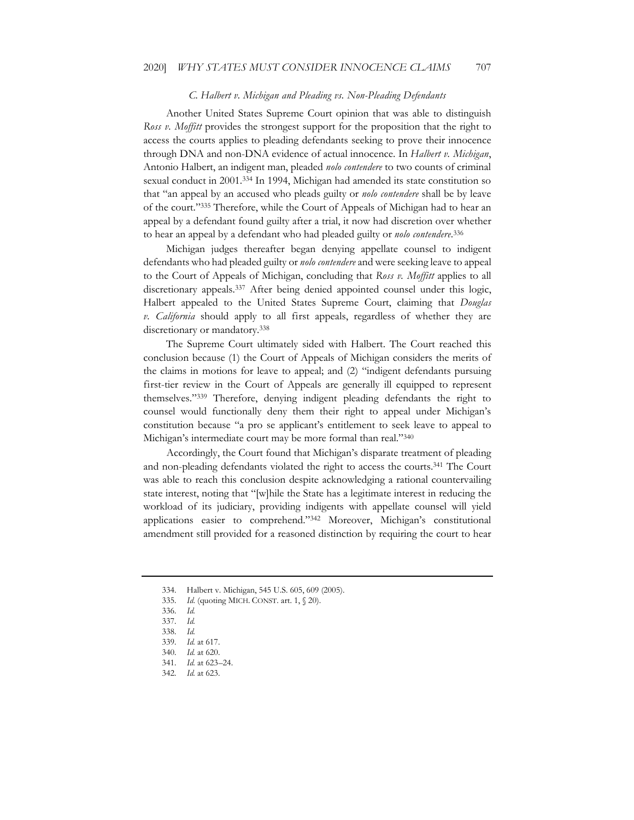#### *C. Halbert v. Michigan and Pleading vs. Non-Pleading Defendants*

Another United States Supreme Court opinion that was able to distinguish *Ross v. Moffitt* provides the strongest support for the proposition that the right to access the courts applies to pleading defendants seeking to prove their innocence through DNA and non-DNA evidence of actual innocence. In *Halbert v. Michigan*, Antonio Halbert, an indigent man, pleaded *nolo contendere* to two counts of criminal sexual conduct in 2001.334 In 1994, Michigan had amended its state constitution so that "an appeal by an accused who pleads guilty or *nolo contendere* shall be by leave of the court."335 Therefore, while the Court of Appeals of Michigan had to hear an appeal by a defendant found guilty after a trial, it now had discretion over whether to hear an appeal by a defendant who had pleaded guilty or *nolo contendere*. 336

Michigan judges thereafter began denying appellate counsel to indigent defendants who had pleaded guilty or *nolo contendere* and were seeking leave to appeal to the Court of Appeals of Michigan, concluding that *Ross v. Moffitt* applies to all discretionary appeals.<sup>337</sup> After being denied appointed counsel under this logic, Halbert appealed to the United States Supreme Court, claiming that *Douglas v. California* should apply to all first appeals, regardless of whether they are discretionary or mandatory.338

The Supreme Court ultimately sided with Halbert. The Court reached this conclusion because (1) the Court of Appeals of Michigan considers the merits of the claims in motions for leave to appeal; and (2) "indigent defendants pursuing first-tier review in the Court of Appeals are generally ill equipped to represent themselves."339 Therefore, denying indigent pleading defendants the right to counsel would functionally deny them their right to appeal under Michigan's constitution because "a pro se applicant's entitlement to seek leave to appeal to Michigan's intermediate court may be more formal than real."340

Accordingly, the Court found that Michigan's disparate treatment of pleading and non-pleading defendants violated the right to access the courts.341 The Court was able to reach this conclusion despite acknowledging a rational countervailing state interest, noting that "[w]hile the State has a legitimate interest in reducing the workload of its judiciary, providing indigents with appellate counsel will yield applications easier to comprehend."342 Moreover, Michigan's constitutional amendment still provided for a reasoned distinction by requiring the court to hear

<sup>334.</sup> Halbert v. Michigan, 545 U.S. 605, 609 (2005).

<sup>335</sup>*. Id*. (quoting MICH. CONST. art. 1, § 20).

<sup>336</sup>*. Id.* 

<sup>337</sup>*. Id.* 

<sup>338</sup>*. Id.*

<sup>339</sup>*. Id.* at 617.

<sup>340</sup>*. Id.* at 620.

<sup>341</sup>*. Id.* at 623–24.

<sup>342</sup>*. Id.* at 623.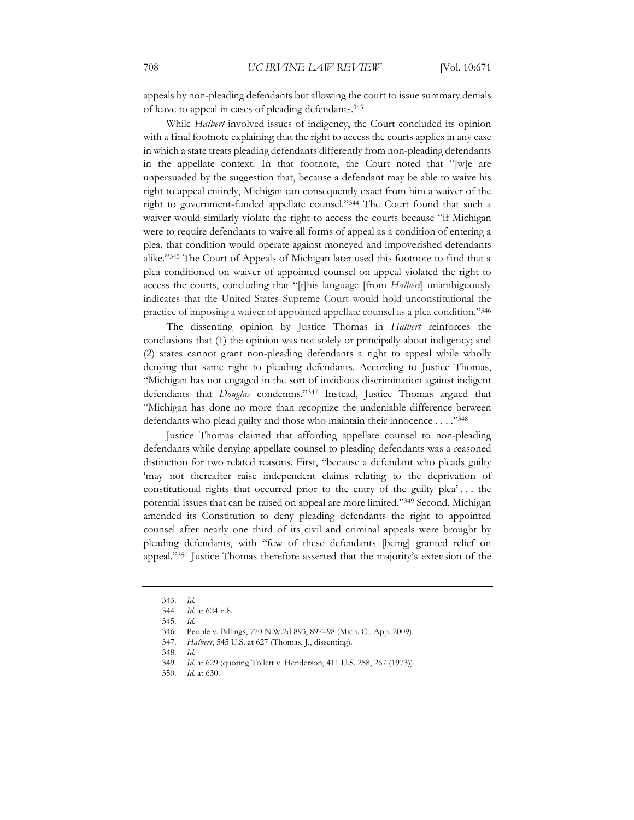appeals by non-pleading defendants but allowing the court to issue summary denials of leave to appeal in cases of pleading defendants.343

While *Halbert* involved issues of indigency, the Court concluded its opinion with a final footnote explaining that the right to access the courts applies in any case in which a state treats pleading defendants differently from non-pleading defendants in the appellate context. In that footnote, the Court noted that "[w]e are unpersuaded by the suggestion that, because a defendant may be able to waive his right to appeal entirely, Michigan can consequently exact from him a waiver of the right to government-funded appellate counsel."344 The Court found that such a waiver would similarly violate the right to access the courts because "if Michigan were to require defendants to waive all forms of appeal as a condition of entering a plea, that condition would operate against moneyed and impoverished defendants alike."345 The Court of Appeals of Michigan later used this footnote to find that a plea conditioned on waiver of appointed counsel on appeal violated the right to access the courts, concluding that "[t]his language [from *Halbert*] unambiguously indicates that the United States Supreme Court would hold unconstitutional the practice of imposing a waiver of appointed appellate counsel as a plea condition."346

The dissenting opinion by Justice Thomas in *Halbert* reinforces the conclusions that (1) the opinion was not solely or principally about indigency; and (2) states cannot grant non-pleading defendants a right to appeal while wholly denying that same right to pleading defendants. According to Justice Thomas, "Michigan has not engaged in the sort of invidious discrimination against indigent defendants that *Douglas* condemns."347 Instead, Justice Thomas argued that "Michigan has done no more than recognize the undeniable difference between defendants who plead guilty and those who maintain their innocence . . . ."348

Justice Thomas claimed that affording appellate counsel to non-pleading defendants while denying appellate counsel to pleading defendants was a reasoned distinction for two related reasons. First, "because a defendant who pleads guilty 'may not thereafter raise independent claims relating to the deprivation of constitutional rights that occurred prior to the entry of the guilty plea' . . . the potential issues that can be raised on appeal are more limited."349 Second, Michigan amended its Constitution to deny pleading defendants the right to appointed counsel after nearly one third of its civil and criminal appeals were brought by pleading defendants, with "few of these defendants [being] granted relief on appeal."350 Justice Thomas therefore asserted that the majority's extension of the

<sup>343</sup>*. Id.*

<sup>344</sup>*. Id.* at 624 n.8.

<sup>345</sup>*. Id.*

<sup>346.</sup> People v. Billings, 770 N.W.2d 893, 897–98 (Mich. Ct. App. 2009).

<sup>347</sup>*. Halbert*, 545 U.S. at 627 (Thomas, J., dissenting).

<sup>348</sup>*. Id.*

<sup>349</sup>*. Id.* at 629 (quoting Tollett v. Henderson, 411 U.S. 258, 267 (1973)).

<sup>350</sup>*. Id.* at 630.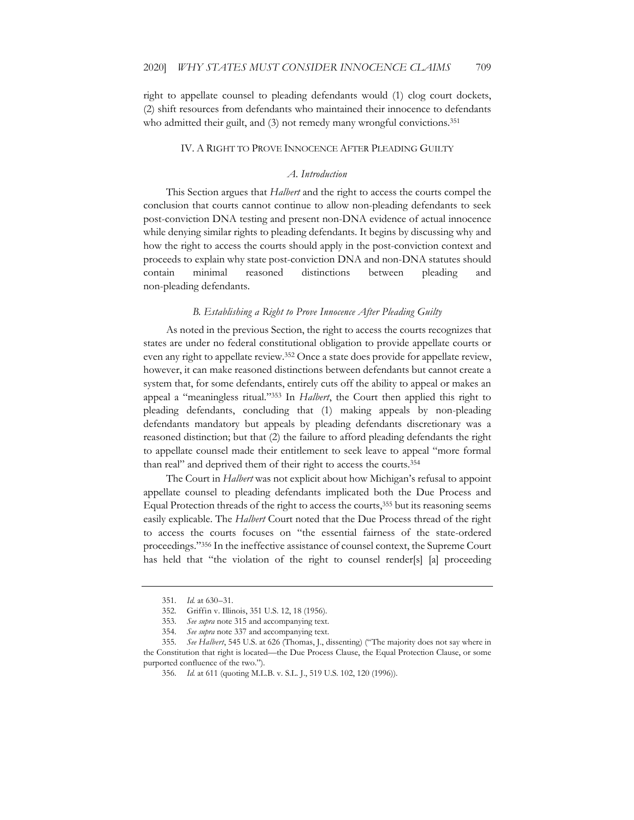right to appellate counsel to pleading defendants would (1) clog court dockets, (2) shift resources from defendants who maintained their innocence to defendants who admitted their guilt, and (3) not remedy many wrongful convictions.<sup>351</sup>

#### IV. A RIGHT TO PROVE INNOCENCE AFTER PLEADING GUILTY

#### *A. Introduction*

This Section argues that *Halbert* and the right to access the courts compel the conclusion that courts cannot continue to allow non-pleading defendants to seek post-conviction DNA testing and present non-DNA evidence of actual innocence while denying similar rights to pleading defendants. It begins by discussing why and how the right to access the courts should apply in the post-conviction context and proceeds to explain why state post-conviction DNA and non-DNA statutes should contain minimal reasoned distinctions between pleading and non-pleading defendants.

#### *B. Establishing a Right to Prove Innocence After Pleading Guilty*

As noted in the previous Section, the right to access the courts recognizes that states are under no federal constitutional obligation to provide appellate courts or even any right to appellate review.<sup>352</sup> Once a state does provide for appellate review, however, it can make reasoned distinctions between defendants but cannot create a system that, for some defendants, entirely cuts off the ability to appeal or makes an appeal a "meaningless ritual."353 In *Halbert*, the Court then applied this right to pleading defendants, concluding that (1) making appeals by non-pleading defendants mandatory but appeals by pleading defendants discretionary was a reasoned distinction; but that (2) the failure to afford pleading defendants the right to appellate counsel made their entitlement to seek leave to appeal "more formal than real" and deprived them of their right to access the courts.354

The Court in *Halbert* was not explicit about how Michigan's refusal to appoint appellate counsel to pleading defendants implicated both the Due Process and Equal Protection threads of the right to access the courts,<sup>355</sup> but its reasoning seems easily explicable. The *Halbert* Court noted that the Due Process thread of the right to access the courts focuses on "the essential fairness of the state-ordered proceedings."356 In the ineffective assistance of counsel context, the Supreme Court has held that "the violation of the right to counsel render[s] [a] proceeding

<sup>351</sup>*. Id.* at 630–31.

<sup>352.</sup> Griffin v. Illinois, 351 U.S. 12, 18 (1956).

<sup>353</sup>*. See supra* note 315 and accompanying text.

<sup>354</sup>*. See supra* note 337 and accompanying text.

<sup>355</sup>*. See Halbert*, 545 U.S. at 626 (Thomas, J., dissenting) ("The majority does not say where in the Constitution that right is located—the Due Process Clause, the Equal Protection Clause, or some purported confluence of the two.").

<sup>356</sup>*. Id.* at 611 (quoting M.L.B. v. S.L. J., 519 U.S. 102, 120 (1996)).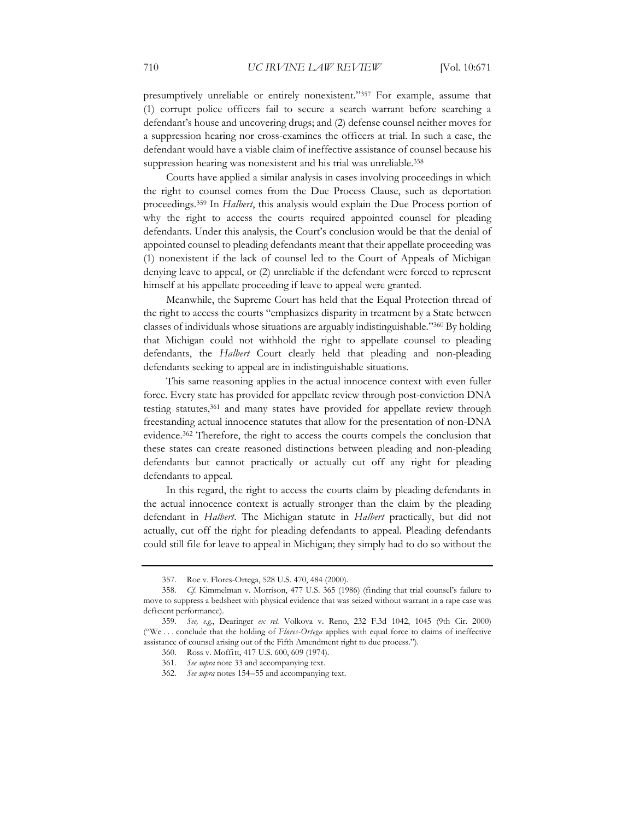presumptively unreliable or entirely nonexistent."357 For example, assume that (1) corrupt police officers fail to secure a search warrant before searching a defendant's house and uncovering drugs; and (2) defense counsel neither moves for a suppression hearing nor cross-examines the officers at trial. In such a case, the defendant would have a viable claim of ineffective assistance of counsel because his suppression hearing was nonexistent and his trial was unreliable.<sup>358</sup>

Courts have applied a similar analysis in cases involving proceedings in which the right to counsel comes from the Due Process Clause, such as deportation proceedings.359 In *Halbert*, this analysis would explain the Due Process portion of why the right to access the courts required appointed counsel for pleading defendants. Under this analysis, the Court's conclusion would be that the denial of appointed counsel to pleading defendants meant that their appellate proceeding was (1) nonexistent if the lack of counsel led to the Court of Appeals of Michigan denying leave to appeal, or (2) unreliable if the defendant were forced to represent himself at his appellate proceeding if leave to appeal were granted.

Meanwhile, the Supreme Court has held that the Equal Protection thread of the right to access the courts "emphasizes disparity in treatment by a State between classes of individuals whose situations are arguably indistinguishable."360 By holding that Michigan could not withhold the right to appellate counsel to pleading defendants, the *Halbert* Court clearly held that pleading and non-pleading defendants seeking to appeal are in indistinguishable situations.

This same reasoning applies in the actual innocence context with even fuller force. Every state has provided for appellate review through post-conviction DNA testing statutes,361 and many states have provided for appellate review through freestanding actual innocence statutes that allow for the presentation of non-DNA evidence.362 Therefore, the right to access the courts compels the conclusion that these states can create reasoned distinctions between pleading and non-pleading defendants but cannot practically or actually cut off any right for pleading defendants to appeal.

In this regard, the right to access the courts claim by pleading defendants in the actual innocence context is actually stronger than the claim by the pleading defendant in *Halbert*. The Michigan statute in *Halbert* practically, but did not actually, cut off the right for pleading defendants to appeal. Pleading defendants could still file for leave to appeal in Michigan; they simply had to do so without the

<sup>357.</sup> Roe v. Flores-Ortega, 528 U.S. 470, 484 (2000).

<sup>358</sup>*. Cf.* Kimmelman v. Morrison, 477 U.S. 365 (1986) (finding that trial counsel's failure to move to suppress a bedsheet with physical evidence that was seized without warrant in a rape case was deficient performance).

<sup>359</sup>*. See, e.g.*, Dearinger *ex rel.* Volkova v. Reno, 232 F.3d 1042, 1045 (9th Cir. 2000) ("We . . . conclude that the holding of *Flores-Ortega* applies with equal force to claims of ineffective assistance of counsel arising out of the Fifth Amendment right to due process.").

<sup>360.</sup> Ross v. Moffitt, 417 U.S. 600, 609 (1974).

<sup>361</sup>*. See supra* note 33 and accompanying text.

<sup>362</sup>*. See supra* notes 154–55 and accompanying text.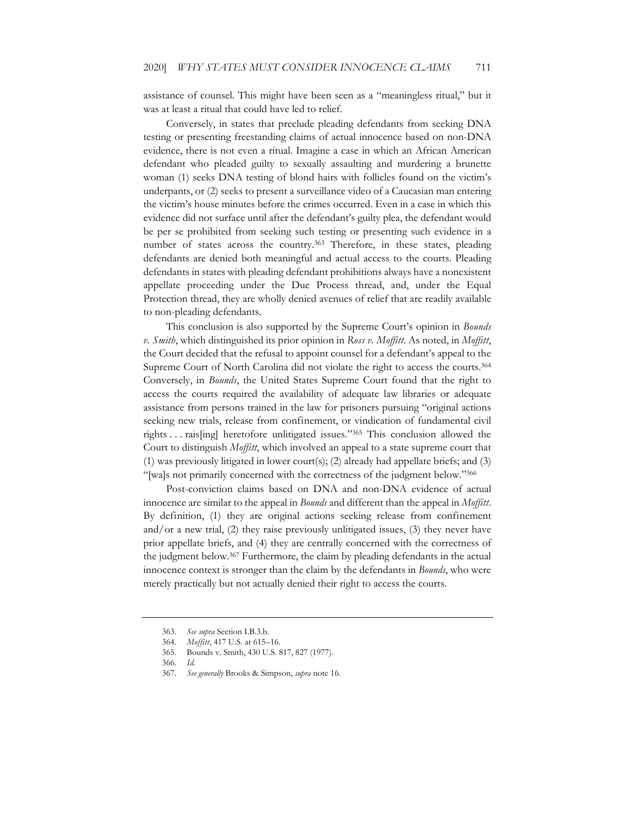assistance of counsel. This might have been seen as a "meaningless ritual," but it was at least a ritual that could have led to relief.

Conversely, in states that preclude pleading defendants from seeking DNA testing or presenting freestanding claims of actual innocence based on non-DNA evidence, there is not even a ritual. Imagine a case in which an African American defendant who pleaded guilty to sexually assaulting and murdering a brunette woman (1) seeks DNA testing of blond hairs with follicles found on the victim's underpants, or (2) seeks to present a surveillance video of a Caucasian man entering the victim's house minutes before the crimes occurred. Even in a case in which this evidence did not surface until after the defendant's guilty plea, the defendant would be per se prohibited from seeking such testing or presenting such evidence in a number of states across the country.<sup>363</sup> Therefore, in these states, pleading defendants are denied both meaningful and actual access to the courts. Pleading defendants in states with pleading defendant prohibitions always have a nonexistent appellate proceeding under the Due Process thread, and, under the Equal Protection thread, they are wholly denied avenues of relief that are readily available to non-pleading defendants.

This conclusion is also supported by the Supreme Court's opinion in *Bounds v. Smith*, which distinguished its prior opinion in *Ross v. Moffitt*. As noted, in *Moffitt*, the Court decided that the refusal to appoint counsel for a defendant's appeal to the Supreme Court of North Carolina did not violate the right to access the courts.<sup>364</sup> Conversely, in *Bounds*, the United States Supreme Court found that the right to access the courts required the availability of adequate law libraries or adequate assistance from persons trained in the law for prisoners pursuing "original actions seeking new trials, release from confinement, or vindication of fundamental civil rights . . . rais[ing] heretofore unlitigated issues."365 This conclusion allowed the Court to distinguish *Moffitt*, which involved an appeal to a state supreme court that (1) was previously litigated in lower court(s); (2) already had appellate briefs; and (3) "[wa]s not primarily concerned with the correctness of the judgment below."366

Post-conviction claims based on DNA and non-DNA evidence of actual innocence are similar to the appeal in *Bounds* and different than the appeal in *Moffitt*. By definition, (1) they are original actions seeking release from confinement and/or a new trial, (2) they raise previously unlitigated issues, (3) they never have prior appellate briefs, and (4) they are centrally concerned with the correctness of the judgment below.367 Furthermore, the claim by pleading defendants in the actual innocence context is stronger than the claim by the defendants in *Bounds*, who were merely practically but not actually denied their right to access the courts.

<sup>363</sup>*. See supra* Section I.B.3.b.

<sup>364</sup>*. Moffitt*, 417 U.S. at 615–16.

<sup>365.</sup> Bounds v. Smith, 430 U.S. 817, 827 (1977).

<sup>366</sup>*. Id.*

<sup>367</sup>*. See generally* Brooks & Simpson, *supra* note 16.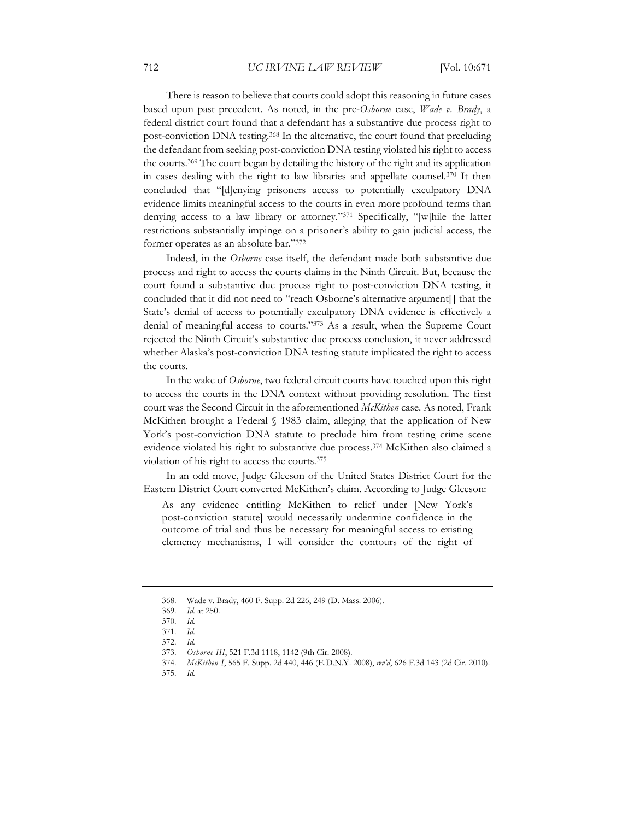There is reason to believe that courts could adopt this reasoning in future cases based upon past precedent. As noted, in the pre-*Osborne* case, *Wade v. Brady*, a federal district court found that a defendant has a substantive due process right to post-conviction DNA testing.368 In the alternative, the court found that precluding the defendant from seeking post-conviction DNA testing violated his right to access the courts.369 The court began by detailing the history of the right and its application in cases dealing with the right to law libraries and appellate counsel.370 It then concluded that "[d]enying prisoners access to potentially exculpatory DNA evidence limits meaningful access to the courts in even more profound terms than denying access to a law library or attorney."371 Specifically, "[w]hile the latter restrictions substantially impinge on a prisoner's ability to gain judicial access, the former operates as an absolute bar."372

Indeed, in the *Osborne* case itself, the defendant made both substantive due process and right to access the courts claims in the Ninth Circuit. But, because the court found a substantive due process right to post-conviction DNA testing, it concluded that it did not need to "reach Osborne's alternative argument<sup>[]</sup> that the State's denial of access to potentially exculpatory DNA evidence is effectively a denial of meaningful access to courts."373 As a result, when the Supreme Court rejected the Ninth Circuit's substantive due process conclusion, it never addressed whether Alaska's post-conviction DNA testing statute implicated the right to access the courts.

In the wake of *Osborne*, two federal circuit courts have touched upon this right to access the courts in the DNA context without providing resolution. The first court was the Second Circuit in the aforementioned *McKithen* case. As noted, Frank McKithen brought a Federal § 1983 claim, alleging that the application of New York's post-conviction DNA statute to preclude him from testing crime scene evidence violated his right to substantive due process.374 McKithen also claimed a violation of his right to access the courts.375

In an odd move, Judge Gleeson of the United States District Court for the Eastern District Court converted McKithen's claim. According to Judge Gleeson:

As any evidence entitling McKithen to relief under [New York's post-conviction statute] would necessarily undermine confidence in the outcome of trial and thus be necessary for meaningful access to existing clemency mechanisms, I will consider the contours of the right of

<sup>368.</sup> Wade v. Brady, 460 F. Supp. 2d 226, 249 (D. Mass. 2006).

<sup>369</sup>*. Id.* at 250.

<sup>370</sup>*. Id.*

<sup>371</sup>*. Id.* 

<sup>372</sup>*. Id.* 

<sup>373</sup>*. Osborne III*, 521 F.3d 1118, 1142 (9th Cir. 2008).

<sup>374</sup>*. McKithen I*, 565 F. Supp. 2d 440, 446 (E.D.N.Y. 2008), *rev'd*, 626 F.3d 143 (2d Cir. 2010).

<sup>375</sup>*. Id.*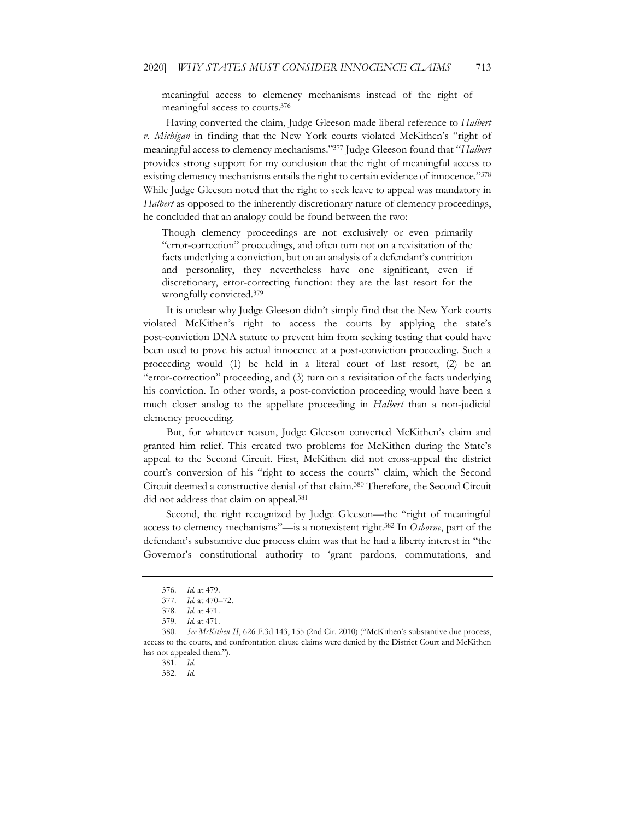meaningful access to clemency mechanisms instead of the right of meaningful access to courts.376

Having converted the claim, Judge Gleeson made liberal reference to *Halbert v. Michigan* in finding that the New York courts violated McKithen's "right of meaningful access to clemency mechanisms."377 Judge Gleeson found that "*Halbert* provides strong support for my conclusion that the right of meaningful access to existing clemency mechanisms entails the right to certain evidence of innocence."378 While Judge Gleeson noted that the right to seek leave to appeal was mandatory in *Halbert* as opposed to the inherently discretionary nature of clemency proceedings, he concluded that an analogy could be found between the two:

Though clemency proceedings are not exclusively or even primarily "error-correction" proceedings, and often turn not on a revisitation of the facts underlying a conviction, but on an analysis of a defendant's contrition and personality, they nevertheless have one significant, even if discretionary, error-correcting function: they are the last resort for the wrongfully convicted.379

It is unclear why Judge Gleeson didn't simply find that the New York courts violated McKithen's right to access the courts by applying the state's post-conviction DNA statute to prevent him from seeking testing that could have been used to prove his actual innocence at a post-conviction proceeding. Such a proceeding would (1) be held in a literal court of last resort, (2) be an "error-correction" proceeding, and (3) turn on a revisitation of the facts underlying his conviction. In other words, a post-conviction proceeding would have been a much closer analog to the appellate proceeding in *Halbert* than a non-judicial clemency proceeding.

But, for whatever reason, Judge Gleeson converted McKithen's claim and granted him relief. This created two problems for McKithen during the State's appeal to the Second Circuit. First, McKithen did not cross-appeal the district court's conversion of his "right to access the courts" claim, which the Second Circuit deemed a constructive denial of that claim.380 Therefore, the Second Circuit did not address that claim on appeal.<sup>381</sup>

Second, the right recognized by Judge Gleeson—the "right of meaningful access to clemency mechanisms"—is a nonexistent right.382 In *Osborne*, part of the defendant's substantive due process claim was that he had a liberty interest in "the Governor's constitutional authority to 'grant pardons, commutations, and

<sup>376</sup>*. Id.* at 479.

<sup>377</sup>*. Id.* at 470–72.

<sup>378</sup>*. Id.* at 471.

<sup>379</sup>*. Id.* at 471.

<sup>380</sup>*. See McKithen II*, 626 F.3d 143, 155 (2nd Cir. 2010) ("McKithen's substantive due process, access to the courts, and confrontation clause claims were denied by the District Court and McKithen has not appealed them.").

<sup>381</sup>*. Id.* 

<sup>382</sup>*. Id.*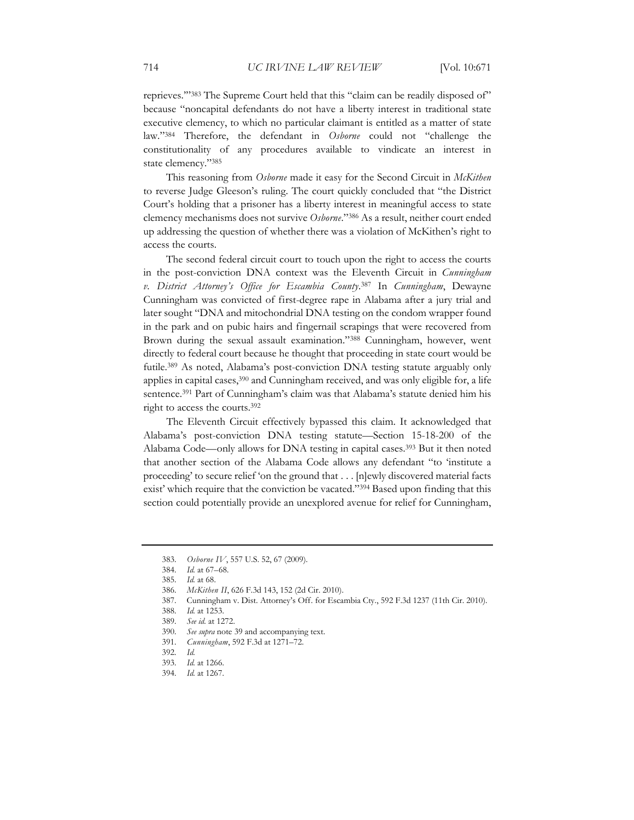reprieves.'"383 The Supreme Court held that this "claim can be readily disposed of" because "noncapital defendants do not have a liberty interest in traditional state executive clemency, to which no particular claimant is entitled as a matter of state law."384 Therefore, the defendant in *Osborne* could not "challenge the constitutionality of any procedures available to vindicate an interest in state clemency."385

This reasoning from *Osborne* made it easy for the Second Circuit in *McKithen* to reverse Judge Gleeson's ruling. The court quickly concluded that "the District Court's holding that a prisoner has a liberty interest in meaningful access to state clemency mechanisms does not survive *Osborne*."386 As a result, neither court ended up addressing the question of whether there was a violation of McKithen's right to access the courts.

The second federal circuit court to touch upon the right to access the courts in the post-conviction DNA context was the Eleventh Circuit in *Cunningham v. District Attorney's Office for Escambia County*. 387 In *Cunningham*, Dewayne Cunningham was convicted of first-degree rape in Alabama after a jury trial and later sought "DNA and mitochondrial DNA testing on the condom wrapper found in the park and on pubic hairs and fingernail scrapings that were recovered from Brown during the sexual assault examination."388 Cunningham, however, went directly to federal court because he thought that proceeding in state court would be futile.389 As noted, Alabama's post-conviction DNA testing statute arguably only applies in capital cases,<sup>390</sup> and Cunningham received, and was only eligible for, a life sentence.<sup>391</sup> Part of Cunningham's claim was that Alabama's statute denied him his right to access the courts.392

The Eleventh Circuit effectively bypassed this claim. It acknowledged that Alabama's post-conviction DNA testing statute—Section 15-18-200 of the Alabama Code—only allows for DNA testing in capital cases.393 But it then noted that another section of the Alabama Code allows any defendant "to 'institute a proceeding' to secure relief 'on the ground that . . . [n]ewly discovered material facts exist' which require that the conviction be vacated."394 Based upon finding that this section could potentially provide an unexplored avenue for relief for Cunningham,

387. Cunningham v. Dist. Attorney's Off. for Escambia Cty., 592 F.3d 1237 (11th Cir. 2010).

<sup>383</sup>*. Osborne IV*, 557 U.S. 52, 67 (2009).

<sup>384</sup>*. Id.* at 67–68.

<sup>385</sup>*. Id.* at 68.

<sup>386</sup>*. McKithen II*, 626 F.3d 143, 152 (2d Cir. 2010).

<sup>388</sup>*. Id.* at 1253.

<sup>389</sup>*. See id.* at 1272.

<sup>390</sup>*. See supra* note 39 and accompanying text.

<sup>391</sup>*. Cunningham*, 592 F.3d at 1271–72.

<sup>392</sup>*. Id.* 

<sup>393</sup>*. Id.* at 1266.

<sup>394</sup>*. Id.* at 1267.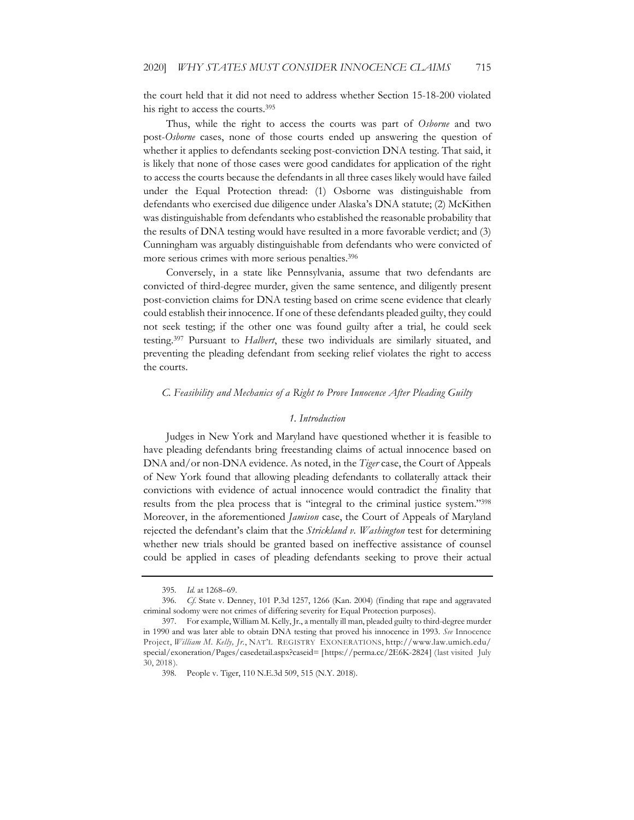the court held that it did not need to address whether Section 15-18-200 violated his right to access the courts.395

Thus, while the right to access the courts was part of *Osborne* and two post-*Osborne* cases, none of those courts ended up answering the question of whether it applies to defendants seeking post-conviction DNA testing. That said, it is likely that none of those cases were good candidates for application of the right to access the courts because the defendants in all three cases likely would have failed under the Equal Protection thread: (1) Osborne was distinguishable from defendants who exercised due diligence under Alaska's DNA statute; (2) McKithen was distinguishable from defendants who established the reasonable probability that the results of DNA testing would have resulted in a more favorable verdict; and (3) Cunningham was arguably distinguishable from defendants who were convicted of more serious crimes with more serious penalties.<sup>396</sup>

Conversely, in a state like Pennsylvania, assume that two defendants are convicted of third-degree murder, given the same sentence, and diligently present post-conviction claims for DNA testing based on crime scene evidence that clearly could establish their innocence. If one of these defendants pleaded guilty, they could not seek testing; if the other one was found guilty after a trial, he could seek testing.397 Pursuant to *Halbert*, these two individuals are similarly situated, and preventing the pleading defendant from seeking relief violates the right to access the courts.

#### *C. Feasibility and Mechanics of a Right to Prove Innocence After Pleading Guilty*

#### *1. Introduction*

Judges in New York and Maryland have questioned whether it is feasible to have pleading defendants bring freestanding claims of actual innocence based on DNA and/or non-DNA evidence. As noted, in the *Tiger* case, the Court of Appeals of New York found that allowing pleading defendants to collaterally attack their convictions with evidence of actual innocence would contradict the finality that results from the plea process that is "integral to the criminal justice system."398 Moreover, in the aforementioned *Jamison* case, the Court of Appeals of Maryland rejected the defendant's claim that the *Strickland v. Washington* test for determining whether new trials should be granted based on ineffective assistance of counsel could be applied in cases of pleading defendants seeking to prove their actual

<sup>395</sup>*. Id.* at 1268–69.

<sup>396</sup>*. Cf*. State v. Denney, 101 P.3d 1257, 1266 (Kan. 2004) (finding that rape and aggravated criminal sodomy were not crimes of differing severity for Equal Protection purposes).

<sup>397.</sup> For example, William M. Kelly, Jr., a mentally ill man, pleaded guilty to third-degree murder in 1990 and was later able to obtain DNA testing that proved his innocence in 1993. *See* Innocence Project, *William M. Kelly, Jr.*, NAT'L REGISTRY EXONERATIONS, http://www.law.umich.edu/ special/exoneration/Pages/casedetail.aspx?caseid= [https://perma.cc/2E6K-2824] (last visited July 30, 2018).

<sup>398.</sup> People v. Tiger, 110 N.E.3d 509, 515 (N.Y. 2018).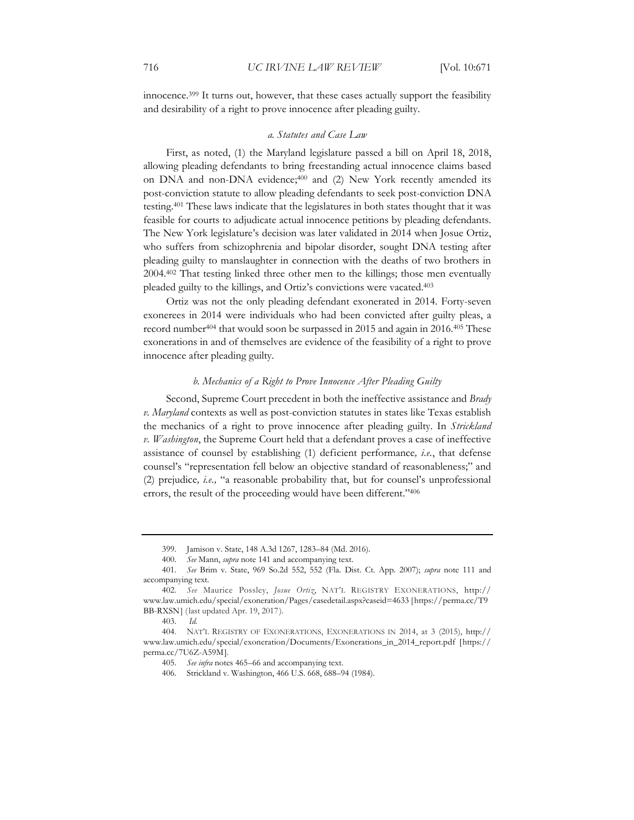innocence.399 It turns out, however, that these cases actually support the feasibility and desirability of a right to prove innocence after pleading guilty.

#### *a. Statutes and Case Law*

First, as noted, (1) the Maryland legislature passed a bill on April 18, 2018, allowing pleading defendants to bring freestanding actual innocence claims based on DNA and non-DNA evidence;<sup>400</sup> and (2) New York recently amended its post-conviction statute to allow pleading defendants to seek post-conviction DNA testing.401 These laws indicate that the legislatures in both states thought that it was feasible for courts to adjudicate actual innocence petitions by pleading defendants. The New York legislature's decision was later validated in 2014 when Josue Ortiz, who suffers from schizophrenia and bipolar disorder, sought DNA testing after pleading guilty to manslaughter in connection with the deaths of two brothers in 2004.402 That testing linked three other men to the killings; those men eventually pleaded guilty to the killings, and Ortiz's convictions were vacated.403

Ortiz was not the only pleading defendant exonerated in 2014. Forty-seven exonerees in 2014 were individuals who had been convicted after guilty pleas, a record number404 that would soon be surpassed in 2015 and again in 2016.405 These exonerations in and of themselves are evidence of the feasibility of a right to prove innocence after pleading guilty.

### *b. Mechanics of a Right to Prove Innocence After Pleading Guilty*

Second, Supreme Court precedent in both the ineffective assistance and *Brady v. Maryland* contexts as well as post-conviction statutes in states like Texas establish the mechanics of a right to prove innocence after pleading guilty. In *Strickland v. Washington*, the Supreme Court held that a defendant proves a case of ineffective assistance of counsel by establishing (1) deficient performance*, i.e.*, that defense counsel's "representation fell below an objective standard of reasonableness;" and (2) prejudice*, i.e.,* "a reasonable probability that, but for counsel's unprofessional errors, the result of the proceeding would have been different."406

<sup>399.</sup> Jamison v. State, 148 A.3d 1267, 1283–84 (Md. 2016).

<sup>400</sup>*. See* Mann, *supra* note 141 and accompanying text.

<sup>401</sup>*. See* Brim v. State, 969 So.2d 552, 552 (Fla. Dist. Ct. App. 2007); *supra* note 111 and accompanying text.

<sup>402</sup>*. See* Maurice Possley, *Josue Ortiz*, NAT'L REGISTRY EXONERATIONS, http:// www.law.umich.edu/special/exoneration/Pages/casedetail.aspx?caseid=4633 [https://perma.cc/T9 BB-RXSN] (last updated Apr. 19, 2017).

<sup>403.</sup> *Id.*

<sup>404.</sup> NAT'L REGISTRY OF EXONERATIONS, EXONERATIONS IN 2014, at 3 (2015), http:// www.law.umich.edu/special/exoneration/Documents/Exonerations\_in\_2014\_report.pdf [https:// perma.cc/7U6Z-A59M].

<sup>405</sup>*. See infra* notes 465–66 and accompanying text.

<sup>406.</sup> Strickland v. Washington, 466 U.S. 668, 688–94 (1984).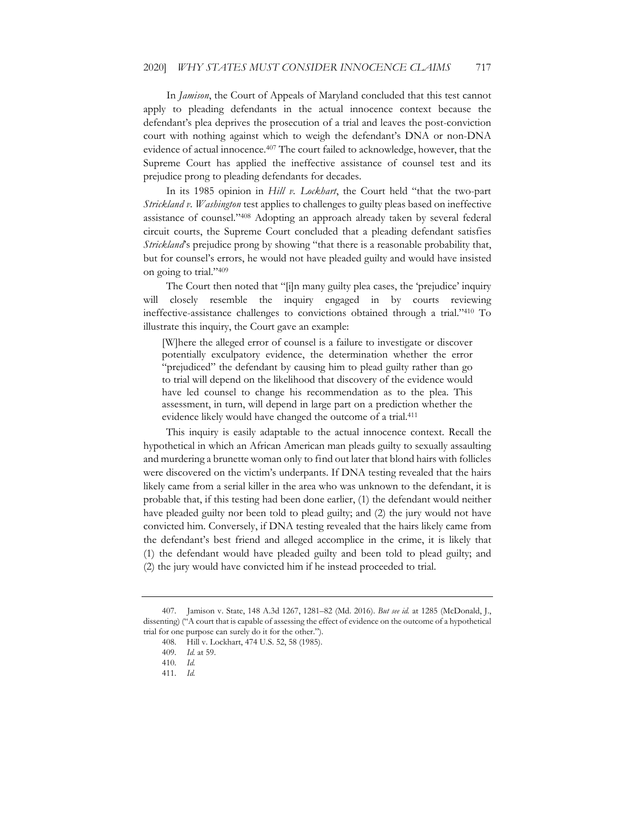In *Jamison*, the Court of Appeals of Maryland concluded that this test cannot apply to pleading defendants in the actual innocence context because the defendant's plea deprives the prosecution of a trial and leaves the post-conviction court with nothing against which to weigh the defendant's DNA or non-DNA evidence of actual innocence.407 The court failed to acknowledge, however, that the Supreme Court has applied the ineffective assistance of counsel test and its prejudice prong to pleading defendants for decades.

In its 1985 opinion in *Hill v. Lockhart*, the Court held "that the two-part *Strickland v. Washington* test applies to challenges to guilty pleas based on ineffective assistance of counsel."408 Adopting an approach already taken by several federal circuit courts, the Supreme Court concluded that a pleading defendant satisfies *Strickland*'s prejudice prong by showing "that there is a reasonable probability that, but for counsel's errors, he would not have pleaded guilty and would have insisted on going to trial."409

The Court then noted that "[i]n many guilty plea cases, the 'prejudice' inquiry will closely resemble the inquiry engaged in by courts reviewing ineffective-assistance challenges to convictions obtained through a trial."410 To illustrate this inquiry, the Court gave an example:

[W]here the alleged error of counsel is a failure to investigate or discover potentially exculpatory evidence, the determination whether the error "prejudiced" the defendant by causing him to plead guilty rather than go to trial will depend on the likelihood that discovery of the evidence would have led counsel to change his recommendation as to the plea. This assessment, in turn, will depend in large part on a prediction whether the evidence likely would have changed the outcome of a trial.<sup>411</sup>

This inquiry is easily adaptable to the actual innocence context. Recall the hypothetical in which an African American man pleads guilty to sexually assaulting and murdering a brunette woman only to find out later that blond hairs with follicles were discovered on the victim's underpants. If DNA testing revealed that the hairs likely came from a serial killer in the area who was unknown to the defendant, it is probable that, if this testing had been done earlier, (1) the defendant would neither have pleaded guilty nor been told to plead guilty; and (2) the jury would not have convicted him. Conversely, if DNA testing revealed that the hairs likely came from the defendant's best friend and alleged accomplice in the crime, it is likely that (1) the defendant would have pleaded guilty and been told to plead guilty; and (2) the jury would have convicted him if he instead proceeded to trial.

<sup>407</sup>*.* Jamison v. State, 148 A.3d 1267, 1281–82 (Md. 2016). *But see id.* at 1285 (McDonald, J., dissenting) ("A court that is capable of assessing the effect of evidence on the outcome of a hypothetical trial for one purpose can surely do it for the other.").

<sup>408.</sup> Hill v. Lockhart, 474 U.S. 52, 58 (1985).

<sup>409</sup>*. Id.* at 59.

<sup>410</sup>*. Id.* 

<sup>411</sup>*. Id.*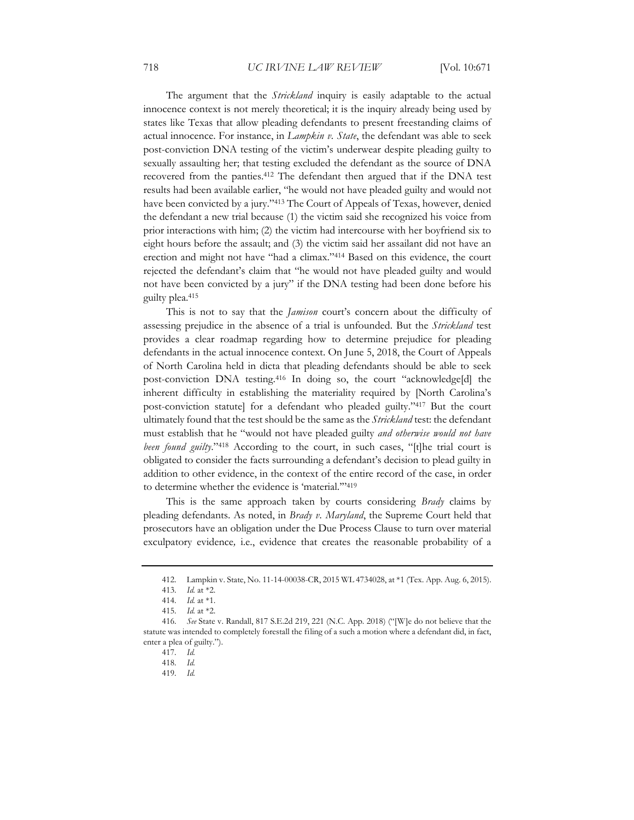The argument that the *Strickland* inquiry is easily adaptable to the actual innocence context is not merely theoretical; it is the inquiry already being used by states like Texas that allow pleading defendants to present freestanding claims of actual innocence. For instance, in *Lampkin v. State*, the defendant was able to seek post-conviction DNA testing of the victim's underwear despite pleading guilty to sexually assaulting her; that testing excluded the defendant as the source of DNA recovered from the panties.412 The defendant then argued that if the DNA test results had been available earlier, "he would not have pleaded guilty and would not have been convicted by a jury."413 The Court of Appeals of Texas, however, denied the defendant a new trial because (1) the victim said she recognized his voice from prior interactions with him; (2) the victim had intercourse with her boyfriend six to eight hours before the assault; and (3) the victim said her assailant did not have an erection and might not have "had a climax."414 Based on this evidence, the court rejected the defendant's claim that "he would not have pleaded guilty and would not have been convicted by a jury" if the DNA testing had been done before his guilty plea.415

This is not to say that the *Jamison* court's concern about the difficulty of assessing prejudice in the absence of a trial is unfounded. But the *Strickland* test provides a clear roadmap regarding how to determine prejudice for pleading defendants in the actual innocence context. On June 5, 2018, the Court of Appeals of North Carolina held in dicta that pleading defendants should be able to seek post-conviction DNA testing.416 In doing so, the court "acknowledge[d] the inherent difficulty in establishing the materiality required by [North Carolina's post-conviction statute] for a defendant who pleaded guilty."417 But the court ultimately found that the test should be the same as the *Strickland* test: the defendant must establish that he "would not have pleaded guilty *and otherwise would not have been found guilty.*"<sup>418</sup> According to the court, in such cases, "[t]he trial court is obligated to consider the facts surrounding a defendant's decision to plead guilty in addition to other evidence, in the context of the entire record of the case, in order to determine whether the evidence is 'material.'"419

This is the same approach taken by courts considering *Brady* claims by pleading defendants. As noted, in *Brady v. Maryland*, the Supreme Court held that prosecutors have an obligation under the Due Process Clause to turn over material exculpatory evidence*,* i.e., evidence that creates the reasonable probability of a

<sup>412.</sup> Lampkin v. State, No. 11-14-00038-CR, 2015 WL 4734028, at \*1 (Tex. App. Aug. 6, 2015).

<sup>413</sup>*. Id.* at \*2.

<sup>414</sup>*. Id.* at \*1.

<sup>415</sup>*. Id.* at \*2.

<sup>416</sup>*. See* State v. Randall, 817 S.E.2d 219, 221 (N.C. App. 2018) ("[W]e do not believe that the statute was intended to completely forestall the filing of a such a motion where a defendant did, in fact, enter a plea of guilty.").

<sup>417</sup>*. Id.* 

<sup>418</sup>*. Id.* 

<sup>419</sup>*. Id.*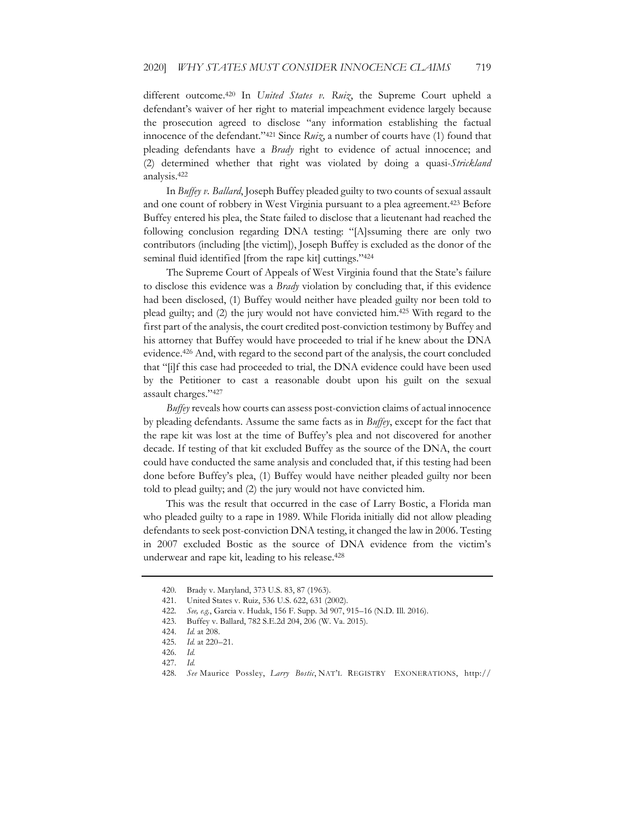different outcome.420 In *United States v. Ruiz*, the Supreme Court upheld a defendant's waiver of her right to material impeachment evidence largely because the prosecution agreed to disclose "any information establishing the factual innocence of the defendant."421 Since *Ruiz*, a number of courts have (1) found that pleading defendants have a *Brady* right to evidence of actual innocence; and (2) determined whether that right was violated by doing a quasi-*Strickland* analysis.422

In *Buffey v. Ballard*, Joseph Buffey pleaded guilty to two counts of sexual assault and one count of robbery in West Virginia pursuant to a plea agreement.423 Before Buffey entered his plea, the State failed to disclose that a lieutenant had reached the following conclusion regarding DNA testing: "[A]ssuming there are only two contributors (including [the victim]), Joseph Buffey is excluded as the donor of the seminal fluid identified [from the rape kit] cuttings."424

The Supreme Court of Appeals of West Virginia found that the State's failure to disclose this evidence was a *Brady* violation by concluding that, if this evidence had been disclosed, (1) Buffey would neither have pleaded guilty nor been told to plead guilty; and (2) the jury would not have convicted him.425 With regard to the first part of the analysis, the court credited post-conviction testimony by Buffey and his attorney that Buffey would have proceeded to trial if he knew about the DNA evidence.426 And, with regard to the second part of the analysis, the court concluded that "[i]f this case had proceeded to trial, the DNA evidence could have been used by the Petitioner to cast a reasonable doubt upon his guilt on the sexual assault charges."427

*Buffey* reveals how courts can assess post-conviction claims of actual innocence by pleading defendants. Assume the same facts as in *Buffey*, except for the fact that the rape kit was lost at the time of Buffey's plea and not discovered for another decade. If testing of that kit excluded Buffey as the source of the DNA, the court could have conducted the same analysis and concluded that, if this testing had been done before Buffey's plea, (1) Buffey would have neither pleaded guilty nor been told to plead guilty; and (2) the jury would not have convicted him.

This was the result that occurred in the case of Larry Bostic, a Florida man who pleaded guilty to a rape in 1989. While Florida initially did not allow pleading defendants to seek post-conviction DNA testing, it changed the law in 2006. Testing in 2007 excluded Bostic as the source of DNA evidence from the victim's underwear and rape kit, leading to his release.428

<sup>420.</sup> Brady v. Maryland, 373 U.S. 83, 87 (1963).

<sup>421.</sup> United States v. Ruiz, 536 U.S. 622, 631 (2002).

<sup>422</sup>*. See, e.g.*, Garcia v. Hudak, 156 F. Supp. 3d 907, 915–16 (N.D. Ill. 2016).

<sup>423.</sup> Buffey v. Ballard, 782 S.E.2d 204, 206 (W. Va. 2015).

<sup>424</sup>*. Id.* at 208.

<sup>425</sup>*. Id.* at 220–21.

<sup>426</sup>*. Id.* 

<sup>427</sup>*. Id.*

<sup>428</sup>*. See* Maurice Possley, *Larry Bostic*, NAT'L REGISTRY EXONERATIONS, http://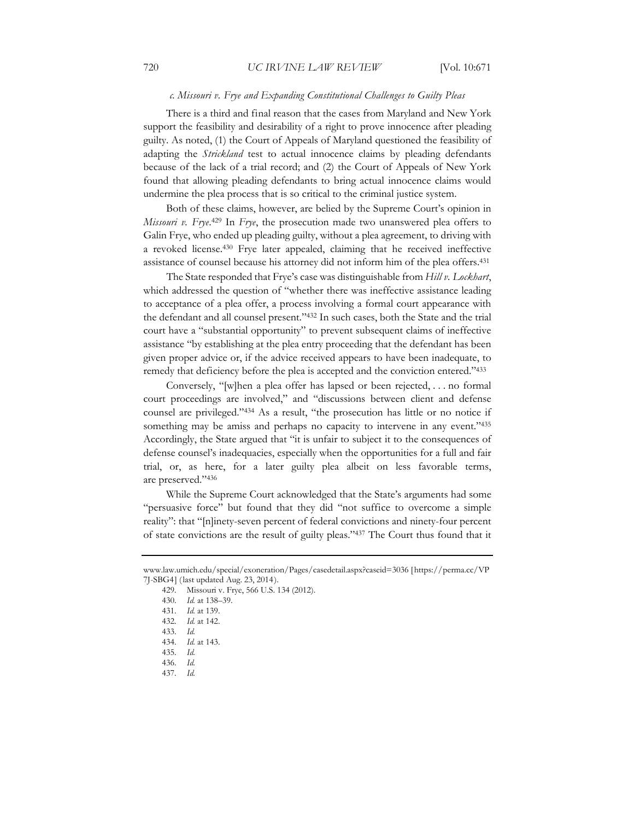#### *c. Missouri v. Frye and Expanding Constitutional Challenges to Guilty Pleas*

There is a third and final reason that the cases from Maryland and New York support the feasibility and desirability of a right to prove innocence after pleading guilty. As noted, (1) the Court of Appeals of Maryland questioned the feasibility of adapting the *Strickland* test to actual innocence claims by pleading defendants because of the lack of a trial record; and (2) the Court of Appeals of New York found that allowing pleading defendants to bring actual innocence claims would undermine the plea process that is so critical to the criminal justice system.

Both of these claims, however, are belied by the Supreme Court's opinion in *Missouri v. Frye*. 429 In *Frye*, the prosecution made two unanswered plea offers to Galin Frye, who ended up pleading guilty, without a plea agreement, to driving with a revoked license.430 Frye later appealed, claiming that he received ineffective assistance of counsel because his attorney did not inform him of the plea offers.431

The State responded that Frye's case was distinguishable from *Hill v. Lockhart*, which addressed the question of "whether there was ineffective assistance leading to acceptance of a plea offer, a process involving a formal court appearance with the defendant and all counsel present."432 In such cases, both the State and the trial court have a "substantial opportunity" to prevent subsequent claims of ineffective assistance "by establishing at the plea entry proceeding that the defendant has been given proper advice or, if the advice received appears to have been inadequate, to remedy that deficiency before the plea is accepted and the conviction entered."433

Conversely, "[w]hen a plea offer has lapsed or been rejected, . . . no formal court proceedings are involved," and "discussions between client and defense counsel are privileged."434 As a result, "the prosecution has little or no notice if something may be amiss and perhaps no capacity to intervene in any event."435 Accordingly, the State argued that "it is unfair to subject it to the consequences of defense counsel's inadequacies, especially when the opportunities for a full and fair trial, or, as here, for a later guilty plea albeit on less favorable terms, are preserved."436

While the Supreme Court acknowledged that the State's arguments had some "persuasive force" but found that they did "not suffice to overcome a simple reality": that "[n]inety-seven percent of federal convictions and ninety-four percent of state convictions are the result of guilty pleas."437 The Court thus found that it

www.law.umich.edu/special/exoneration/Pages/casedetail.aspx?caseid=3036 [https://perma.cc/VP 7J-SBG4] (last updated Aug. 23, 2014).

<sup>429.</sup> Missouri v. Frye, 566 U.S. 134 (2012).

<sup>430</sup>*. Id.* at 138–39.

<sup>431</sup>*. Id.* at 139.

<sup>432</sup>*. Id.* at 142.

<sup>433</sup>*. Id.*

<sup>434</sup>*. Id.* at 143.

<sup>435</sup>*. Id.* 

<sup>436</sup>*. Id.* 

<sup>437</sup>*. Id.*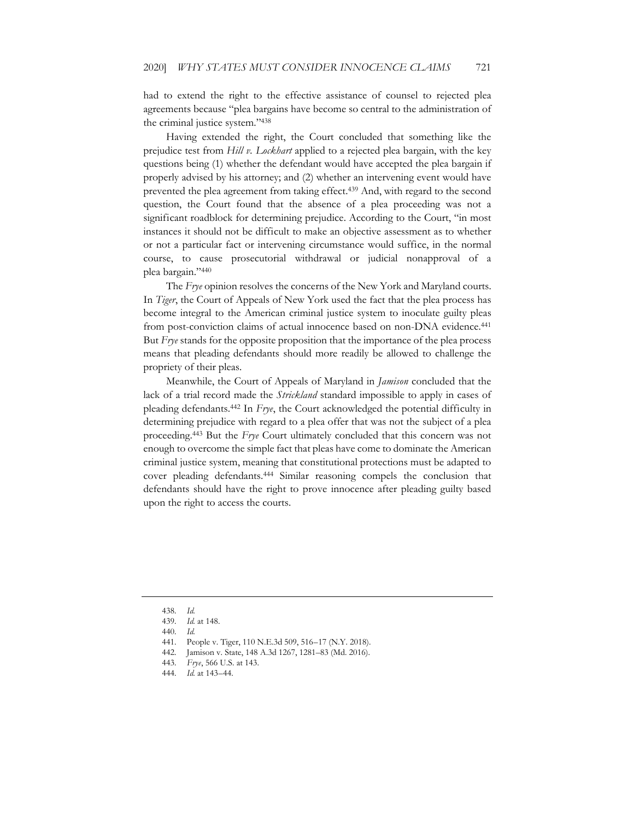had to extend the right to the effective assistance of counsel to rejected plea agreements because "plea bargains have become so central to the administration of the criminal justice system."438

Having extended the right, the Court concluded that something like the prejudice test from *Hill v. Lockhart* applied to a rejected plea bargain, with the key questions being (1) whether the defendant would have accepted the plea bargain if properly advised by his attorney; and (2) whether an intervening event would have prevented the plea agreement from taking effect.<sup>439</sup> And, with regard to the second question, the Court found that the absence of a plea proceeding was not a significant roadblock for determining prejudice. According to the Court, "in most instances it should not be difficult to make an objective assessment as to whether or not a particular fact or intervening circumstance would suffice, in the normal course, to cause prosecutorial withdrawal or judicial nonapproval of a plea bargain."440

The *Frye* opinion resolves the concerns of the New York and Maryland courts. In *Tiger*, the Court of Appeals of New York used the fact that the plea process has become integral to the American criminal justice system to inoculate guilty pleas from post-conviction claims of actual innocence based on non-DNA evidence.441 But *Frye* stands for the opposite proposition that the importance of the plea process means that pleading defendants should more readily be allowed to challenge the propriety of their pleas.

Meanwhile, the Court of Appeals of Maryland in *Jamison* concluded that the lack of a trial record made the *Strickland* standard impossible to apply in cases of pleading defendants.442 In *Frye*, the Court acknowledged the potential difficulty in determining prejudice with regard to a plea offer that was not the subject of a plea proceeding.443 But the *Frye* Court ultimately concluded that this concern was not enough to overcome the simple fact that pleas have come to dominate the American criminal justice system, meaning that constitutional protections must be adapted to cover pleading defendants.444 Similar reasoning compels the conclusion that defendants should have the right to prove innocence after pleading guilty based upon the right to access the courts.

<sup>438</sup>*. Id.*

<sup>439</sup>*. Id.* at 148.

<sup>440</sup>*. Id.*

<sup>441.</sup> People v. Tiger, 110 N.E.3d 509, 516–17 (N.Y. 2018).

<sup>442.</sup> Jamison v. State, 148 A.3d 1267, 1281–83 (Md. 2016).

<sup>443</sup>*. Frye*, 566 U.S. at 143.

<sup>444</sup>*. Id.* at 143–44.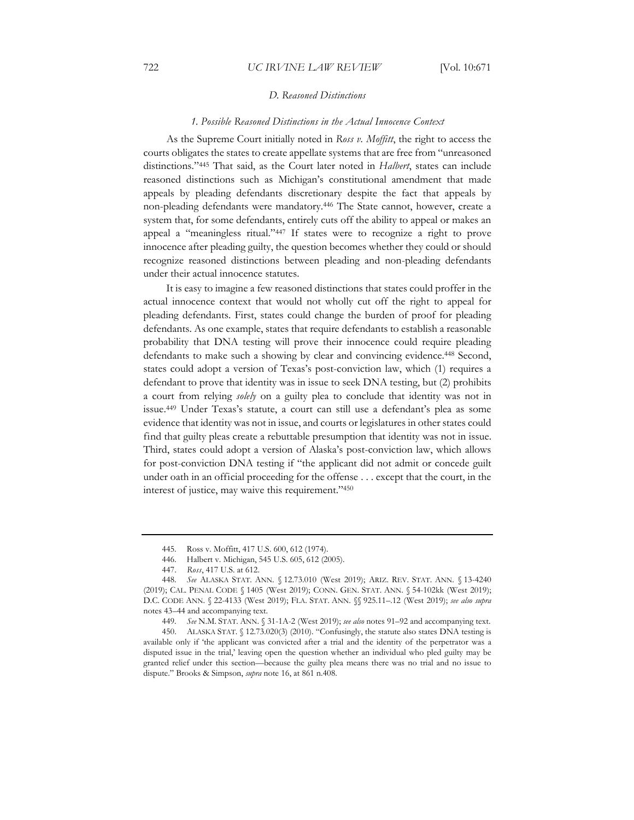#### *D. Reasoned Distinctions*

#### *1. Possible Reasoned Distinctions in the Actual Innocence Context*

As the Supreme Court initially noted in *Ross v. Moffitt*, the right to access the courts obligates the states to create appellate systems that are free from "unreasoned distinctions."445 That said, as the Court later noted in *Halbert*, states can include reasoned distinctions such as Michigan's constitutional amendment that made appeals by pleading defendants discretionary despite the fact that appeals by non-pleading defendants were mandatory.446 The State cannot, however, create a system that, for some defendants, entirely cuts off the ability to appeal or makes an appeal a "meaningless ritual."447 If states were to recognize a right to prove innocence after pleading guilty, the question becomes whether they could or should recognize reasoned distinctions between pleading and non-pleading defendants under their actual innocence statutes.

It is easy to imagine a few reasoned distinctions that states could proffer in the actual innocence context that would not wholly cut off the right to appeal for pleading defendants. First, states could change the burden of proof for pleading defendants. As one example, states that require defendants to establish a reasonable probability that DNA testing will prove their innocence could require pleading defendants to make such a showing by clear and convincing evidence.448 Second, states could adopt a version of Texas's post-conviction law, which (1) requires a defendant to prove that identity was in issue to seek DNA testing, but (2) prohibits a court from relying *solely* on a guilty plea to conclude that identity was not in issue.449 Under Texas's statute, a court can still use a defendant's plea as some evidence that identity was not in issue, and courts or legislatures in other states could find that guilty pleas create a rebuttable presumption that identity was not in issue. Third, states could adopt a version of Alaska's post-conviction law, which allows for post-conviction DNA testing if "the applicant did not admit or concede guilt under oath in an official proceeding for the offense . . . except that the court, in the interest of justice, may waive this requirement."450

<sup>445.</sup> Ross v. Moffitt, 417 U.S. 600, 612 (1974).

<sup>446.</sup> Halbert v. Michigan, 545 U.S. 605, 612 (2005).

<sup>447.</sup> *Ross*, 417 U.S. at 612.

<sup>448</sup>*. See* ALASKA STAT. ANN. § 12.73.010 (West 2019); ARIZ. REV. STAT. ANN. § 13-4240 (2019); CAL. PENAL CODE § 1405 (West 2019); CONN. GEN. STAT. ANN. § 54-102kk (West 2019); D.C. CODE ANN. § 22-4133 (West 2019); FLA. STAT. ANN. §§ 925.11–.12 (West 2019); *see also supra*  notes 43–44 and accompanying text.

<sup>449</sup>*. See* N.M. STAT. ANN. § 31-1A-2 (West 2019); *see also* notes 91–92 and accompanying text.

<sup>450.</sup> ALASKA STAT. § 12.73.020(3) (2010). "Confusingly, the statute also states DNA testing is available only if 'the applicant was convicted after a trial and the identity of the perpetrator was a disputed issue in the trial,' leaving open the question whether an individual who pled guilty may be granted relief under this section—because the guilty plea means there was no trial and no issue to dispute." Brooks & Simpson, *supra* note 16, at 861 n.408.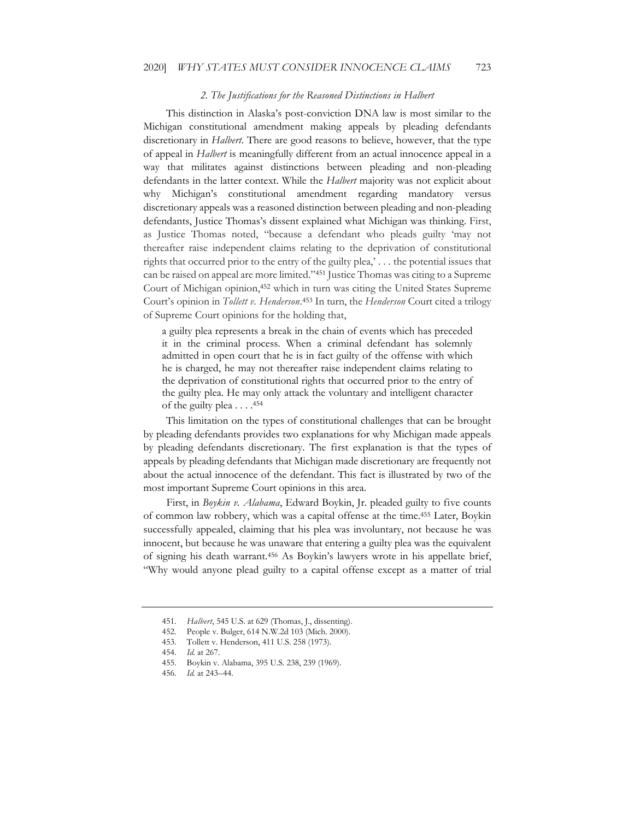#### *2. The Justifications for the Reasoned Distinctions in Halbert*

This distinction in Alaska's post-conviction DNA law is most similar to the Michigan constitutional amendment making appeals by pleading defendants discretionary in *Halbert*. There are good reasons to believe, however, that the type of appeal in *Halbert* is meaningfully different from an actual innocence appeal in a way that militates against distinctions between pleading and non-pleading defendants in the latter context. While the *Halbert* majority was not explicit about why Michigan's constitutional amendment regarding mandatory versus discretionary appeals was a reasoned distinction between pleading and non-pleading defendants, Justice Thomas's dissent explained what Michigan was thinking. First, as Justice Thomas noted, "because a defendant who pleads guilty 'may not thereafter raise independent claims relating to the deprivation of constitutional rights that occurred prior to the entry of the guilty plea,' . . . the potential issues that can be raised on appeal are more limited."451 Justice Thomas was citing to a Supreme Court of Michigan opinion,452 which in turn was citing the United States Supreme Court's opinion in *Tollett v. Henderson*. 453 In turn, the *Henderson* Court cited a trilogy of Supreme Court opinions for the holding that,

a guilty plea represents a break in the chain of events which has preceded it in the criminal process. When a criminal defendant has solemnly admitted in open court that he is in fact guilty of the offense with which he is charged, he may not thereafter raise independent claims relating to the deprivation of constitutional rights that occurred prior to the entry of the guilty plea. He may only attack the voluntary and intelligent character of the guilty plea  $\dots$ .<sup>454</sup>

This limitation on the types of constitutional challenges that can be brought by pleading defendants provides two explanations for why Michigan made appeals by pleading defendants discretionary. The first explanation is that the types of appeals by pleading defendants that Michigan made discretionary are frequently not about the actual innocence of the defendant. This fact is illustrated by two of the most important Supreme Court opinions in this area.

First, in *Boykin v. Alabama*, Edward Boykin, Jr. pleaded guilty to five counts of common law robbery, which was a capital offense at the time.455 Later, Boykin successfully appealed, claiming that his plea was involuntary, not because he was innocent, but because he was unaware that entering a guilty plea was the equivalent of signing his death warrant.456 As Boykin's lawyers wrote in his appellate brief, "Why would anyone plead guilty to a capital offense except as a matter of trial

<sup>451</sup>*. Halbert*, 545 U.S. at 629 (Thomas, J., dissenting).

<sup>452.</sup> People v. Bulger, 614 N.W.2d 103 (Mich. 2000).

<sup>453.</sup> Tollett v. Henderson, 411 U.S. 258 (1973).

<sup>454</sup>*. Id.* at 267.

<sup>455.</sup> Boykin v. Alabama, 395 U.S. 238, 239 (1969).

<sup>456</sup>*. Id.* at 243–44.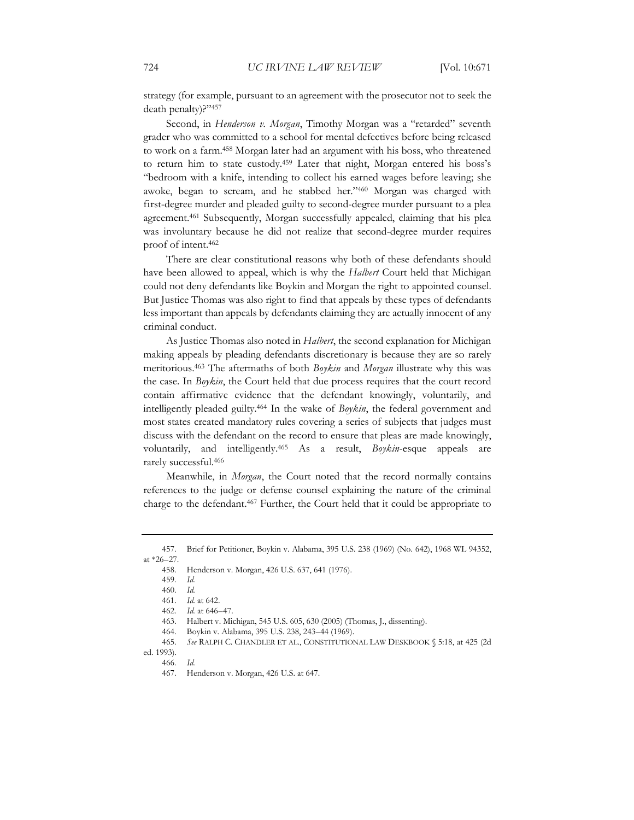strategy (for example, pursuant to an agreement with the prosecutor not to seek the death penalty)?"457

Second, in *Henderson v. Morgan*, Timothy Morgan was a "retarded" seventh grader who was committed to a school for mental defectives before being released to work on a farm.458 Morgan later had an argument with his boss, who threatened to return him to state custody.459 Later that night, Morgan entered his boss's "bedroom with a knife, intending to collect his earned wages before leaving; she awoke, began to scream, and he stabbed her."460 Morgan was charged with first-degree murder and pleaded guilty to second-degree murder pursuant to a plea agreement.461 Subsequently, Morgan successfully appealed, claiming that his plea was involuntary because he did not realize that second-degree murder requires proof of intent.462

There are clear constitutional reasons why both of these defendants should have been allowed to appeal, which is why the *Halbert* Court held that Michigan could not deny defendants like Boykin and Morgan the right to appointed counsel. But Justice Thomas was also right to find that appeals by these types of defendants less important than appeals by defendants claiming they are actually innocent of any criminal conduct.

As Justice Thomas also noted in *Halbert*, the second explanation for Michigan making appeals by pleading defendants discretionary is because they are so rarely meritorious.463 The aftermaths of both *Boykin* and *Morgan* illustrate why this was the case. In *Boykin*, the Court held that due process requires that the court record contain affirmative evidence that the defendant knowingly, voluntarily, and intelligently pleaded guilty.464 In the wake of *Boykin*, the federal government and most states created mandatory rules covering a series of subjects that judges must discuss with the defendant on the record to ensure that pleas are made knowingly, voluntarily, and intelligently.465 As a result, *Boykin*-esque appeals are rarely successful.466

Meanwhile, in *Morgan*, the Court noted that the record normally contains references to the judge or defense counsel explaining the nature of the criminal charge to the defendant.467 Further, the Court held that it could be appropriate to

458. Henderson v. Morgan, 426 U.S. 637, 641 (1976).

ed. 1993). 466*. Id.*

<sup>457.</sup> Brief for Petitioner, Boykin v. Alabama, 395 U.S. 238 (1969) (No. 642), 1968 WL 94352, at \*26–27.

<sup>459</sup>*. Id.* 

<sup>460</sup>*. Id.* 

<sup>461</sup>*. Id.* at 642.

<sup>462</sup>*. Id.* at 646–47.

<sup>463.</sup> Halbert v. Michigan, 545 U.S. 605, 630 (2005) (Thomas, J., dissenting).

<sup>464.</sup> Boykin v. Alabama, 395 U.S. 238, 243–44 (1969).

<sup>465</sup>*. See* RALPH C. CHANDLER ET AL., CONSTITUTIONAL LAW DESKBOOK § 5:18, at 425 (2d

<sup>467.</sup> Henderson v. Morgan, 426 U.S. at 647.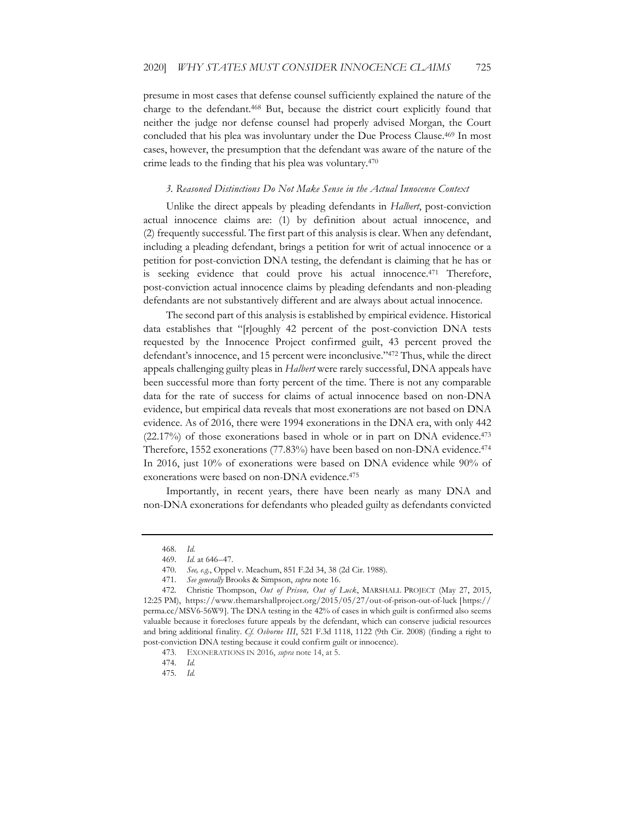presume in most cases that defense counsel sufficiently explained the nature of the charge to the defendant.468 But, because the district court explicitly found that neither the judge nor defense counsel had properly advised Morgan, the Court concluded that his plea was involuntary under the Due Process Clause.<sup>469</sup> In most cases, however, the presumption that the defendant was aware of the nature of the crime leads to the finding that his plea was voluntary.470

#### *3. Reasoned Distinctions Do Not Make Sense in the Actual Innocence Context*

Unlike the direct appeals by pleading defendants in *Halbert*, post-conviction actual innocence claims are: (1) by definition about actual innocence, and (2) frequently successful. The first part of this analysis is clear. When any defendant, including a pleading defendant, brings a petition for writ of actual innocence or a petition for post-conviction DNA testing, the defendant is claiming that he has or is seeking evidence that could prove his actual innocence.<sup>471</sup> Therefore, post-conviction actual innocence claims by pleading defendants and non-pleading defendants are not substantively different and are always about actual innocence.

The second part of this analysis is established by empirical evidence. Historical data establishes that "[r]oughly 42 percent of the post-conviction DNA tests requested by the Innocence Project confirmed guilt, 43 percent proved the defendant's innocence, and 15 percent were inconclusive."472 Thus, while the direct appeals challenging guilty pleas in *Halbert* were rarely successful, DNA appeals have been successful more than forty percent of the time. There is not any comparable data for the rate of success for claims of actual innocence based on non-DNA evidence, but empirical data reveals that most exonerations are not based on DNA evidence. As of 2016, there were 1994 exonerations in the DNA era, with only 442 (22.17%) of those exonerations based in whole or in part on DNA evidence.473 Therefore, 1552 exonerations (77.83%) have been based on non-DNA evidence.<sup>474</sup> In 2016, just 10% of exonerations were based on DNA evidence while 90% of exonerations were based on non-DNA evidence.475

Importantly, in recent years, there have been nearly as many DNA and non-DNA exonerations for defendants who pleaded guilty as defendants convicted

<sup>468</sup>*. Id.*

<sup>469</sup>*. Id.* at 646–47.

<sup>470</sup>*. See, e.g.*, Oppel v. Meachum, 851 F.2d 34, 38 (2d Cir. 1988).

<sup>471</sup>*. See generally* Brooks & Simpson, *supra* note 16.

<sup>472.</sup> Christie Thompson, *Out of Prison, Out of Luck*, MARSHALL PROJECT (May 27, 2015, 12:25 PM), https://www.themarshallproject.org/2015/05/27/out-of-prison-out-of-luck [https:// perma.cc/MSV6-56W9]. The DNA testing in the 42% of cases in which guilt is confirmed also seems valuable because it forecloses future appeals by the defendant, which can conserve judicial resources and bring additional finality. *Cf. Osborne III*, 521 F.3d 1118, 1122 (9th Cir. 2008) (finding a right to post-conviction DNA testing because it could confirm guilt or innocence).

<sup>473.</sup> EXONERATIONS IN 2016, *supra* note 14, at 5.

<sup>474</sup>*. Id.* 

<sup>475</sup>*. Id.*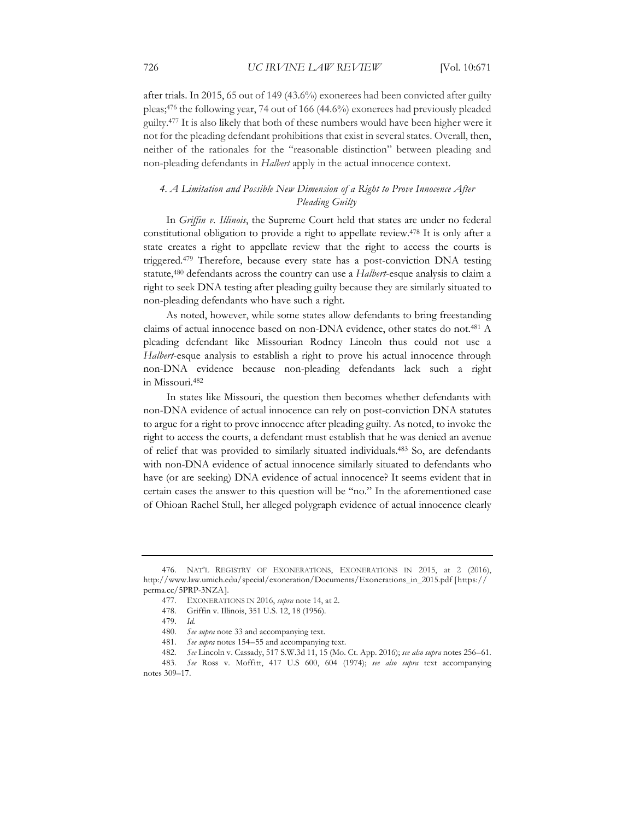after trials. In 2015, 65 out of 149 (43.6%) exonerees had been convicted after guilty pleas;476 the following year, 74 out of 166 (44.6%) exonerees had previously pleaded guilty.477 It is also likely that both of these numbers would have been higher were it not for the pleading defendant prohibitions that exist in several states. Overall, then, neither of the rationales for the "reasonable distinction" between pleading and non-pleading defendants in *Halbert* apply in the actual innocence context.

# *4. A Limitation and Possible New Dimension of a Right to Prove Innocence After Pleading Guilty*

In *Griffin v. Illinois*, the Supreme Court held that states are under no federal constitutional obligation to provide a right to appellate review.478 It is only after a state creates a right to appellate review that the right to access the courts is triggered.479 Therefore, because every state has a post-conviction DNA testing statute,480 defendants across the country can use a *Halbert*-esque analysis to claim a right to seek DNA testing after pleading guilty because they are similarly situated to non-pleading defendants who have such a right.

As noted, however, while some states allow defendants to bring freestanding claims of actual innocence based on non-DNA evidence, other states do not.481 A pleading defendant like Missourian Rodney Lincoln thus could not use a *Halbert*-esque analysis to establish a right to prove his actual innocence through non-DNA evidence because non-pleading defendants lack such a right in Missouri.482

In states like Missouri, the question then becomes whether defendants with non-DNA evidence of actual innocence can rely on post-conviction DNA statutes to argue for a right to prove innocence after pleading guilty. As noted, to invoke the right to access the courts, a defendant must establish that he was denied an avenue of relief that was provided to similarly situated individuals.483 So, are defendants with non-DNA evidence of actual innocence similarly situated to defendants who have (or are seeking) DNA evidence of actual innocence? It seems evident that in certain cases the answer to this question will be "no." In the aforementioned case of Ohioan Rachel Stull, her alleged polygraph evidence of actual innocence clearly

<sup>476.</sup> NAT'L REGISTRY OF EXONERATIONS, EXONERATIONS IN 2015, at 2 (2016), http://www.law.umich.edu/special/exoneration/Documents/Exonerations\_in\_2015.pdf [https:// perma.cc/5PRP-3NZA].

<sup>477.</sup> EXONERATIONS IN 2016, *supra* note 14, at 2.

<sup>478.</sup> Griffin v. Illinois, 351 U.S. 12, 18 (1956).

<sup>479</sup>*. Id.* 

<sup>480</sup>*. See supra* note 33 and accompanying text.

<sup>481</sup>*. See supra* notes 154–55 and accompanying text.

<sup>482</sup>*. See* Lincoln v. Cassady, 517 S.W.3d 11, 15 (Mo. Ct. App. 2016); *see also supra* notes 256–61.

<sup>483</sup>*. See* Ross v. Moffitt, 417 U.S 600, 604 (1974); *see also supra* text accompanying notes 309–17.